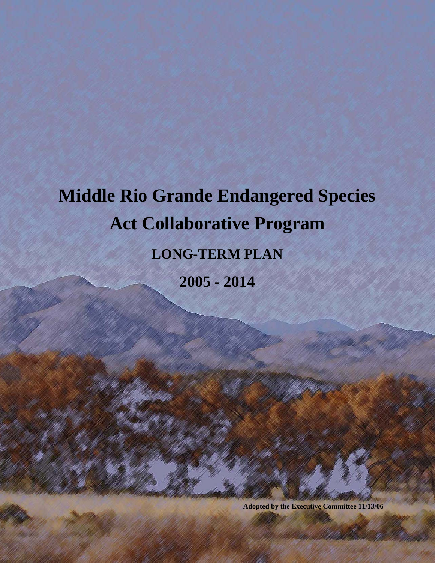# **Middle Rio Grande Endangered Species Act Collaborative Program LONG-TERM PLAN 2005 - 2014**

**Adopted by the Executive Committee 11/13/06**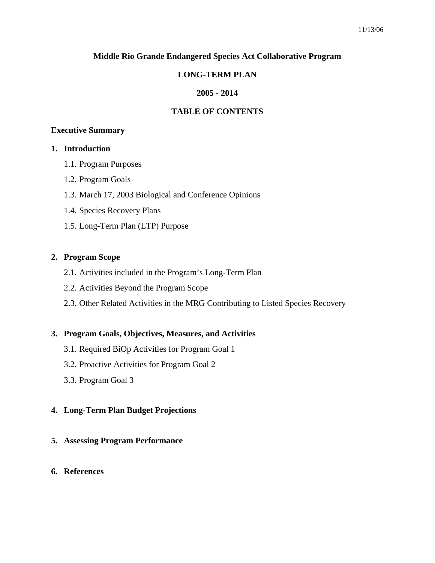#### **Middle Rio Grande Endangered Species Act Collaborative Program**

# **LONG-TERM PLAN**

# **2005 - 2014**

# **TABLE OF CONTENTS**

#### **Executive Summary**

#### **1. Introduction**

- 1.1. Program Purposes
- 1.2. Program Goals
- 1.3. March 17, 2003 Biological and Conference Opinions
- 1.4. Species Recovery Plans
- 1.5. Long-Term Plan (LTP) Purpose

#### **2. Program Scope**

- 2.1. Activities included in the Program's Long-Term Plan
- 2.2. Activities Beyond the Program Scope
- 2.3. Other Related Activities in the MRG Contributing to Listed Species Recovery

#### **3. Program Goals, Objectives, Measures, and Activities**

- 3.1. Required BiOp Activities for Program Goal 1
- 3.2. Proactive Activities for Program Goal 2
- 3.3. Program Goal 3

#### **4. Long-Term Plan Budget Projections**

**5. Assessing Program Performance** 

#### **6. References**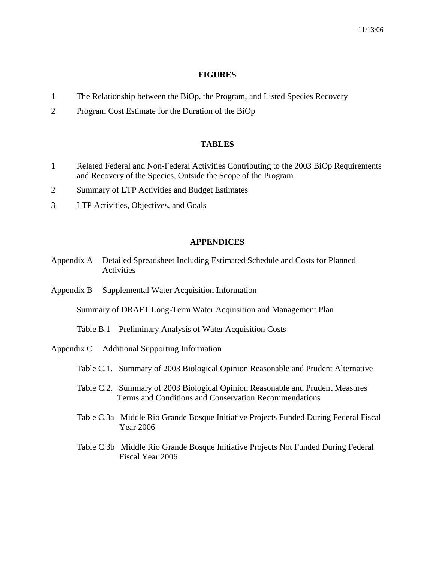#### **FIGURES**

- 1 The Relationship between the BiOp, the Program, and Listed Species Recovery
- 2 Program Cost Estimate for the Duration of the BiOp

#### **TABLES**

- 1 Related Federal and Non-Federal Activities Contributing to the 2003 BiOp Requirements and Recovery of the Species, Outside the Scope of the Program
- 2 Summary of LTP Activities and Budget Estimates
- 3 LTP Activities, Objectives, and Goals

#### **APPENDICES**

- Appendix A Detailed Spreadsheet Including Estimated Schedule and Costs for Planned **Activities**
- Appendix B Supplemental Water Acquisition Information

Summary of DRAFT Long-Term Water Acquisition and Management Plan

- Table B.1 Preliminary Analysis of Water Acquisition Costs
- Appendix C Additional Supporting Information
	- Table C.1. Summary of 2003 Biological Opinion Reasonable and Prudent Alternative
	- Table C.2. Summary of 2003 Biological Opinion Reasonable and Prudent Measures Terms and Conditions and Conservation Recommendations
	- Table C.3a Middle Rio Grande Bosque Initiative Projects Funded During Federal Fiscal Year 2006
	- Table C.3b Middle Rio Grande Bosque Initiative Projects Not Funded During Federal Fiscal Year 2006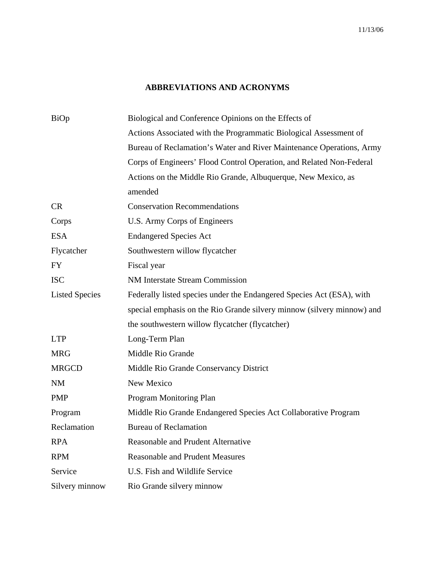# **ABBREVIATIONS AND ACRONYMS**

| BiOp                  | Biological and Conference Opinions on the Effects of                   |
|-----------------------|------------------------------------------------------------------------|
|                       | Actions Associated with the Programmatic Biological Assessment of      |
|                       | Bureau of Reclamation's Water and River Maintenance Operations, Army   |
|                       | Corps of Engineers' Flood Control Operation, and Related Non-Federal   |
|                       | Actions on the Middle Rio Grande, Albuquerque, New Mexico, as          |
|                       | amended                                                                |
| <b>CR</b>             | <b>Conservation Recommendations</b>                                    |
| Corps                 | U.S. Army Corps of Engineers                                           |
| <b>ESA</b>            | <b>Endangered Species Act</b>                                          |
| Flycatcher            | Southwestern willow flycatcher                                         |
| <b>FY</b>             | Fiscal year                                                            |
| <b>ISC</b>            | <b>NM Interstate Stream Commission</b>                                 |
| <b>Listed Species</b> | Federally listed species under the Endangered Species Act (ESA), with  |
|                       | special emphasis on the Rio Grande silvery minnow (silvery minnow) and |
|                       | the southwestern willow flycatcher (flycatcher)                        |
| <b>LTP</b>            | Long-Term Plan                                                         |
| <b>MRG</b>            | Middle Rio Grande                                                      |
| <b>MRGCD</b>          | Middle Rio Grande Conservancy District                                 |
| <b>NM</b>             | New Mexico                                                             |
| <b>PMP</b>            | Program Monitoring Plan                                                |
| Program               | Middle Rio Grande Endangered Species Act Collaborative Program         |
| Reclamation           | <b>Bureau of Reclamation</b>                                           |
| <b>RPA</b>            | <b>Reasonable and Prudent Alternative</b>                              |
| <b>RPM</b>            | <b>Reasonable and Prudent Measures</b>                                 |
| Service               | U.S. Fish and Wildlife Service                                         |
| Silvery minnow        | Rio Grande silvery minnow                                              |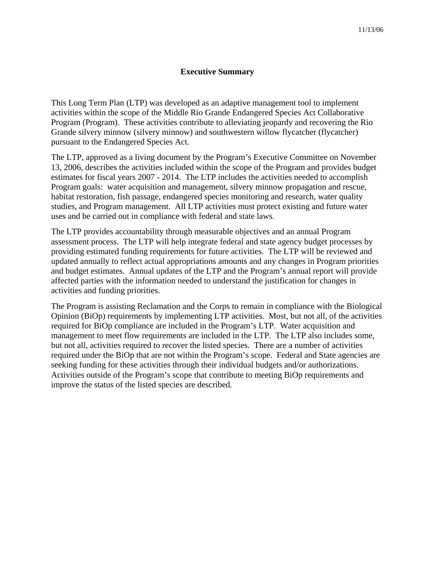#### **Executive Summary**

This Long Term Plan (LTP) was developed as an adaptive management tool to implement activities within the scope of the Middle Rio Grande Endangered Species Act Collaborative Program (Program). These activities contribute to alleviating jeopardy and recovering the Rio Grande silvery minnow (silvery minnow) and southwestern willow flycatcher (flycatcher) pursuant to the Endangered Species Act.

The LTP, approved as a living document by the Program's Executive Committee on November 13, 2006, describes the activities included within the scope of the Program and provides budget estimates for fiscal years 2007 - 2014. The LTP includes the activities needed to accomplish Program goals: water acquisition and management, silvery minnow propagation and rescue, habitat restoration, fish passage, endangered species monitoring and research, water quality studies, and Program management. All LTP activities must protect existing and future water uses and be carried out in compliance with federal and state laws.

The LTP provides accountability through measurable objectives and an annual Program assessment process. The LTP will help integrate federal and state agency budget processes by providing estimated funding requirements for future activities. The LTP will be reviewed and updated annually to reflect actual appropriations amounts and any changes in Program priorities and budget estimates. Annual updates of the LTP and the Program's annual report will provide affected parties with the information needed to understand the justification for changes in activities and funding priorities.

The Program is assisting Reclamation and the Corps to remain in compliance with the Biological Opinion (BiOp) requirements by implementing LTP activities. Most, but not all, of the activities required for BiOp compliance are included in the Program's LTP. Water acquisition and management to meet flow requirements are included in the LTP. The LTP also includes some, but not all, activities required to recover the listed species. There are a number of activities required under the BiOp that are not within the Program's scope. Federal and State agencies are seeking funding for these activities through their individual budgets and/or authorizations. Activities outside of the Program's scope that contribute to meeting BiOp requirements and improve the status of the listed species are described.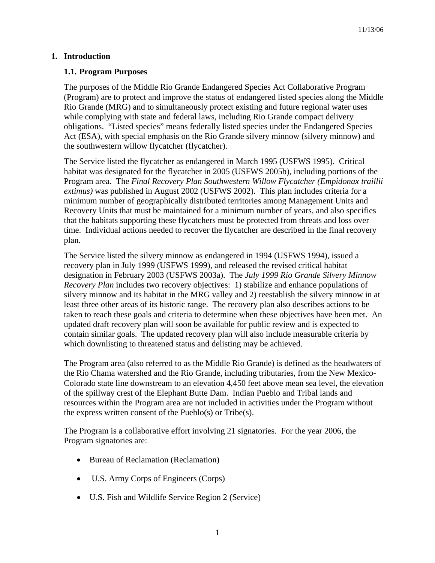# **1. Introduction**

# **1.1. Program Purposes**

The purposes of the Middle Rio Grande Endangered Species Act Collaborative Program (Program) are to protect and improve the status of endangered listed species along the Middle Rio Grande (MRG) and to simultaneously protect existing and future regional water uses while complying with state and federal laws, including Rio Grande compact delivery obligations. "Listed species" means federally listed species under the Endangered Species Act (ESA), with special emphasis on the Rio Grande silvery minnow (silvery minnow) and the southwestern willow flycatcher (flycatcher).

The Service listed the flycatcher as endangered in March 1995 (USFWS 1995). Critical habitat was designated for the flycatcher in 2005 (USFWS 2005b), including portions of the Program area. The *Final Recovery Plan Southwestern Willow Flycatcher (Empidonax traillii extimus)* was published in August 2002 (USFWS 2002). This plan includes criteria for a minimum number of geographically distributed territories among Management Units and Recovery Units that must be maintained for a minimum number of years, and also specifies that the habitats supporting these flycatchers must be protected from threats and loss over time. Individual actions needed to recover the flycatcher are described in the final recovery plan.

The Service listed the silvery minnow as endangered in 1994 (USFWS 1994), issued a recovery plan in July 1999 (USFWS 1999), and released the revised critical habitat designation in February 2003 (USFWS 2003a). The *July 1999 Rio Grande Silvery Minnow Recovery Plan* includes two recovery objectives: 1) stabilize and enhance populations of silvery minnow and its habitat in the MRG valley and 2) reestablish the silvery minnow in at least three other areas of its historic range. The recovery plan also describes actions to be taken to reach these goals and criteria to determine when these objectives have been met. An updated draft recovery plan will soon be available for public review and is expected to contain similar goals. The updated recovery plan will also include measurable criteria by which downlisting to threatened status and delisting may be achieved.

The Program area (also referred to as the Middle Rio Grande) is defined as the headwaters of the Rio Chama watershed and the Rio Grande, including tributaries, from the New Mexico-Colorado state line downstream to an elevation 4,450 feet above mean sea level, the elevation of the spillway crest of the Elephant Butte Dam. Indian Pueblo and Tribal lands and resources within the Program area are not included in activities under the Program without the express written consent of the Pueblo(s) or Tribe(s).

The Program is a collaborative effort involving 21 signatories. For the year 2006, the Program signatories are:

- Bureau of Reclamation (Reclamation)
- U.S. Army Corps of Engineers (Corps)
- U.S. Fish and Wildlife Service Region 2 (Service)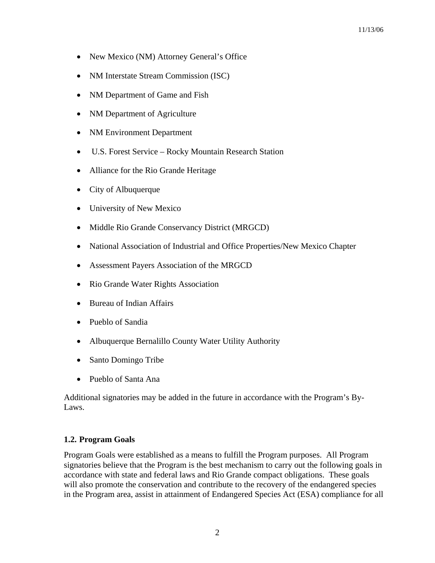- New Mexico (NM) Attorney General's Office
- NM Interstate Stream Commission (ISC)
- NM Department of Game and Fish
- NM Department of Agriculture
- NM Environment Department
- U.S. Forest Service Rocky Mountain Research Station
- Alliance for the Rio Grande Heritage
- City of Albuquerque
- University of New Mexico
- Middle Rio Grande Conservancy District (MRGCD)
- National Association of Industrial and Office Properties/New Mexico Chapter
- Assessment Payers Association of the MRGCD
- Rio Grande Water Rights Association
- Bureau of Indian Affairs
- Pueblo of Sandia
- Albuquerque Bernalillo County Water Utility Authority
- Santo Domingo Tribe
- Pueblo of Santa Ana

Additional signatories may be added in the future in accordance with the Program's By-Laws.

#### **1.2. Program Goals**

Program Goals were established as a means to fulfill the Program purposes. All Program signatories believe that the Program is the best mechanism to carry out the following goals in accordance with state and federal laws and Rio Grande compact obligations. These goals will also promote the conservation and contribute to the recovery of the endangered species in the Program area, assist in attainment of Endangered Species Act (ESA) compliance for all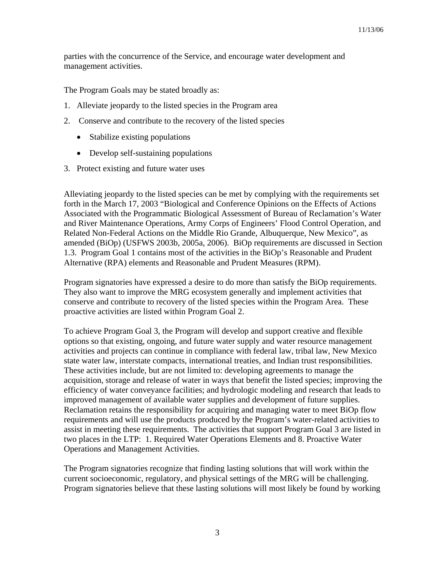parties with the concurrence of the Service, and encourage water development and management activities.

The Program Goals may be stated broadly as:

- 1. Alleviate jeopardy to the listed species in the Program area
- 2. Conserve and contribute to the recovery of the listed species
	- Stabilize existing populations
	- Develop self-sustaining populations
- 3. Protect existing and future water uses

Alleviating jeopardy to the listed species can be met by complying with the requirements set forth in the March 17, 2003 "Biological and Conference Opinions on the Effects of Actions Associated with the Programmatic Biological Assessment of Bureau of Reclamation's Water and River Maintenance Operations, Army Corps of Engineers' Flood Control Operation, and Related Non-Federal Actions on the Middle Rio Grande, Albuquerque, New Mexico", as amended (BiOp) (USFWS 2003b, 2005a, 2006). BiOp requirements are discussed in Section 1.3. Program Goal 1 contains most of the activities in the BiOp's Reasonable and Prudent Alternative (RPA) elements and Reasonable and Prudent Measures (RPM).

Program signatories have expressed a desire to do more than satisfy the BiOp requirements. They also want to improve the MRG ecosystem generally and implement activities that conserve and contribute to recovery of the listed species within the Program Area. These proactive activities are listed within Program Goal 2.

To achieve Program Goal 3, the Program will develop and support creative and flexible options so that existing, ongoing, and future water supply and water resource management activities and projects can continue in compliance with federal law, tribal law, New Mexico state water law, interstate compacts, international treaties, and Indian trust responsibilities. These activities include, but are not limited to: developing agreements to manage the acquisition, storage and release of water in ways that benefit the listed species; improving the efficiency of water conveyance facilities; and hydrologic modeling and research that leads to improved management of available water supplies and development of future supplies. Reclamation retains the responsibility for acquiring and managing water to meet BiOp flow requirements and will use the products produced by the Program's water-related activities to assist in meeting these requirements. The activities that support Program Goal 3 are listed in two places in the LTP: 1. Required Water Operations Elements and 8. Proactive Water Operations and Management Activities.

The Program signatories recognize that finding lasting solutions that will work within the current socioeconomic, regulatory, and physical settings of the MRG will be challenging. Program signatories believe that these lasting solutions will most likely be found by working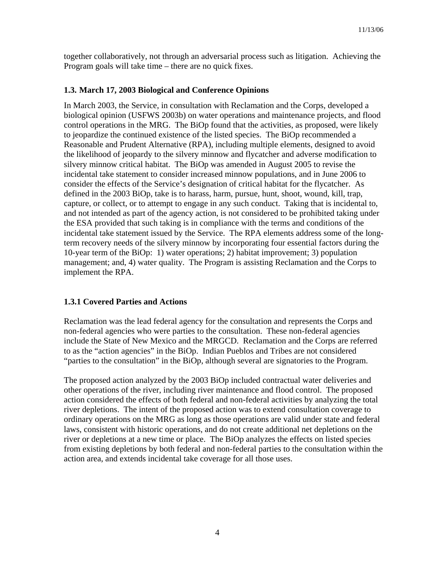together collaboratively, not through an adversarial process such as litigation. Achieving the Program goals will take time – there are no quick fixes.

# **1.3. March 17, 2003 Biological and Conference Opinions**

In March 2003, the Service, in consultation with Reclamation and the Corps, developed a biological opinion (USFWS 2003b) on water operations and maintenance projects, and flood control operations in the MRG. The BiOp found that the activities, as proposed, were likely to jeopardize the continued existence of the listed species. The BiOp recommended a Reasonable and Prudent Alternative (RPA), including multiple elements, designed to avoid the likelihood of jeopardy to the silvery minnow and flycatcher and adverse modification to silvery minnow critical habitat. The BiOp was amended in August 2005 to revise the incidental take statement to consider increased minnow populations, and in June 2006 to consider the effects of the Service's designation of critical habitat for the flycatcher. As defined in the 2003 BiOp, take is to harass, harm, pursue, hunt, shoot, wound, kill, trap, capture, or collect, or to attempt to engage in any such conduct. Taking that is incidental to, and not intended as part of the agency action, is not considered to be prohibited taking under the ESA provided that such taking is in compliance with the terms and conditions of the incidental take statement issued by the Service. The RPA elements address some of the longterm recovery needs of the silvery minnow by incorporating four essential factors during the 10-year term of the BiOp: 1) water operations; 2) habitat improvement; 3) population management; and, 4) water quality. The Program is assisting Reclamation and the Corps to implement the RPA.

#### **1.3.1 Covered Parties and Actions**

Reclamation was the lead federal agency for the consultation and represents the Corps and non-federal agencies who were parties to the consultation. These non-federal agencies include the State of New Mexico and the MRGCD. Reclamation and the Corps are referred to as the "action agencies" in the BiOp. Indian Pueblos and Tribes are not considered "parties to the consultation" in the BiOp, although several are signatories to the Program.

The proposed action analyzed by the 2003 BiOp included contractual water deliveries and other operations of the river, including river maintenance and flood control. The proposed action considered the effects of both federal and non-federal activities by analyzing the total river depletions. The intent of the proposed action was to extend consultation coverage to ordinary operations on the MRG as long as those operations are valid under state and federal laws, consistent with historic operations, and do not create additional net depletions on the river or depletions at a new time or place. The BiOp analyzes the effects on listed species from existing depletions by both federal and non-federal parties to the consultation within the action area, and extends incidental take coverage for all those uses.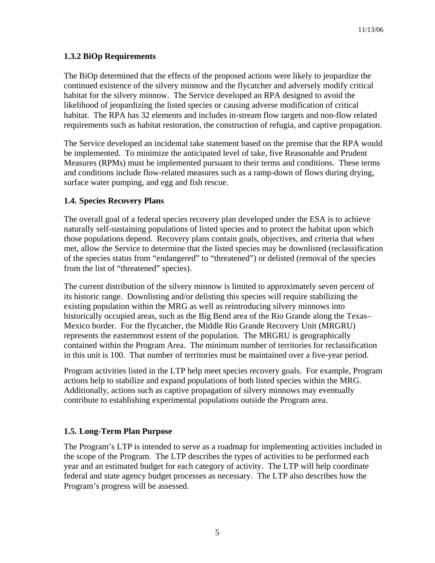# **1.3.2 BiOp Requirements**

The BiOp determined that the effects of the proposed actions were likely to jeopardize the continued existence of the silvery minnow and the flycatcher and adversely modify critical habitat for the silvery minnow. The Service developed an RPA designed to avoid the likelihood of jeopardizing the listed species or causing adverse modification of critical habitat. The RPA has 32 elements and includes in-stream flow targets and non-flow related requirements such as habitat restoration, the construction of refugia, and captive propagation.

The Service developed an incidental take statement based on the premise that the RPA would be implemented. To minimize the anticipated level of take, five Reasonable and Prudent Measures (RPMs) must be implemented pursuant to their terms and conditions. These terms and conditions include flow-related measures such as a ramp-down of flows during drying, surface water pumping, and egg and fish rescue.

# **1.4. Species Recovery Plans**

The overall goal of a federal species recovery plan developed under the ESA is to achieve naturally self-sustaining populations of listed species and to protect the habitat upon which those populations depend. Recovery plans contain goals, objectives, and criteria that when met, allow the Service to determine that the listed species may be downlisted (reclassification of the species status from "endangered" to "threatened") or delisted (removal of the species from the list of "threatened" species).

The current distribution of the silvery minnow is limited to approximately seven percent of its historic range. Downlisting and/or delisting this species will require stabilizing the existing population within the MRG as well as reintroducing silvery minnows into historically occupied areas, such as the Big Bend area of the Rio Grande along the Texas– Mexico border. For the flycatcher, the Middle Rio Grande Recovery Unit (MRGRU) represents the easternmost extent of the population. The MRGRU is geographically contained within the Program Area. The minimum number of territories for reclassification in this unit is 100. That number of territories must be maintained over a five-year period.

Program activities listed in the LTP help meet species recovery goals. For example, Program actions help to stabilize and expand populations of both listed species within the MRG. Additionally, actions such as captive propagation of silvery minnows may eventually contribute to establishing experimental populations outside the Program area.

# **1.5. Long-Term Plan Purpose**

The Program's LTP is intended to serve as a roadmap for implementing activities included in the scope of the Program. The LTP describes the types of activities to be performed each year and an estimated budget for each category of activity. The LTP will help coordinate federal and state agency budget processes as necessary. The LTP also describes how the Program's progress will be assessed.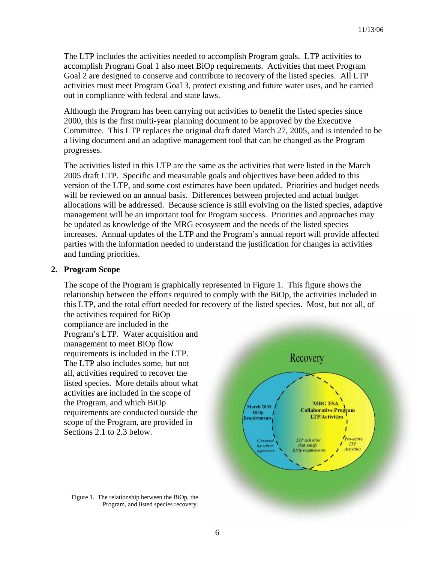The LTP includes the activities needed to accomplish Program goals. LTP activities to accomplish Program Goal 1 also meet BiOp requirements. Activities that meet Program Goal 2 are designed to conserve and contribute to recovery of the listed species. All LTP activities must meet Program Goal 3, protect existing and future water uses, and be carried out in compliance with federal and state laws.

Although the Program has been carrying out activities to benefit the listed species since 2000, this is the first multi-year planning document to be approved by the Executive Committee. This LTP replaces the original draft dated March 27, 2005, and is intended to be a living document and an adaptive management tool that can be changed as the Program progresses.

The activities listed in this LTP are the same as the activities that were listed in the March 2005 draft LTP. Specific and measurable goals and objectives have been added to this version of the LTP, and some cost estimates have been updated. Priorities and budget needs will be reviewed on an annual basis. Differences between projected and actual budget allocations will be addressed. Because science is still evolving on the listed species, adaptive management will be an important tool for Program success. Priorities and approaches may be updated as knowledge of the MRG ecosystem and the needs of the listed species increases. Annual updates of the LTP and the Program's annual report will provide affected parties with the information needed to understand the justification for changes in activities and funding priorities.

#### **2. Program Scope**

The scope of the Program is graphically represented in Figure 1. This figure shows the relationship between the efforts required to comply with the BiOp, the activities included in this LTP, and the total effort needed for recovery of the listed species. Most, but not all, of the activities required for BiOp

compliance are included in the Program's LTP. Water acquisition and management to meet BiOp flow requirements is included in the LTP. The LTP also includes some, but not all, activities required to recover the listed species. More details about what activities are included in the scope of the Program, and which BiOp requirements are conducted outside the scope of the Program, are provided in Sections 2.1 to 2.3 below.

Figure 1. The relationship between the BiOp, the Program, and listed species recovery.

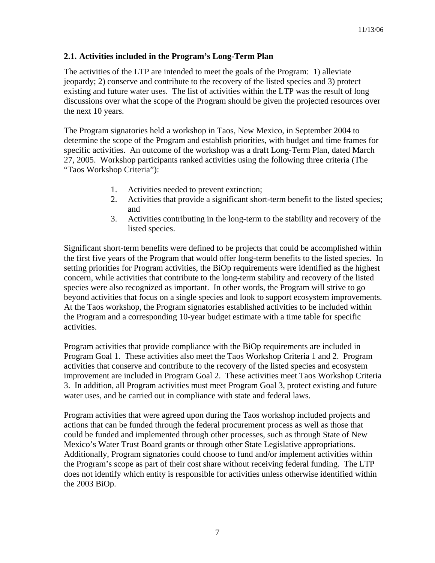# **2.1. Activities included in the Program's Long-Term Plan**

The activities of the LTP are intended to meet the goals of the Program: 1) alleviate jeopardy; 2) conserve and contribute to the recovery of the listed species and 3) protect existing and future water uses. The list of activities within the LTP was the result of long discussions over what the scope of the Program should be given the projected resources over the next 10 years.

The Program signatories held a workshop in Taos, New Mexico, in September 2004 to determine the scope of the Program and establish priorities, with budget and time frames for specific activities. An outcome of the workshop was a draft Long-Term Plan, dated March 27, 2005. Workshop participants ranked activities using the following three criteria (The "Taos Workshop Criteria"):

- 1. Activities needed to prevent extinction;
- 2. Activities that provide a significant short-term benefit to the listed species; and
- 3. Activities contributing in the long-term to the stability and recovery of the listed species.

Significant short-term benefits were defined to be projects that could be accomplished within the first five years of the Program that would offer long-term benefits to the listed species. In setting priorities for Program activities, the BiOp requirements were identified as the highest concern, while activities that contribute to the long-term stability and recovery of the listed species were also recognized as important. In other words, the Program will strive to go beyond activities that focus on a single species and look to support ecosystem improvements. At the Taos workshop, the Program signatories established activities to be included within the Program and a corresponding 10-year budget estimate with a time table for specific activities.

Program activities that provide compliance with the BiOp requirements are included in Program Goal 1. These activities also meet the Taos Workshop Criteria 1 and 2. Program activities that conserve and contribute to the recovery of the listed species and ecosystem improvement are included in Program Goal 2. These activities meet Taos Workshop Criteria 3. In addition, all Program activities must meet Program Goal 3, protect existing and future water uses, and be carried out in compliance with state and federal laws.

Program activities that were agreed upon during the Taos workshop included projects and actions that can be funded through the federal procurement process as well as those that could be funded and implemented through other processes, such as through State of New Mexico's Water Trust Board grants or through other State Legislative appropriations. Additionally, Program signatories could choose to fund and/or implement activities within the Program's scope as part of their cost share without receiving federal funding. The LTP does not identify which entity is responsible for activities unless otherwise identified within the 2003 BiOp.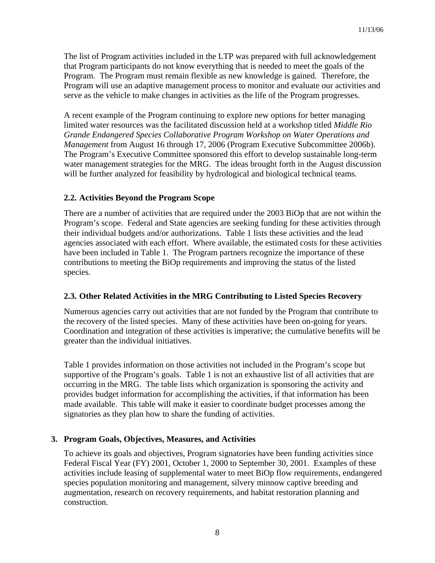The list of Program activities included in the LTP was prepared with full acknowledgement that Program participants do not know everything that is needed to meet the goals of the Program. The Program must remain flexible as new knowledge is gained. Therefore, the Program will use an adaptive management process to monitor and evaluate our activities and serve as the vehicle to make changes in activities as the life of the Program progresses.

A recent example of the Program continuing to explore new options for better managing limited water resources was the facilitated discussion held at a workshop titled *Middle Rio Grande Endangered Species Collaborative Program Workshop on Water Operations and Management* from August 16 through 17, 2006 (Program Executive Subcommittee 2006b). The Program's Executive Committee sponsored this effort to develop sustainable long-term water management strategies for the MRG. The ideas brought forth in the August discussion will be further analyzed for feasibility by hydrological and biological technical teams.

# **2.2. Activities Beyond the Program Scope**

There are a number of activities that are required under the 2003 BiOp that are not within the Program's scope. Federal and State agencies are seeking funding for these activities through their individual budgets and/or authorizations. Table 1 lists these activities and the lead agencies associated with each effort. Where available, the estimated costs for these activities have been included in Table 1. The Program partners recognize the importance of these contributions to meeting the BiOp requirements and improving the status of the listed species.

#### **2.3. Other Related Activities in the MRG Contributing to Listed Species Recovery**

Numerous agencies carry out activities that are not funded by the Program that contribute to the recovery of the listed species. Many of these activities have been on-going for years. Coordination and integration of these activities is imperative; the cumulative benefits will be greater than the individual initiatives.

Table 1 provides information on those activities not included in the Program's scope but supportive of the Program's goals. Table 1 is not an exhaustive list of all activities that are occurring in the MRG. The table lists which organization is sponsoring the activity and provides budget information for accomplishing the activities, if that information has been made available. This table will make it easier to coordinate budget processes among the signatories as they plan how to share the funding of activities.

# **3. Program Goals, Objectives, Measures, and Activities**

To achieve its goals and objectives, Program signatories have been funding activities since Federal Fiscal Year (FY) 2001, October 1, 2000 to September 30, 2001. Examples of these activities include leasing of supplemental water to meet BiOp flow requirements, endangered species population monitoring and management, silvery minnow captive breeding and augmentation, research on recovery requirements, and habitat restoration planning and construction.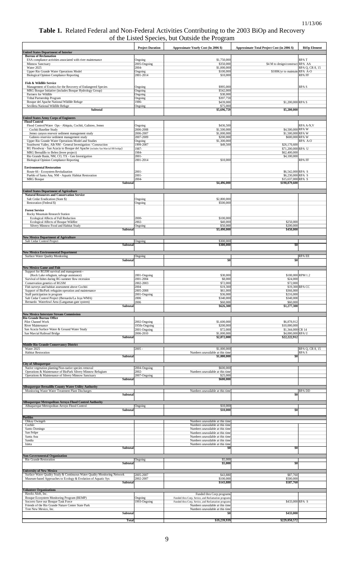#### **Table 1.** Related Federal and Non-Federal Activities Contributing to the 2003 BiOp and Recovery of the Listed Species, but Outside the Program

|                                                                                                                                                  | <b>Project Duration</b>       | Approximate Yearly Cost (In 2006 \$)                                                                     | Approximate Total Project Cost (in 2006 \$) | <b>BiOp Element</b>     |
|--------------------------------------------------------------------------------------------------------------------------------------------------|-------------------------------|----------------------------------------------------------------------------------------------------------|---------------------------------------------|-------------------------|
| <b>United States Department of Interior</b><br><b>Bureau of Reclamation</b>                                                                      |                               |                                                                                                          |                                             |                         |
| ESA compliance activities associated with river maintenance<br>Minnow Sanctuary                                                                  | Ongoing<br>2005-Ongoing       | \$1,750,000<br>\$350,000                                                                                 | \$4 M to design/construct RPA AA            | <b>RPAT</b>             |
| Water 2025                                                                                                                                       | $2004 -$                      | \$1,000,000                                                                                              |                                             | RPA Q, CR 8, 15         |
| Upper Rio Grande Water Operations Model<br><b>Biological Opinion Compliance Reporting</b>                                                        | Ongoing<br>2001-2014          | \$100,000<br>\$10,000                                                                                    | \$100K/yr to maintain                       | RPA A-O<br><b>RPAFF</b> |
|                                                                                                                                                  |                               |                                                                                                          |                                             |                         |
| Fish & Wildlife Service<br>Management of Exotics for the Recovery of Endangered Species                                                          | Ongoing                       | \$995,000                                                                                                |                                             | <b>RPAS</b>             |
| MRG Bosque Initiative (includes Bosque Hydrology Group)<br>Partners for Wildlife                                                                 | Ongoing<br>Ongoing            | \$542,000<br>\$38,000                                                                                    |                                             |                         |
| Tribal Partnership Program                                                                                                                       | Ongoing                       | \$397,759                                                                                                |                                             |                         |
| Bosque del Apache National Wildlife Refuge<br>Sevilleta National Wildlife Refuge                                                                 | 1986-<br>Ongoing              | \$439,000<br>\$75,000                                                                                    | \$1,200,000 RPA S                           |                         |
| <b>Subtotal</b>                                                                                                                                  |                               | \$5,696,759                                                                                              | \$5,200,000                                 |                         |
| United States Army Corps of Engineers                                                                                                            |                               |                                                                                                          |                                             |                         |
| <b>Flood Control</b>                                                                                                                             |                               |                                                                                                          |                                             |                         |
| Flood Control/Water Ops - Abiquiu, Cochiti, Galisteo, Jemez<br>Cochiti Baseline Study                                                            | Ongoing<br>2006-2008          | \$436,500<br>\$1,500,000                                                                                 | \$4,500,000 RPA W                           | RPA A-N, V              |
| Jemez canyon resevoir sediment management study<br>Galisteo reservior sediment management study                                                  | 2006-2007<br>2007-2009        | \$1,000,000<br>\$200,000                                                                                 | \$1,500,000 RPA W<br>\$600,000 RPA W        |                         |
| Upper Rio Grande Water Operations Model and Studies                                                                                              | Ongoing                       | \$1,300,000                                                                                              |                                             | RPA A-O                 |
| Southwest Valley, Alb NM - General Investigation / Consruction<br>RG Floodway - San Acacia to Bosque del Apache (includes San Marcial RR bridge) | 1999-2007<br>1987-            | \$49,500                                                                                                 | \$26,170,600<br>\$71,200,000 RPA U          |                         |
| MRG Bernalillo to Belen (levee project)                                                                                                          | 1984-                         |                                                                                                          | \$62,400,000                                |                         |
| Rio Grande Basin, NM, CO, TX - Gen Investigation<br><b>Biological Opinion Compliance Reporting</b>                                               | $2001 -$<br>2001-2014         | \$10,000                                                                                                 | \$4,100,000                                 | RPA FF                  |
|                                                                                                                                                  |                               |                                                                                                          |                                             |                         |
| <b>Environmental Restoration</b><br>Route 66 - Ecosystem Revitalization                                                                          | $2001 -$                      |                                                                                                          | \$6,542,000 RPA S                           |                         |
| Pueblo of Santa Ana, NM - Aquatic Habitat Restoration<br><b>MRG</b> Bosque                                                                       | $2001 -$<br>$2004 -$          |                                                                                                          | \$6,230,000 RPA S<br>\$15,637,000 RPA S     |                         |
| Subtotal                                                                                                                                         |                               | \$4,496,000                                                                                              | \$198,879,600                               |                         |
| United States Department of Agriculture                                                                                                          |                               |                                                                                                          |                                             |                         |
| <b>Natural Resources and Conservation Service</b>                                                                                                |                               |                                                                                                          |                                             |                         |
| Salt Cedar Eradication (State \$)<br>Restoration (Federal \$)                                                                                    | Ongoing<br>Ongoing            | \$2,800,000<br>\$500,000                                                                                 |                                             |                         |
|                                                                                                                                                  |                               |                                                                                                          |                                             |                         |
| <b>Forest Service</b><br>Rocky Mountain Research Station                                                                                         |                               |                                                                                                          |                                             |                         |
| Ecological Affects of Full Reduction                                                                                                             | 2000-                         | \$100,000                                                                                                |                                             |                         |
| Ecological Affects of Bosque Wildfire<br>Silvery Minnow Food and Habitat Study                                                                   | $2002 -$<br>Ongoing           | \$40,000<br>\$50,000                                                                                     | \$250,000<br>\$200,000                      |                         |
| Subtotal                                                                                                                                         |                               | \$3,490,000                                                                                              | \$450,000                                   |                         |
| <b>New Mexico Department of Agriculture</b>                                                                                                      |                               |                                                                                                          |                                             |                         |
| Salt Cedar Control Project<br>Subtotal                                                                                                           | Ongoing                       | \$300,000<br>\$300,000                                                                                   | \$0                                         |                         |
|                                                                                                                                                  |                               |                                                                                                          |                                             |                         |
| <b>New Mexico Environmental Department</b><br>Surface Water Quality Monitoring                                                                   | Ongoing                       |                                                                                                          |                                             | RPA EE                  |
| Subtotal                                                                                                                                         |                               | \$0                                                                                                      | \$0                                         |                         |
| <b>New Mexico Game and Fish</b>                                                                                                                  |                               |                                                                                                          |                                             |                         |
| Support for RGSM survival and management--<br>(Rock Lake refugium, salvage assistance)                                                           | 2001-Ongoing                  | \$30,000                                                                                                 |                                             | \$180,000 RPM 1.2       |
| Survival of fishes during RG summer flow recession                                                                                               | 2001-2004                     | \$8,000                                                                                                  | \$24,000                                    |                         |
| Conservation genetics of RGSM<br>Fish surveys and habitat assessment above Cochiti                                                               | 2002-2003<br>2004             | \$72,000<br>\$19,300                                                                                     | \$72,000                                    | \$19,300 RPA CC         |
| Support of BioPark refuguim operation and maintenance                                                                                            | 2005-2008                     | \$61,000                                                                                                 | \$366,000                                   |                         |
| Staff participation in program<br>Salt Cedar Control Project (Bernardo/La Joya WMA)                                                              | 2001-Ongoing<br>2006          | \$36,000<br>\$340,000                                                                                    | \$216,000<br>\$340,000                      |                         |
| Bernardo Waterfowl Area (Langaman gate system)<br>Subtota                                                                                        | 2006                          | \$60,000<br>\$626,300                                                                                    | \$60,000<br>\$1,277,300                     |                         |
|                                                                                                                                                  |                               |                                                                                                          |                                             |                         |
| <b>New Mexico Interstate Stream Commission</b><br>Rio Grande Bureau Office                                                                       |                               |                                                                                                          |                                             |                         |
| Pilot Channel Work                                                                                                                               | 2002-Ongoing                  | \$1,600,000                                                                                              | \$6,878,912                                 |                         |
| <b>River Maintenance</b><br>San Acacia Surface Water & Ground Water Study                                                                        | 1950s-Ongoing<br>2001-Ongoing | \$200,000<br>\$72,000                                                                                    | \$10,000,000<br>\$1,344,000 CR 14           |                         |
| San Marcial Railroad Bridge                                                                                                                      | 2006-2010                     | \$1,000,000                                                                                              | \$4,000,000 RPA U                           |                         |
| Subtotal                                                                                                                                         |                               | \$2,872,000                                                                                              | \$22,222,912                                |                         |
| <b>Middle Rio Grande Conservancy District</b><br>Water 2025                                                                                      | $2005 -$                      | \$1,000,000                                                                                              |                                             | RPA Q, CR 8, 15         |
| <b>Habitat Restoration</b>                                                                                                                       |                               | Numbers unavailable at this time                                                                         |                                             | RPA S                   |
| Subtotal                                                                                                                                         |                               | \$1,000,000                                                                                              | \$0                                         |                         |
| <b>City of Albuquerque</b><br>Native vegetation planting/Non-native species removal                                                              | 2004-Ongoing                  | \$600,000                                                                                                |                                             |                         |
| Operations & Maintenance of BioPark Silvery Minnow Refugium                                                                                      | 2002-                         | Numbers unavailable at this time                                                                         |                                             |                         |
| Operations & Maintenance of Silvery Minnow Sanctuary<br>Subtotal                                                                                 | 2007-Ongoing                  | \$25,000<br>\$600,000                                                                                    |                                             |                         |
|                                                                                                                                                  |                               |                                                                                                          |                                             |                         |
| Albuquerque Bernalillo County Water Utility Authority<br>Monitoring Waste Water Treatment Plant Discharges                                       |                               | Numbers unavailable at this time                                                                         |                                             | <b>RPA DD</b>           |
| <b>Subtotal</b>                                                                                                                                  |                               |                                                                                                          | \$0                                         |                         |
| Albuquerque Metropolitan Arroyo Flood Control Authority                                                                                          |                               |                                                                                                          |                                             |                         |
| Albuquerque Metropolitan Arroyo Flood Control<br>Subtotal                                                                                        | Ongoing                       | \$10,000<br>\$10,000                                                                                     | \$0                                         |                         |
|                                                                                                                                                  |                               |                                                                                                          |                                             |                         |
| <b>Pueblos</b><br>Ohkay Owingeh                                                                                                                  |                               | Numbers unavailable at this time                                                                         |                                             |                         |
| Cochiti<br>Santo Domingo                                                                                                                         |                               | Numbers unavailable at this time<br>Numbers unavailable at this time                                     |                                             |                         |
| San Felipe                                                                                                                                       |                               | Numbers unavailable at this time                                                                         |                                             |                         |
| Santa Ana<br>Sandia                                                                                                                              |                               | Numbers unavailable at this time<br>Numbers unavailable at this time                                     |                                             |                         |
| Isleta                                                                                                                                           |                               | Numbers unavailable at this time                                                                         |                                             |                         |
| Subtotal                                                                                                                                         |                               | \$0                                                                                                      | \$0                                         |                         |
| <b>Non-Governmental Organization</b><br>Rio Grande Restoration                                                                                   |                               | \$5,000                                                                                                  |                                             |                         |
| Subtotal                                                                                                                                         | Ongoing                       | \$5,000                                                                                                  | \$0                                         |                         |
| <b>University of New Mexico</b>                                                                                                                  |                               |                                                                                                          |                                             |                         |
| Surface Water Quality Study & Continuous Water Quality Monitoring Network                                                                        | 2005-2007                     | \$43,880                                                                                                 | \$87,760                                    |                         |
| Museum-based Approaches to Ecology & Evolution of Aquatic Sys<br>Subtotal                                                                        | 2002-2007                     | \$100,000<br>\$143,880                                                                                   | \$500,000<br>\$587,760                      |                         |
| <b>Volunteer Organizations</b>                                                                                                                   |                               |                                                                                                          |                                             |                         |
| Hawks Aloft, Inc.                                                                                                                                |                               | Funded thru Corp programs                                                                                |                                             |                         |
| Bosque Ecosystem Monitoring Program (BEMP)<br>Socorro Save our Bosque Task Force                                                                 | Ongoing<br>1993-Ongoing       | Funded thru Corp, Sevice, and Reclamation programs<br>Funded thru Corp, Sevice, and Reclamation programs | \$433,000 RPA S                             |                         |
| Friends of the Rio Grande Nature Center State Park                                                                                               |                               | Numbers unavailable at this time                                                                         |                                             |                         |
| Tree New Mexico, Inc.<br>Subtotal                                                                                                                |                               | Numbers unavailable at this time<br>-50                                                                  | \$433,000                                   |                         |
|                                                                                                                                                  | <b>Total</b>                  | \$19,239,939                                                                                             | \$229,050,572                               |                         |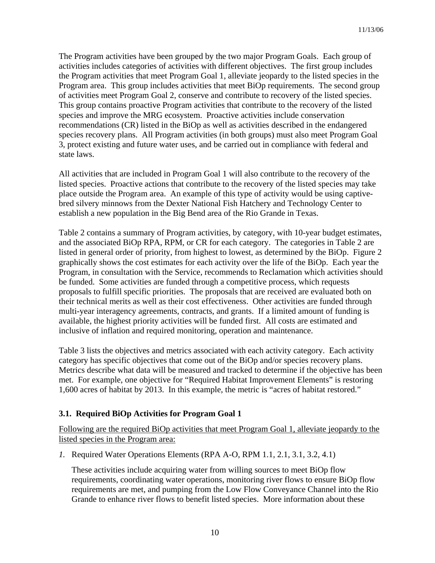The Program activities have been grouped by the two major Program Goals. Each group of activities includes categories of activities with different objectives. The first group includes the Program activities that meet Program Goal 1, alleviate jeopardy to the listed species in the Program area. This group includes activities that meet BiOp requirements. The second group of activities meet Program Goal 2, conserve and contribute to recovery of the listed species. This group contains proactive Program activities that contribute to the recovery of the listed species and improve the MRG ecosystem. Proactive activities include conservation recommendations (CR) listed in the BiOp as well as activities described in the endangered species recovery plans. All Program activities (in both groups) must also meet Program Goal 3, protect existing and future water uses, and be carried out in compliance with federal and state laws.

All activities that are included in Program Goal 1 will also contribute to the recovery of the listed species. Proactive actions that contribute to the recovery of the listed species may take place outside the Program area. An example of this type of activity would be using captivebred silvery minnows from the Dexter National Fish Hatchery and Technology Center to establish a new population in the Big Bend area of the Rio Grande in Texas.

Table 2 contains a summary of Program activities, by category, with 10-year budget estimates, and the associated BiOp RPA, RPM, or CR for each category. The categories in Table 2 are listed in general order of priority, from highest to lowest, as determined by the BiOp. Figure 2 graphically shows the cost estimates for each activity over the life of the BiOp. Each year the Program, in consultation with the Service, recommends to Reclamation which activities should be funded. Some activities are funded through a competitive process, which requests proposals to fulfill specific priorities. The proposals that are received are evaluated both on their technical merits as well as their cost effectiveness. Other activities are funded through multi-year interagency agreements, contracts, and grants. If a limited amount of funding is available, the highest priority activities will be funded first. All costs are estimated and inclusive of inflation and required monitoring, operation and maintenance.

Table 3 lists the objectives and metrics associated with each activity category. Each activity category has specific objectives that come out of the BiOp and/or species recovery plans. Metrics describe what data will be measured and tracked to determine if the objective has been met. For example, one objective for "Required Habitat Improvement Elements" is restoring 1,600 acres of habitat by 2013. In this example, the metric is "acres of habitat restored."

# **3.1. Required BiOp Activities for Program Goal 1**

Following are the required BiOp activities that meet Program Goal 1, alleviate jeopardy to the listed species in the Program area:

*1.* Required Water Operations Elements (RPA A-O, RPM 1.1, 2.1, 3.1, 3.2, 4.1)

These activities include acquiring water from willing sources to meet BiOp flow requirements, coordinating water operations, monitoring river flows to ensure BiOp flow requirements are met, and pumping from the Low Flow Conveyance Channel into the Rio Grande to enhance river flows to benefit listed species. More information about these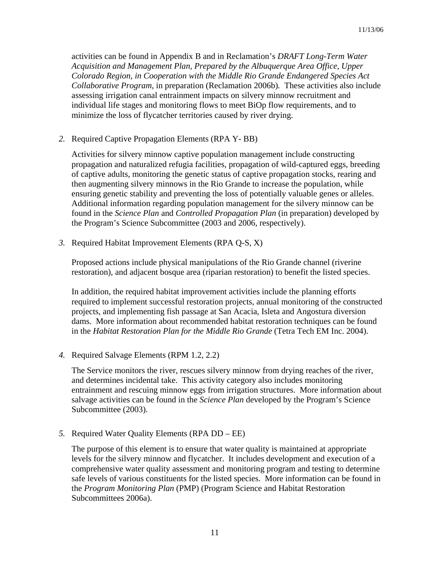activities can be found in Appendix B and in Reclamation's *DRAFT Long-Term Water Acquisition and Management Plan, Prepared by the Albuquerque Area Office, Upper Colorado Region, in Cooperation with the Middle Rio Grande Endangered Species Act Collaborative Program,* in preparation (Reclamation 2006b)*.* These activities also include assessing irrigation canal entrainment impacts on silvery minnow recruitment and individual life stages and monitoring flows to meet BiOp flow requirements, and to minimize the loss of flycatcher territories caused by river drying.

*2.* Required Captive Propagation Elements (RPA Y- BB)

Activities for silvery minnow captive population management include constructing propagation and naturalized refugia facilities, propagation of wild-captured eggs, breeding of captive adults, monitoring the genetic status of captive propagation stocks, rearing and then augmenting silvery minnows in the Rio Grande to increase the population, while ensuring genetic stability and preventing the loss of potentially valuable genes or alleles. Additional information regarding population management for the silvery minnow can be found in the *Science Plan* and *Controlled Propagation Plan* (in preparation) developed by the Program's Science Subcommittee (2003 and 2006, respectively).

*3.* Required Habitat Improvement Elements (RPA Q-S, X)

Proposed actions include physical manipulations of the Rio Grande channel (riverine restoration), and adjacent bosque area (riparian restoration) to benefit the listed species.

In addition, the required habitat improvement activities include the planning efforts required to implement successful restoration projects, annual monitoring of the constructed projects, and implementing fish passage at San Acacia, Isleta and Angostura diversion dams. More information about recommended habitat restoration techniques can be found in the *Habitat Restoration Plan for the Middle Rio Grande* (Tetra Tech EM Inc. 2004).

*4.* Required Salvage Elements (RPM 1.2, 2.2)

The Service monitors the river, rescues silvery minnow from drying reaches of the river, and determines incidental take. This activity category also includes monitoring entrainment and rescuing minnow eggs from irrigation structures. More information about salvage activities can be found in the *Science Plan* developed by the Program's Science Subcommittee (2003).

*5.* Required Water Quality Elements (RPA DD – EE)

The purpose of this element is to ensure that water quality is maintained at appropriate levels for the silvery minnow and flycatcher. It includes development and execution of a comprehensive water quality assessment and monitoring program and testing to determine safe levels of various constituents for the listed species. More information can be found in the *Program Monitoring Plan* (PMP) (Program Science and Habitat Restoration Subcommittees 2006a).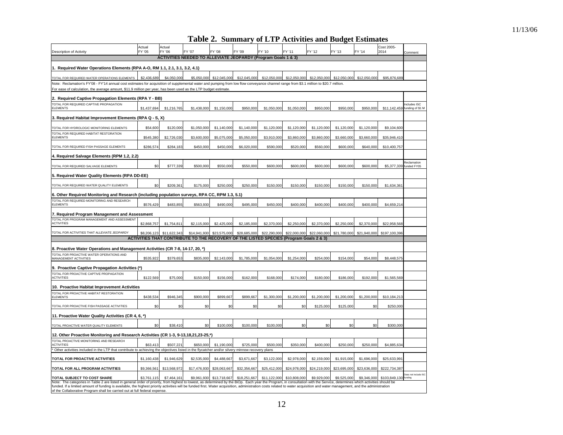#### **Table 2. Summary of LTP Activities and Budget Estimates**

| <b>Description of Activity</b>                                                                                                                                                                                                                                                                                                                                                                                                                             | Actual<br>FY '05 | Actual<br>FY '06 | FY '07                                                                                 | FY '08       | FY '09       | FY '10       | FY '11       | FY '12       | FY '13       | FY '14       | Cost 2005-<br>2014      | Comment                          |
|------------------------------------------------------------------------------------------------------------------------------------------------------------------------------------------------------------------------------------------------------------------------------------------------------------------------------------------------------------------------------------------------------------------------------------------------------------|------------------|------------------|----------------------------------------------------------------------------------------|--------------|--------------|--------------|--------------|--------------|--------------|--------------|-------------------------|----------------------------------|
|                                                                                                                                                                                                                                                                                                                                                                                                                                                            |                  |                  | <b>ACTIVITIES NEEDED TO ALLEVIATE JEOPARDY (Program Goals 1 &amp; 3)</b>               |              |              |              |              |              |              |              |                         |                                  |
| 1. Required Water Operations Elements (RPA A-O, RM 1.1, 2.1, 3.1, 3.2, 4.1)                                                                                                                                                                                                                                                                                                                                                                                |                  |                  |                                                                                        |              |              |              |              |              |              |              |                         |                                  |
| TOTAL FOR REQUIRED WATER OPERATIONS ELEMENTS                                                                                                                                                                                                                                                                                                                                                                                                               | \$2,436,689      | \$4,050,000      | \$5,050,000                                                                            | \$12,045,000 | \$12,045,000 | \$12,050,000 | \$12,050,000 | \$12,050,000 | \$12,050,000 | \$12,050,000 | \$95,876,68             |                                  |
| Note: Reclamation's FY'08 - FY'14 annual cost estimates for acquisition of supplemental water and pumping from low flow conveyance channel range from \$3.1 million to \$20.7 million.<br>For ease of calculation, the average amount, \$11.9 million per year, has been used as the LTP budget estimate.                                                                                                                                                  |                  |                  |                                                                                        |              |              |              |              |              |              |              |                         |                                  |
| 2. Required Captive Propagation Elements (RPA Y - BB)                                                                                                                                                                                                                                                                                                                                                                                                      |                  |                  |                                                                                        |              |              |              |              |              |              |              |                         |                                  |
| TOTAL FOR REQUIRED CAPTIVE PROPAGATION<br><b>ELEMENTS</b>                                                                                                                                                                                                                                                                                                                                                                                                  | \$1,437,694      | \$1,216,765      | \$1,438,000                                                                            | \$1,150,000  | \$950,000    | \$1,050,000  | \$1,050,000  | \$950,000    | \$950,000    | \$950,000    | \$11,142,459            | Includes ISC<br>funding of \$1 M |
| 3. Required Habitat Improvement Elements (RPA Q - S, X)                                                                                                                                                                                                                                                                                                                                                                                                    |                  |                  |                                                                                        |              |              |              |              |              |              |              |                         |                                  |
| TOTAL FOR HYDROLOGIC MONITORING FLEMENTS                                                                                                                                                                                                                                                                                                                                                                                                                   | \$54,600         | \$120,000        | \$1,050,000                                                                            | \$1,140,000  | \$1,140,000  | \$1,120,000  | \$1,120,000  | \$1,120,000  | \$1,120,000  | \$1,120,000  | \$9,104,600             |                                  |
| TOTAL FOR REQUIRED HABITAT RESTORATION<br><b>ELEMENTS</b>                                                                                                                                                                                                                                                                                                                                                                                                  | \$545,380        | \$2,726,030      | \$3,600,000                                                                            | \$5,075,000  | \$5,050,000  | \$3,910,000  | \$3,860,000  | \$3,860,000  | \$3,660,000  | \$3,660,000  | \$35,946,410            |                                  |
| TOTAL FOR REQUIRED FISH PASSAGE ELEMENTS                                                                                                                                                                                                                                                                                                                                                                                                                   | \$286,574        | \$284,183        | \$450,000                                                                              | \$450,000    | \$6,020,000  | \$590,000    | \$520,000    | \$560,000    | \$600,000    | \$640,000    | \$10,400,757            |                                  |
| 4. Required Salvage Elements (RPM 1.2, 2.2)                                                                                                                                                                                                                                                                                                                                                                                                                |                  |                  |                                                                                        |              |              |              |              |              |              |              |                         |                                  |
| TOTAL FOR REQUIRED SALVAGE ELEMENTS                                                                                                                                                                                                                                                                                                                                                                                                                        | \$0              | \$777,339        | \$500,000                                                                              | \$550,000    | \$550,000    | \$600,000    | \$600,000    | \$600,000    | \$600,000    | \$600,000    | \$5,377,339 funded FY05 | Reclamation                      |
| 5. Required Water Quality Elements (RPA DD-EE)                                                                                                                                                                                                                                                                                                                                                                                                             |                  |                  |                                                                                        |              |              |              |              |              |              |              |                         |                                  |
| TOTAL FOR REQUIRED WATER QUALITY ELEMENTS                                                                                                                                                                                                                                                                                                                                                                                                                  | \$0              | \$209,361        | \$175,000                                                                              | \$250,000    | \$250,000    | \$150,000    | \$150,000    | \$150,000    | \$150,000    | \$150,000    | \$1,634,361             |                                  |
| 6. Other Required Monitoring and Research (including population surveys, RPA CC, RPM 1.3, 5.1)                                                                                                                                                                                                                                                                                                                                                             |                  |                  |                                                                                        |              |              |              |              |              |              |              |                         |                                  |
| TOTAL FOR REQUIRED MONITORING AND RESEARCH<br><b>ELEMENTS</b>                                                                                                                                                                                                                                                                                                                                                                                              | \$576,429        | \$483,855        | \$563,930                                                                              | \$490,000    | \$495,000    | \$450,000    | \$400,000    | \$400,000    | \$400,000    | \$400,000    | \$4,659,214             |                                  |
| 7. Required Program Management and Assessment                                                                                                                                                                                                                                                                                                                                                                                                              |                  |                  |                                                                                        |              |              |              |              |              |              |              |                         |                                  |
| TOTAL FOR PROGRAM MANAGEMENT AND ASSESSMENT<br><b>ACTIVITIES</b>                                                                                                                                                                                                                                                                                                                                                                                           | \$2,868,757      | \$1,754,811      | \$2,115,000                                                                            | \$2,425,000  | \$2,185,000  | \$2,370,000  | \$2,250,000  | \$2,370,000  | \$2,250,000  | \$2,370,000  | \$22,958,568            |                                  |
| TOTAL FOR ACTIVITIES THAT ALLEVIATE JEOPARDY                                                                                                                                                                                                                                                                                                                                                                                                               | \$8,206,123      | \$11,622,343     | \$14,941,930                                                                           | \$23,575,000 | \$28,685,000 | \$22,290,000 | \$22,000,000 | \$22,060,000 | \$21,780,000 | \$21,940,000 | \$197,100,396           |                                  |
|                                                                                                                                                                                                                                                                                                                                                                                                                                                            |                  |                  | ACTIVITIES THAT CONTRIBUTE TO THE RECOVERY OF THE LISTED SPECIES (Program Goals 2 & 3) |              |              |              |              |              |              |              |                         |                                  |
| 8. Proactive Water Operations and Management Activities (CR 7-8, 14-17, 20, *)                                                                                                                                                                                                                                                                                                                                                                             |                  |                  |                                                                                        |              |              |              |              |              |              |              |                         |                                  |
| TOTAL FOR PROACTIVE WATER OPERATIONS AND<br>MANAGEMENT ACTIVITIES                                                                                                                                                                                                                                                                                                                                                                                          | \$535,922        | \$379,653        | \$835,000                                                                              | \$2,143,000  | \$1,785,000  | \$1,054,000  | \$1,254,000  | \$254,000    | \$154,000    | \$54,000     | \$8,448,575             |                                  |
| 9. Proactive Captive Propagation Activities (*)                                                                                                                                                                                                                                                                                                                                                                                                            |                  |                  |                                                                                        |              |              |              |              |              |              |              |                         |                                  |
| TOTAL FOR PROACTIVE CAPTIVE PROPAGATION<br><b>ACTIVITIES</b>                                                                                                                                                                                                                                                                                                                                                                                               | \$122,569        | \$75,000         | \$150,000                                                                              | \$156,000    | \$162,000    | \$168,000    | \$174,000    | \$180,000    | \$186,000    | \$192,000    | \$1,565,569             |                                  |
| 10. Proactive Habitat Improvement Activities                                                                                                                                                                                                                                                                                                                                                                                                               |                  |                  |                                                                                        |              |              |              |              |              |              |              |                         |                                  |
| TOTAL FOR PROACTIVE HABITAT RESTORATION<br><b>ELEMENTS</b>                                                                                                                                                                                                                                                                                                                                                                                                 | \$438,534        | \$946,345        | \$900,000                                                                              | \$899,667    | \$899,667    | \$1,300,000  | \$1,200,000  | \$1,200,000  | \$1,200,000  | \$1,200,000  | \$10,184,213            |                                  |
| TOTAL FOR PROACTIVE FISH PASSAGE ACTIVITIES                                                                                                                                                                                                                                                                                                                                                                                                                | \$0              | \$0              | \$0                                                                                    | \$0          | \$0          | \$0          | \$0          | \$125,000    | \$125,000    | \$0          | \$250,000               |                                  |
| 11. Proactive Water Quality Activities (CR 4, 6, *)                                                                                                                                                                                                                                                                                                                                                                                                        |                  |                  |                                                                                        |              |              |              |              |              |              |              |                         |                                  |
| TOTAL PROACTIVE WATER QUALITY ELEMENTS                                                                                                                                                                                                                                                                                                                                                                                                                     | \$0              | \$38,410         | \$0                                                                                    | \$100,000    | \$100,000    | \$100,000    | \$0          | \$0          | \$0          | \$0          | \$300,000               |                                  |
| 12. Other Proactive Monitoring and Research Activities (CR 1-3, 9-13,18,21,23-25,*)                                                                                                                                                                                                                                                                                                                                                                        |                  |                  |                                                                                        |              |              |              |              |              |              |              |                         |                                  |
| TOTAL PROACTIVE MONITORING AND RESEARCH<br><b>ACTIVITIES</b>                                                                                                                                                                                                                                                                                                                                                                                               | \$63,413         | \$507,221        | \$650,000                                                                              | \$1,190,000  | \$725,000    | \$500,000    | \$350,000    | \$400,000    | \$250,000    | \$250,000    | \$4,885,634             |                                  |
| Other activities included in the LTP that contribute to achieving the objectives listed in the flycatcher and/or silvery minnow recovery plans<br>TOTAL FOR PROACTIVE ACTIVITIES                                                                                                                                                                                                                                                                           | \$1,160,438      | \$1,946,629      | \$2,535,000                                                                            | \$4,488,667  | \$3,671,667  | \$3,122,000  | \$2,978,000  | \$2,159,000  | \$1,915,000  | \$1,696,000  | \$25,633,991            |                                  |
| TOTAL FOR ALL PROGRAM ACTIVITIES                                                                                                                                                                                                                                                                                                                                                                                                                           | \$9,366,561      | \$13,568,972     | \$17,476,930                                                                           | \$28,063,667 | \$32,356,667 | \$25,412,000 | \$24,978,000 | \$24,219,000 | \$23,695,000 | \$23,636,000 | \$222.734.387           |                                  |
| TOTAL SUBJECT TO COST SHARE                                                                                                                                                                                                                                                                                                                                                                                                                                | \$3,761,115      | \$7,464,161      | \$9,961,930                                                                            | \$13,718,667 | \$18,251,667 | \$11,122,000 | \$10,808,000 | \$9,929,000  | \$9,525,000  | \$9,346,000  | \$103,849,130           | Does not include ISO             |
| Note: The categories in Table 2 are listed in general order of priority, from highest to lowest, as determined by the BiOp. Each year the Program, in consultation with the Service, determines which activities should be<br>funded. If a limited amount of funding is available, the highest priority activities will be funded first. Water acquisition, administration costs related to water acquisition and water management, and the administration |                  |                  |                                                                                        |              |              |              |              |              |              |              |                         |                                  |
| of the Collaborative Program shall be carried out at full federal expense.                                                                                                                                                                                                                                                                                                                                                                                 |                  |                  |                                                                                        |              |              |              |              |              |              |              |                         |                                  |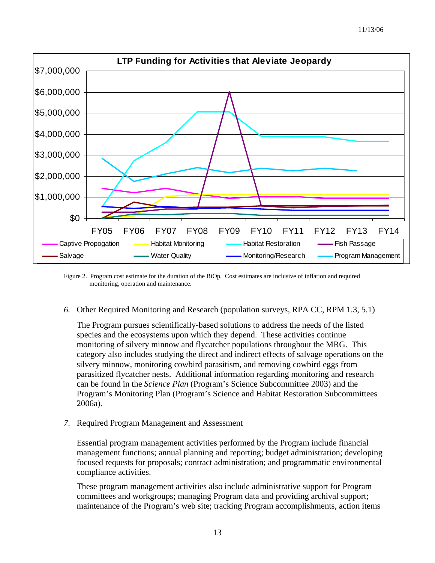

Figure 2. Program cost estimate for the duration of the BiOp. Cost estimates are inclusive of inflation and required monitoring, operation and maintenance.

*6.* Other Required Monitoring and Research (population surveys, RPA CC, RPM 1.3, 5.1)

The Program pursues scientifically-based solutions to address the needs of the listed species and the ecosystems upon which they depend. These activities continue monitoring of silvery minnow and flycatcher populations throughout the MRG. This category also includes studying the direct and indirect effects of salvage operations on the silvery minnow, monitoring cowbird parasitism, and removing cowbird eggs from parasitized flycatcher nests. Additional information regarding monitoring and research can be found in the *Science Plan* (Program's Science Subcommittee 2003) and the Program's Monitoring Plan (Program's Science and Habitat Restoration Subcommittees 2006a).

*7.* Required Program Management and Assessment

Essential program management activities performed by the Program include financial management functions; annual planning and reporting; budget administration; developing focused requests for proposals; contract administration; and programmatic environmental compliance activities.

These program management activities also include administrative support for Program committees and workgroups; managing Program data and providing archival support; maintenance of the Program's web site; tracking Program accomplishments, action items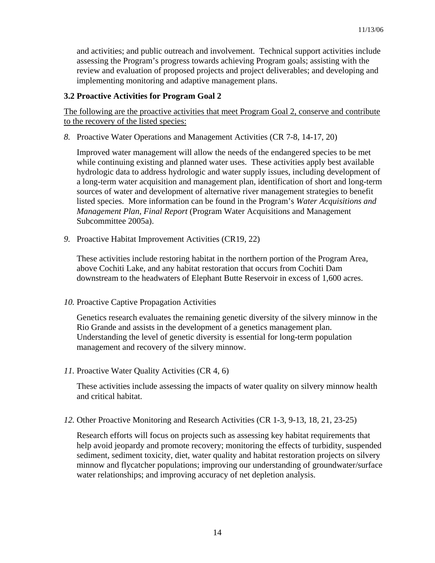and activities; and public outreach and involvement. Technical support activities include assessing the Program's progress towards achieving Program goals; assisting with the review and evaluation of proposed projects and project deliverables; and developing and implementing monitoring and adaptive management plans.

# **3.2 Proactive Activities for Program Goal 2**

The following are the proactive activities that meet Program Goal 2, conserve and contribute to the recovery of the listed species:

*8.* Proactive Water Operations and Management Activities (CR 7-8, 14-17, 20)

Improved water management will allow the needs of the endangered species to be met while continuing existing and planned water uses. These activities apply best available hydrologic data to address hydrologic and water supply issues, including development of a long-term water acquisition and management plan, identification of short and long-term sources of water and development of alternative river management strategies to benefit listed species. More information can be found in the Program's *Water Acquisitions and Management Plan, Final Report* (Program Water Acquisitions and Management Subcommittee 2005a).

*9.* Proactive Habitat Improvement Activities (CR19, 22)

These activities include restoring habitat in the northern portion of the Program Area, above Cochiti Lake, and any habitat restoration that occurs from Cochiti Dam downstream to the headwaters of Elephant Butte Reservoir in excess of 1,600 acres.

*10.* Proactive Captive Propagation Activities

Genetics research evaluates the remaining genetic diversity of the silvery minnow in the Rio Grande and assists in the development of a genetics management plan. Understanding the level of genetic diversity is essential for long-term population management and recovery of the silvery minnow.

*11.* Proactive Water Quality Activities (CR 4, 6)

These activities include assessing the impacts of water quality on silvery minnow health and critical habitat.

*12.* Other Proactive Monitoring and Research Activities (CR 1-3, 9-13, 18, 21, 23-25)

Research efforts will focus on projects such as assessing key habitat requirements that help avoid jeopardy and promote recovery; monitoring the effects of turbidity, suspended sediment, sediment toxicity, diet, water quality and habitat restoration projects on silvery minnow and flycatcher populations; improving our understanding of groundwater/surface water relationships; and improving accuracy of net depletion analysis.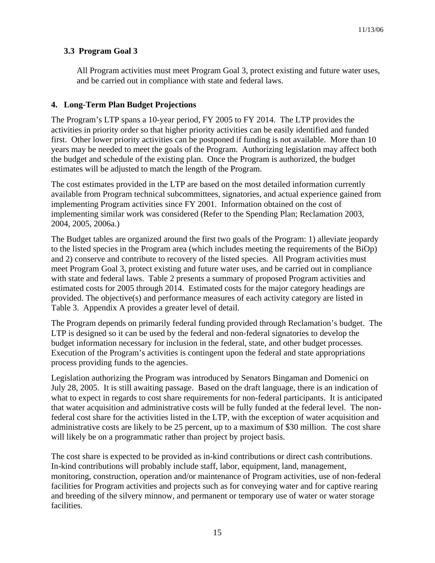# **3.3 Program Goal 3**

All Program activities must meet Program Goal 3, protect existing and future water uses, and be carried out in compliance with state and federal laws.

# **4. Long-Term Plan Budget Projections**

The Program's LTP spans a 10-year period, FY 2005 to FY 2014. The LTP provides the activities in priority order so that higher priority activities can be easily identified and funded first. Other lower priority activities can be postponed if funding is not available. More than 10 years may be needed to meet the goals of the Program. Authorizing legislation may affect both the budget and schedule of the existing plan. Once the Program is authorized, the budget estimates will be adjusted to match the length of the Program.

The cost estimates provided in the LTP are based on the most detailed information currently available from Program technical subcommittees, signatories, and actual experience gained from implementing Program activities since FY 2001. Information obtained on the cost of implementing similar work was considered (Refer to the Spending Plan; Reclamation 2003, 2004, 2005, 2006a.)

The Budget tables are organized around the first two goals of the Program: 1) alleviate jeopardy to the listed species in the Program area (which includes meeting the requirements of the BiOp) and 2) conserve and contribute to recovery of the listed species. All Program activities must meet Program Goal 3, protect existing and future water uses, and be carried out in compliance with state and federal laws. Table 2 presents a summary of proposed Program activities and estimated costs for 2005 through 2014. Estimated costs for the major category headings are provided. The objective(s) and performance measures of each activity category are listed in Table 3. Appendix A provides a greater level of detail.

The Program depends on primarily federal funding provided through Reclamation's budget. The LTP is designed so it can be used by the federal and non-federal signatories to develop the budget information necessary for inclusion in the federal, state, and other budget processes. Execution of the Program's activities is contingent upon the federal and state appropriations process providing funds to the agencies.

Legislation authorizing the Program was introduced by Senators Bingaman and Domenici on July 28, 2005. It is still awaiting passage. Based on the draft language, there is an indication of what to expect in regards to cost share requirements for non-federal participants. It is anticipated that water acquisition and administrative costs will be fully funded at the federal level. The nonfederal cost share for the activities listed in the LTP, with the exception of water acquisition and administrative costs are likely to be 25 percent, up to a maximum of \$30 million. The cost share will likely be on a programmatic rather than project by project basis.

The cost share is expected to be provided as in-kind contributions or direct cash contributions. In-kind contributions will probably include staff, labor, equipment, land, management, monitoring, construction, operation and/or maintenance of Program activities, use of non-federal facilities for Program activities and projects such as for conveying water and for captive rearing and breeding of the silvery minnow, and permanent or temporary use of water or water storage facilities.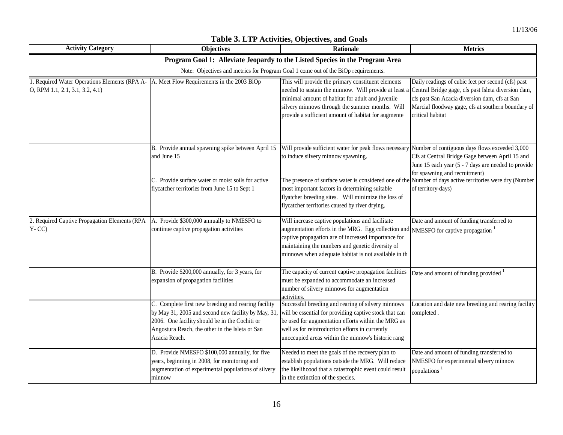┑

| <b>Activity Category</b>                                                        | <b>Objectives</b>                                                                                                                                                                                                               | <b>Rationale</b>                                                                                                                                                                                                                                                                                                              | <b>Metrics</b>                                                                                                                                                                            |
|---------------------------------------------------------------------------------|---------------------------------------------------------------------------------------------------------------------------------------------------------------------------------------------------------------------------------|-------------------------------------------------------------------------------------------------------------------------------------------------------------------------------------------------------------------------------------------------------------------------------------------------------------------------------|-------------------------------------------------------------------------------------------------------------------------------------------------------------------------------------------|
|                                                                                 |                                                                                                                                                                                                                                 | Program Goal 1: Alleviate Jeopardy to the Listed Species in the Program Area                                                                                                                                                                                                                                                  |                                                                                                                                                                                           |
|                                                                                 |                                                                                                                                                                                                                                 | Note: Objectives and metrics for Program Goal 1 come out of the BiOp requirements.                                                                                                                                                                                                                                            |                                                                                                                                                                                           |
| . Required Water Operations Elements (RPA A-<br>O, RPM 1.1, 2.1, 3.1, 3.2, 4.1) | A. Meet Flow Requirements in the 2003 BiOp                                                                                                                                                                                      | This will provide the primary constituent elements<br>needed to sustain the minnow. Will provide at least a Central Bridge gage, cfs past Isleta diversion dam,<br>minimal amount of habitat for adult and juvenile<br>silvery minnows through the summer months. Will<br>provide a sufficient amount of habitat for augmente | Daily readings of cubic feet per second (cfs) past<br>cfs past San Acacia diversion dam, cfs at San<br>Marcial floodway gage, cfs at southern boundary of<br>critical habitat             |
|                                                                                 | B. Provide annual spawning spike between April 15<br>and June 15                                                                                                                                                                | Will provide sufficient water for peak flows necessary<br>to induce silvery minnow spawning.                                                                                                                                                                                                                                  | Number of contiguous days flows exceeded 3,000<br>Cfs at Central Bridge Gage between April 15 and<br>June 15 each year (5 - 7 days are needed to provide<br>for spawning and recruitment) |
|                                                                                 | C. Provide surface water or moist soils for active<br>flycatcher territories from June 15 to Sept 1                                                                                                                             | The presence of surface water is considered one of the Number of days active territories were dry (Number<br>most important factors in determining suitable<br>flyatcher breeding sites. Will minimize the loss of<br>flycatcher territories caused by river drying.                                                          | of territory-days)                                                                                                                                                                        |
| 2. Required Captive Propagation Elements (RPA<br>$Y - CC$                       | A. Provide \$300,000 annually to NMESFO to<br>continue captive propagation activities                                                                                                                                           | Will increase captive populations and facilitate<br>augmentation efforts in the MRG. Egg collection and NMESFO for captive propagation <sup>1</sup><br>captive propagation are of increased importance for<br>maintaining the numbers and genetic diversity of<br>minnows when adequate habitat is not available in th        | Date and amount of funding transferred to                                                                                                                                                 |
|                                                                                 | B. Provide \$200,000 annually, for 3 years, for<br>expansion of propagation facilities                                                                                                                                          | The capacity of current captive propagation facilities<br>must be expanded to accommodate an increased<br>number of silvery minnows for augmentation<br>activities.                                                                                                                                                           | Date and amount of funding provided <sup>1</sup>                                                                                                                                          |
|                                                                                 | C. Complete first new breeding and rearing facility<br>by May 31, 2005 and second new facility by May, 31<br>2006. One facility should be in the Cochiti or<br>Angostura Reach, the other in the Isleta or San<br>Acacia Reach. | Successful breeding and rearing of silvery minnows<br>will be essential for providing captive stock that can<br>be used for augmentation efforts within the MRG as<br>well as for reintroduction efforts in currently<br>unoccupied areas within the minnow's historic rang                                                   | Location and date new breeding and rearing facility<br>completed.                                                                                                                         |
|                                                                                 | D. Provide NMESFO \$100,000 annually, for five<br>years, beginning in 2008, for monitoring and<br>augmentation of experimental populations of silvery<br>minnow                                                                 | Needed to meet the goals of the recovery plan to<br>establish populations outside the MRG. Will reduce<br>the likelihoood that a catastrophic event could result<br>in the extinction of the species.                                                                                                                         | Date and amount of funding transferred to<br>NMESFO for experimental silvery minnow<br>populations <sup>1</sup>                                                                           |

# **Table 3. LTP Activities, Objectives, and Goals**

Г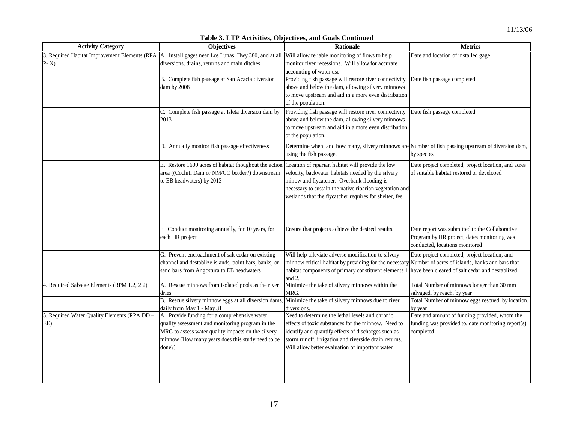|                                              | 3. Required Habitat Improvement Elements (RPA A. Install gages near Los Lunas, Hwy 380, and at all Will allow reliable monitoring of flows to help |                                                                                                          | Date and location of installed gage                      |
|----------------------------------------------|----------------------------------------------------------------------------------------------------------------------------------------------------|----------------------------------------------------------------------------------------------------------|----------------------------------------------------------|
| $P-X$                                        | diversions, drains, returns and main ditches                                                                                                       | monitor river recessions. Will allow for accurate                                                        |                                                          |
|                                              |                                                                                                                                                    | accounting of water use.                                                                                 |                                                          |
|                                              | B. Complete fish passage at San Acacia diversion                                                                                                   | Providing fish passage will restore river connectivity                                                   | Date fish passage completed                              |
|                                              | dam by 2008                                                                                                                                        | above and below the dam, allowing silvery minnows                                                        |                                                          |
|                                              |                                                                                                                                                    | to move upstream and aid in a more even distribution                                                     |                                                          |
|                                              |                                                                                                                                                    | of the population.                                                                                       |                                                          |
|                                              | C. Complete fish passage at Isleta diversion dam by                                                                                                | Providing fish passage will restore river connectivity                                                   | Date fish passage completed                              |
|                                              | 2013                                                                                                                                               | above and below the dam, allowing silvery minnows                                                        |                                                          |
|                                              |                                                                                                                                                    | to move upstream and aid in a more even distribution                                                     |                                                          |
|                                              |                                                                                                                                                    | of the population.                                                                                       |                                                          |
|                                              | D. Annually monitor fish passage effectiveness                                                                                                     | Determine when, and how many, silvery minnows are Number of fish passing upstream of diversion dam,      |                                                          |
|                                              |                                                                                                                                                    | using the fish passage.                                                                                  | by species                                               |
|                                              | E. Restore 1600 acres of habitat thoughout the action                                                                                              | Creation of riparian habitat will provide the low                                                        | Date project completed, project location, and acres      |
|                                              | area ((Cochiti Dam or NM/CO border?) downstream                                                                                                    | velocity, backwater habitats needed by the silvery                                                       | of suitable habitat restored or developed                |
|                                              | to EB headwaters) by 2013                                                                                                                          | minow and flycatcher. Overbank flooding is                                                               |                                                          |
|                                              |                                                                                                                                                    | necessary to sustain the native riparian vegetation and                                                  |                                                          |
|                                              |                                                                                                                                                    | wetlands that the flycatcher requires for shelter, fee                                                   |                                                          |
|                                              |                                                                                                                                                    |                                                                                                          |                                                          |
|                                              |                                                                                                                                                    |                                                                                                          |                                                          |
|                                              |                                                                                                                                                    |                                                                                                          |                                                          |
|                                              | F. Conduct monitoring annually, for 10 years, for                                                                                                  | Ensure that projects achieve the desired results.                                                        | Date report was submitted to the Collaborative           |
|                                              | each HR project                                                                                                                                    |                                                                                                          | Program by HR project, dates monitoring was              |
|                                              |                                                                                                                                                    |                                                                                                          | conducted, locations monitored                           |
|                                              | G. Prevent encroachment of salt cedar on existing                                                                                                  | Will help alleviate adverse modification to silvery                                                      | Date project completed, project location, and            |
|                                              | channel and destablize islands, point bars, banks, or                                                                                              | minnow critical habitat by providing for the necessary Number of acres of islands, banks and bars that   |                                                          |
|                                              | sand bars from Angostura to EB headwaters                                                                                                          | habitat components of primary constituent elements 1<br>and 2                                            | have been cleared of salt cedar and destablized          |
| 4. Required Salvage Elements (RPM 1.2, 2.2)  | A. Rescue minnows from isolated pools as the river                                                                                                 | Minimize the take of silvery minnows within the                                                          | Total Number of minnows longer than 30 mm                |
|                                              | dries                                                                                                                                              | MRG.                                                                                                     | salvaged, by reach, by year                              |
|                                              | B. Rescue silvery minnow eggs at all diversion dams,                                                                                               | Minimize the take of silvery minnows due to river                                                        | Total Number of minnow eggs rescued, by location,        |
| 5. Required Water Quality Elements (RPA DD - | daily from May 1 - May 31<br>A. Provide funding for a comprehensive water                                                                          | diversions.<br>Need to determine the lethal levels and chronic                                           | by year<br>Date and amount of funding provided, whom the |
| EE)                                          | quality assessment and monitoring program in the                                                                                                   | effects of toxic substances for the minnow. Need to                                                      | funding was provided to, date monitoring report(s)       |
|                                              |                                                                                                                                                    |                                                                                                          |                                                          |
|                                              | MRG to assess water quality impacts on the silvery                                                                                                 | identify and quantify effects of discharges such as                                                      | completed                                                |
|                                              | minnow (How many years does this study need to be<br>done?)                                                                                        | storm runoff, irrigation and riverside drain returns.<br>Will allow better evaluation of important water |                                                          |
|                                              |                                                                                                                                                    |                                                                                                          |                                                          |
|                                              |                                                                                                                                                    |                                                                                                          |                                                          |

#### **Table 3. LTP Activities, Objectives, and Goals Continued Activity Category Objectives COD Rationale Rationale Rationale Metrics**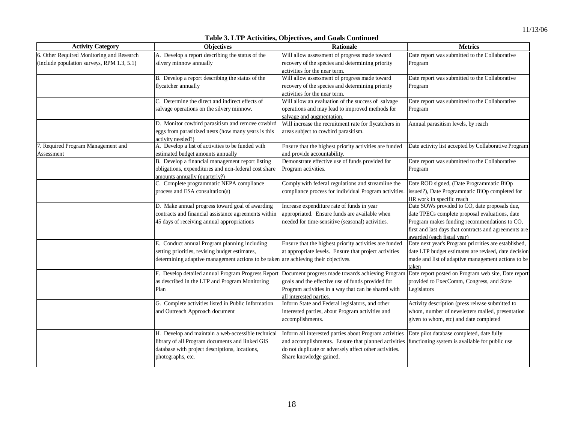| <b>Activity Category</b>                   | <b>Objectives</b>                                                                   | <b>Rationale</b>                                                                                    | <b>Metrics</b>                                                                     |  |  |  |  |
|--------------------------------------------|-------------------------------------------------------------------------------------|-----------------------------------------------------------------------------------------------------|------------------------------------------------------------------------------------|--|--|--|--|
| 6. Other Required Monitoring and Research  | A. Develop a report describing the status of the                                    | Will allow assessment of progress made toward                                                       | Date report was submitted to the Collaborative                                     |  |  |  |  |
| (include population surveys, RPM 1.3, 5.1) | silvery minnow annually                                                             | recovery of the species and determining priority                                                    | Program                                                                            |  |  |  |  |
|                                            |                                                                                     | activities for the near term.                                                                       |                                                                                    |  |  |  |  |
|                                            | B. Develop a report describing the status of the                                    | Will allow assessment of progress made toward                                                       | Date report was submitted to the Collaborative                                     |  |  |  |  |
|                                            | flycatcher annually                                                                 | recovery of the species and determining priority                                                    | Program                                                                            |  |  |  |  |
|                                            |                                                                                     | activities for the near term.                                                                       |                                                                                    |  |  |  |  |
|                                            | C. Determine the direct and indirect effects of                                     | Will allow an evaluation of the success of salvage                                                  | Date report was submitted to the Collaborative                                     |  |  |  |  |
|                                            | salvage operations on the silvery minnow.                                           | operations and may lead to improved methods for                                                     | Program                                                                            |  |  |  |  |
|                                            |                                                                                     | salvage and augmentation.                                                                           |                                                                                    |  |  |  |  |
|                                            | D. Monitor cowbird parasitism and remove cowbird                                    | Will increase the recruitment rate for flycatchers in                                               | Annual parasitism levels, by reach                                                 |  |  |  |  |
|                                            | eggs from parasitized nests (how many years is this                                 | areas subject to cowbird parasitism.                                                                |                                                                                    |  |  |  |  |
|                                            | activity needed?)                                                                   |                                                                                                     |                                                                                    |  |  |  |  |
| 7. Required Program Management and         | A. Develop a list of activities to be funded with                                   | Ensure that the highest priority activities are funded                                              | Date activity list accepted by Collaborative Program                               |  |  |  |  |
| Assessment                                 | estimated budget amounts annually                                                   | and provide accountability.                                                                         |                                                                                    |  |  |  |  |
|                                            | B. Develop a financial management report listing                                    | Demonstrate effective use of funds provided for                                                     | Date report was submitted to the Collaborative                                     |  |  |  |  |
|                                            | obligations, expenditures and non-federal cost share                                | Program activities.                                                                                 | Program                                                                            |  |  |  |  |
|                                            | amounts annually (quarterly?)                                                       |                                                                                                     |                                                                                    |  |  |  |  |
|                                            | C. Complete programmatic NEPA compliance                                            | Comply with federal regulations and streamline the                                                  | Date ROD signed, (Date Programmatic BiOp                                           |  |  |  |  |
|                                            | process and ESA consultation(s)                                                     | compliance process for individual Program activities.                                               | issued?), Date Programmatic BiOp completed for                                     |  |  |  |  |
|                                            |                                                                                     |                                                                                                     | HR work in specific reach                                                          |  |  |  |  |
|                                            | D. Make annual progress toward goal of awarding                                     | Increase expenditure rate of funds in year                                                          | Date SOWs provided to CO, date proposals due,                                      |  |  |  |  |
|                                            | contracts and financial assistance agreements within                                | appropriated. Ensure funds are available when                                                       | date TPECs complete proposal evaluations, date                                     |  |  |  |  |
|                                            | 45 days of receiving annual appropriations                                          | needed for time-sensitive (seasonal) activities.                                                    | Program makes funding recommendations to CO,                                       |  |  |  |  |
|                                            |                                                                                     |                                                                                                     | first and last days that contracts and agreements are                              |  |  |  |  |
|                                            | E. Conduct annual Program planning including                                        | Ensure that the highest priority activities are funded                                              | awarded (each fiscal year)<br>Date next year's Program priorities are established, |  |  |  |  |
|                                            | setting priorities, revising budget estimates,                                      | at appropriate levels. Ensure that project activities                                               | date LTP budget estimates are revised, date decision                               |  |  |  |  |
|                                            | determining adaptive management actions to be taken are achieving their objectives. |                                                                                                     | made and list of adaptive management actions to be                                 |  |  |  |  |
|                                            |                                                                                     |                                                                                                     | taken                                                                              |  |  |  |  |
|                                            |                                                                                     | F. Develop detailed annual Program Progress Report Document progress made towards achieving Program | Date report posted on Program web site, Date report                                |  |  |  |  |
|                                            | as described in the LTP and Program Monitoring                                      | goals and the effective use of funds provided for                                                   | provided to ExecComm, Congress, and State                                          |  |  |  |  |
|                                            | Plan                                                                                | Program activities in a way that can be shared with                                                 | Legislators                                                                        |  |  |  |  |
|                                            |                                                                                     | all interested parties.                                                                             |                                                                                    |  |  |  |  |
|                                            | G. Complete activities listed in Public Information                                 | Inform State and Federal legislators, and other                                                     | Activity description (press release submitted to                                   |  |  |  |  |
|                                            | and Outreach Approach document                                                      | interested parties, about Program activities and                                                    | whom, number of newsletters mailed, presentation                                   |  |  |  |  |
|                                            |                                                                                     | accomplishments.                                                                                    | given to whom, etc) and date completed                                             |  |  |  |  |
|                                            |                                                                                     |                                                                                                     |                                                                                    |  |  |  |  |
|                                            | H. Develop and maintain a web-accessible technical                                  | Inform all interested parties about Program activities                                              | Date pilot database completed, date fully                                          |  |  |  |  |
|                                            | library of all Program documents and linked GIS                                     | and accomplishments. Ensure that planned activities                                                 | functioning system is available for public use                                     |  |  |  |  |
|                                            | database with project descriptions, locations,                                      | do not duplicate or adversely affect other activities.                                              |                                                                                    |  |  |  |  |

**Table 3. LTP Activities, Objectives, and Goals Continued** 

Share knowledge gained.

photographs, etc.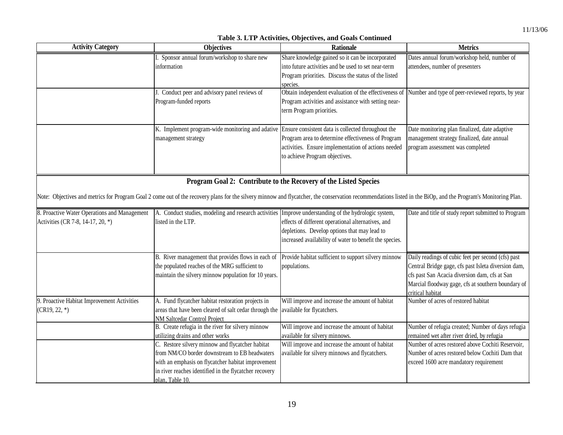| <b>Activity Category</b>                                                          | <b>Objectives</b>                                                                                                                                                                                                                    | <b>Rationale</b>                                                                                                                                                            | <b>Metrics</b>                                                                                                                                                                                                                       |
|-----------------------------------------------------------------------------------|--------------------------------------------------------------------------------------------------------------------------------------------------------------------------------------------------------------------------------------|-----------------------------------------------------------------------------------------------------------------------------------------------------------------------------|--------------------------------------------------------------------------------------------------------------------------------------------------------------------------------------------------------------------------------------|
|                                                                                   | I. Sponsor annual forum/workshop to share new<br>information                                                                                                                                                                         | Share knowledge gained so it can be incorporated<br>into future activities and be used to set near-term<br>Program priorities. Discuss the status of the listed<br>species. | Dates annual forum/workshop held, number of<br>attendees, number of presenters                                                                                                                                                       |
|                                                                                   | Conduct peer and advisory panel reviews of<br>Program-funded reports                                                                                                                                                                 | Obtain independent evaluation of the effectiveness of<br>Program activities and assistance with setting near-<br>term Program priorities.                                   | Number and type of peer-reviewed reports, by year                                                                                                                                                                                    |
|                                                                                   | K. Implement program-wide monitoring and adative Ensure consistent data is collected throughout the<br>management strategy                                                                                                           | Program area to determine effectiveness of Program<br>activities. Ensure implementation of actions needed<br>to achieve Program objectives.                                 | Date monitoring plan finalized, date adaptive<br>management strategy finalized, date annual<br>program assessment was completed                                                                                                      |
|                                                                                   | Note: Objectives and metrics for Program Goal 2 come out of the recovery plans for the silvery minnow and flycatcher, the conservation recommendations listed in the BiOp, and the Program's Monitoring Plan.                        | Program Goal 2: Contribute to the Recovery of the Listed Species                                                                                                            |                                                                                                                                                                                                                                      |
| 8. Proactive Water Operations and Management<br>Activities (CR 7-8, 14-17, 20, *) | A. Conduct studies, modeling and research activities Improve understanding of the hydrologic system,<br>listed in the LTP.                                                                                                           | effects of different operational alternatives, and<br>depletions. Develop options that may lead to<br>increased availability of water to benefit the species.               | Date and title of study report submitted to Program                                                                                                                                                                                  |
|                                                                                   | B. River management that provides flows in each of Provide habitat sufficient to support silvery minnow<br>the populated reaches of the MRG sufficient to<br>maintain the silvery minnow population for 10 years.                    | populations.                                                                                                                                                                | Daily readings of cubic feet per second (cfs) past<br>Central Bridge gage, cfs past Isleta diversion dam,<br>cfs past San Acacia diversion dam, cfs at San<br>Marcial floodway gage, cfs at southern boundary of<br>critical habitat |
| 9. Proactive Habitat Improvement Activities<br>$(CR19, 22, *)$                    | A. Fund flycatcher habitat restoration projects in<br>areas that have been cleared of salt cedar through the<br>NM Saltcedar Control Project                                                                                         | Will improve and increase the amount of habitat<br>available for flycatchers.                                                                                               | Number of acres of restored habitat                                                                                                                                                                                                  |
|                                                                                   | B. Create refugia in the river for silvery minnow<br>utilizing drains and other works                                                                                                                                                | Will improve and increase the amount of habitat<br>available for silvery minnows.                                                                                           | Number of refugia created; Number of days refugia<br>remained wet after river dried, by refugia                                                                                                                                      |
|                                                                                   | C. Restore silvery minnow and flycatcher habitat<br>from NM/CO border downstream to EB headwaters<br>with an emphasis on flycatcher habitat improvement<br>in river reaches identified in the flycatcher recovery<br>plan. Table 10. | Will improve and increase the amount of habitat<br>available for silvery minnows and flycatchers.                                                                           | Number of acres restored above Cochiti Reservoir,<br>Number of acres restored below Cochiti Dam that<br>exceed 1600 acre mandatory requirement                                                                                       |

#### **Table 3. LTP Activities, Objectives, and Goals Continued**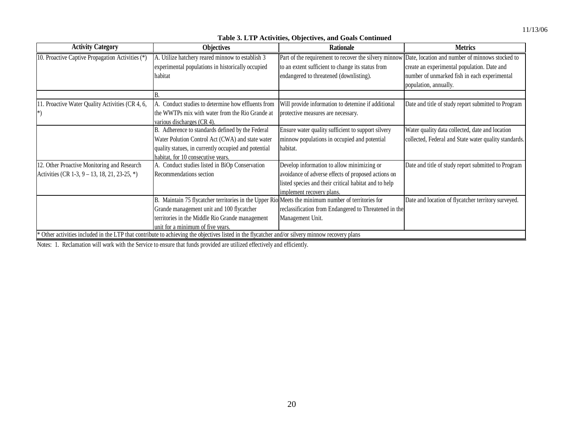#### **Table 3. LTP Activities, Objectives, and Goals Continued**

| <b>Activity Category</b>                         | <b>Objectives</b>                                                                                                                              | <b>Rationale</b>                                      | <b>Metrics</b>                                        |
|--------------------------------------------------|------------------------------------------------------------------------------------------------------------------------------------------------|-------------------------------------------------------|-------------------------------------------------------|
| 10. Proactive Captive Propagation Activities (*) | A. Utilize hatchery reared minnow to establish 3                                                                                               | Part of the requirement to recover the silvery minnow | Date, location and number of minnows stocked to       |
|                                                  | experimental populations in historically occupied                                                                                              | to an extent sufficient to change its status from     | create an experimental population. Date and           |
|                                                  | habitat                                                                                                                                        | endangered to threatened (downlisting).               | number of unmarked fish in each experimental          |
|                                                  |                                                                                                                                                |                                                       | population, annually.                                 |
|                                                  |                                                                                                                                                |                                                       |                                                       |
| 11. Proactive Water Quality Activities (CR 4, 6, | Conduct studies to determine how effluents from                                                                                                | Will provide information to detemine if additional    | Date and title of study report submitted to Program   |
|                                                  | the WWTPs mix with water from the Rio Grande at                                                                                                | protective measures are necessary.                    |                                                       |
|                                                  | various discharges (CR 4).                                                                                                                     |                                                       |                                                       |
|                                                  | Adherence to standards defined by the Federal<br>IB.                                                                                           | Ensure water quality sufficient to support silvery    | Water quality data collected, date and location       |
|                                                  | Water Polution Control Act (CWA) and state water                                                                                               | minnow populations in occupied and potential          | collected, Federal and State water quality standards. |
|                                                  | quality statues, in currently occupied and potential                                                                                           | habitat.                                              |                                                       |
|                                                  | habitat, for 10 consecutive vears.                                                                                                             |                                                       |                                                       |
| 12. Other Proactive Monitoring and Research      | A. Conduct studies listed in BiOp Conservation                                                                                                 | Develop information to allow minimizing or            | Date and title of study report submitted to Program   |
| Activities (CR 1-3, 9 – 13, 18, 21, 23-25, $*$ ) | Recommendations section                                                                                                                        | avoidance of adverse effects of proposed actions on   |                                                       |
|                                                  |                                                                                                                                                | listed species and their critical habitat and to help |                                                       |
|                                                  |                                                                                                                                                | implement recovery plans.                             |                                                       |
|                                                  | B. Maintain 75 flycatcher territories in the Upper Rio Meets the minimum number of territories for                                             |                                                       | Date and location of flycatcher territory surveyed.   |
|                                                  | Grande management unit and 100 flycatcher                                                                                                      | reclassification from Endangered to Threatened in the |                                                       |
|                                                  | territories in the Middle Rio Grande management                                                                                                | Management Unit.                                      |                                                       |
|                                                  | unit for a minimum of five years.                                                                                                              |                                                       |                                                       |
|                                                  | Other activities included in the LTP that contribute to achieving the objectives listed in the flycatcher and/or silvery minnow recovery plans |                                                       |                                                       |

Notes: 1. Reclamation will work with the Service to ensure that funds provided are utilized effectively and efficiently.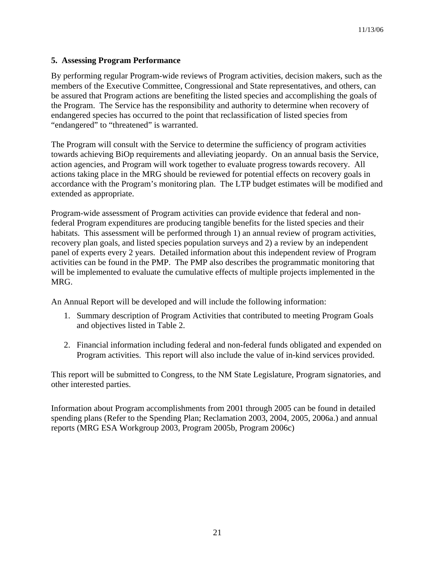# **5. Assessing Program Performance**

By performing regular Program-wide reviews of Program activities, decision makers, such as the members of the Executive Committee, Congressional and State representatives, and others, can be assured that Program actions are benefiting the listed species and accomplishing the goals of the Program. The Service has the responsibility and authority to determine when recovery of endangered species has occurred to the point that reclassification of listed species from "endangered" to "threatened" is warranted.

The Program will consult with the Service to determine the sufficiency of program activities towards achieving BiOp requirements and alleviating jeopardy. On an annual basis the Service, action agencies, and Program will work together to evaluate progress towards recovery. All actions taking place in the MRG should be reviewed for potential effects on recovery goals in accordance with the Program's monitoring plan. The LTP budget estimates will be modified and extended as appropriate.

Program-wide assessment of Program activities can provide evidence that federal and nonfederal Program expenditures are producing tangible benefits for the listed species and their habitats. This assessment will be performed through 1) an annual review of program activities, recovery plan goals, and listed species population surveys and 2) a review by an independent panel of experts every 2 years. Detailed information about this independent review of Program activities can be found in the PMP. The PMP also describes the programmatic monitoring that will be implemented to evaluate the cumulative effects of multiple projects implemented in the MRG.

An Annual Report will be developed and will include the following information:

- 1. Summary description of Program Activities that contributed to meeting Program Goals and objectives listed in Table 2.
- 2. Financial information including federal and non-federal funds obligated and expended on Program activities. This report will also include the value of in-kind services provided.

This report will be submitted to Congress, to the NM State Legislature, Program signatories, and other interested parties.

Information about Program accomplishments from 2001 through 2005 can be found in detailed spending plans (Refer to the Spending Plan; Reclamation 2003, 2004, 2005, 2006a.) and annual reports (MRG ESA Workgroup 2003, Program 2005b, Program 2006c)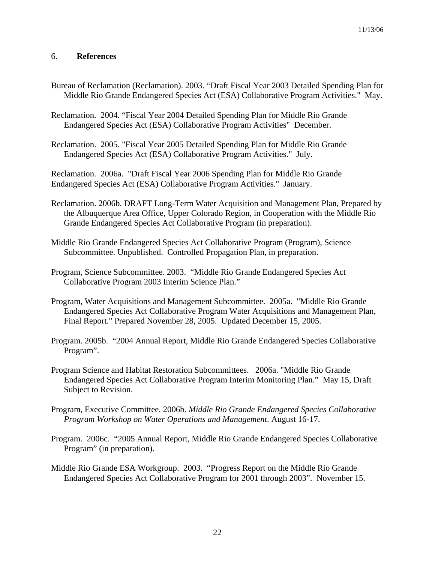# 6. **References**

- Bureau of Reclamation (Reclamation). 2003. "Draft Fiscal Year 2003 Detailed Spending Plan for Middle Rio Grande Endangered Species Act (ESA) Collaborative Program Activities." May.
- Reclamation. 2004. "Fiscal Year 2004 Detailed Spending Plan for Middle Rio Grande Endangered Species Act (ESA) Collaborative Program Activities" December.
- Reclamation. 2005. "Fiscal Year 2005 Detailed Spending Plan for Middle Rio Grande Endangered Species Act (ESA) Collaborative Program Activities." July.

Reclamation. 2006a. "Draft Fiscal Year 2006 Spending Plan for Middle Rio Grande Endangered Species Act (ESA) Collaborative Program Activities." January.

- Reclamation. 2006b. DRAFT Long-Term Water Acquisition and Management Plan, Prepared by the Albuquerque Area Office, Upper Colorado Region, in Cooperation with the Middle Rio Grande Endangered Species Act Collaborative Program (in preparation).
- Middle Rio Grande Endangered Species Act Collaborative Program (Program), Science Subcommittee. Unpublished. Controlled Propagation Plan, in preparation.
- Program, Science Subcommittee. 2003. "Middle Rio Grande Endangered Species Act Collaborative Program 2003 Interim Science Plan."
- Program, Water Acquisitions and Management Subcommittee. 2005a. "Middle Rio Grande Endangered Species Act Collaborative Program Water Acquisitions and Management Plan, Final Report." Prepared November 28, 2005. Updated December 15, 2005.
- Program. 2005b. "2004 Annual Report, Middle Rio Grande Endangered Species Collaborative Program".
- Program Science and Habitat Restoration Subcommittees. 2006a. "Middle Rio Grande Endangered Species Act Collaborative Program Interim Monitoring Plan." May 15, Draft Subject to Revision.
- Program, Executive Committee. 2006b. *Middle Rio Grande Endangered Species Collaborative Program Workshop on Water Operations and Management*. August 16-17.
- Program. 2006c. "2005 Annual Report, Middle Rio Grande Endangered Species Collaborative Program" (in preparation).
- Middle Rio Grande ESA Workgroup. 2003. "Progress Report on the Middle Rio Grande Endangered Species Act Collaborative Program for 2001 through 2003". November 15.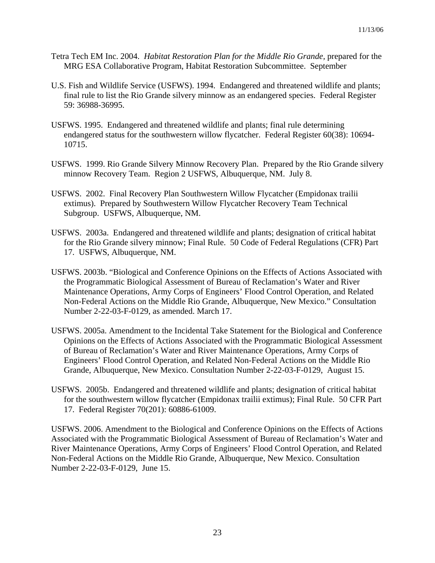- Tetra Tech EM Inc. 2004. *Habitat Restoration Plan for the Middle Rio Grande,* prepared for the MRG ESA Collaborative Program, Habitat Restoration Subcommittee. September
- U.S. Fish and Wildlife Service (USFWS). 1994. Endangered and threatened wildlife and plants; final rule to list the Rio Grande silvery minnow as an endangered species. Federal Register 59: 36988-36995.
- USFWS. 1995. Endangered and threatened wildlife and plants; final rule determining endangered status for the southwestern willow flycatcher. Federal Register 60(38): 10694- 10715.
- USFWS. 1999. Rio Grande Silvery Minnow Recovery Plan. Prepared by the Rio Grande silvery minnow Recovery Team. Region 2 USFWS, Albuquerque, NM. July 8.
- USFWS. 2002. Final Recovery Plan Southwestern Willow Flycatcher (Empidonax trailii extimus). Prepared by Southwestern Willow Flycatcher Recovery Team Technical Subgroup. USFWS, Albuquerque, NM.
- USFWS. 2003a. Endangered and threatened wildlife and plants; designation of critical habitat for the Rio Grande silvery minnow; Final Rule. 50 Code of Federal Regulations (CFR) Part 17. USFWS, Albuquerque, NM.
- USFWS. 2003b. "Biological and Conference Opinions on the Effects of Actions Associated with the Programmatic Biological Assessment of Bureau of Reclamation's Water and River Maintenance Operations, Army Corps of Engineers' Flood Control Operation, and Related Non-Federal Actions on the Middle Rio Grande, Albuquerque, New Mexico." Consultation Number 2-22-03-F-0129, as amended. March 17.
- USFWS. 2005a. Amendment to the Incidental Take Statement for the Biological and Conference Opinions on the Effects of Actions Associated with the Programmatic Biological Assessment of Bureau of Reclamation's Water and River Maintenance Operations, Army Corps of Engineers' Flood Control Operation, and Related Non-Federal Actions on the Middle Rio Grande, Albuquerque, New Mexico. Consultation Number 2-22-03-F-0129, August 15.
- USFWS. 2005b. Endangered and threatened wildlife and plants; designation of critical habitat for the southwestern willow flycatcher (Empidonax trailii extimus); Final Rule. 50 CFR Part 17. Federal Register 70(201): 60886-61009.

USFWS. 2006. Amendment to the Biological and Conference Opinions on the Effects of Actions Associated with the Programmatic Biological Assessment of Bureau of Reclamation's Water and River Maintenance Operations, Army Corps of Engineers' Flood Control Operation, and Related Non-Federal Actions on the Middle Rio Grande, Albuquerque, New Mexico. Consultation Number 2-22-03-F-0129, June 15.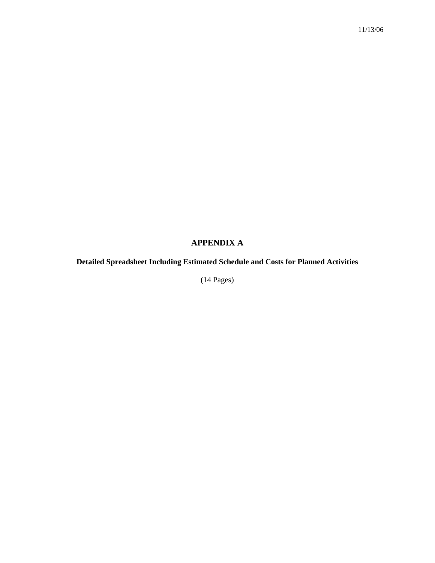# **APPENDIX A**

# **Detailed Spreadsheet Including Estimated Schedule and Costs for Planned Activities**

(14 Pages)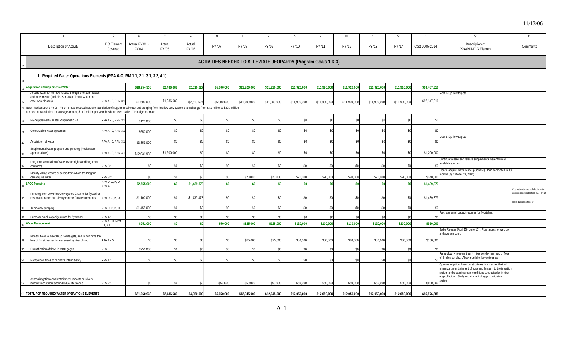| B                                                                                                                                                                                                                                                                                                         | C.                                | E                            |                  | G                | H           |              | ل.                                                            |              |              | M                      | N.           | $\circ$      | P              | $\Omega$<br>R                                                                                                                                                                                    |
|-----------------------------------------------------------------------------------------------------------------------------------------------------------------------------------------------------------------------------------------------------------------------------------------------------------|-----------------------------------|------------------------------|------------------|------------------|-------------|--------------|---------------------------------------------------------------|--------------|--------------|------------------------|--------------|--------------|----------------|--------------------------------------------------------------------------------------------------------------------------------------------------------------------------------------------------|
| Description of Activity                                                                                                                                                                                                                                                                                   | <b>BO</b> Element<br>Covered      | Actual FY'01<br><b>FY'04</b> | Actual<br>FY '05 | Actual<br>FY '06 | FY '07      | FY '08       | FY '09                                                        | FY '10       | FY '11       | FY '12                 | FY '13       | FY '14       | Cost 2005-2014 | Description of<br>Comments<br><b>RPA/RPM/CR Element</b>                                                                                                                                          |
|                                                                                                                                                                                                                                                                                                           |                                   |                              |                  |                  |             |              | ACTIVITIES NEEDED TO ALLEVIATE JEOPARDY (Program Goals 1 & 3) |              |              |                        |              |              |                |                                                                                                                                                                                                  |
| 1. Required Water Operations Elements (RPA A-O, RM 1.1, 2.1, 3.1, 3.2, 4.1)                                                                                                                                                                                                                               |                                   |                              |                  |                  |             |              |                                                               |              |              |                        |              |              |                |                                                                                                                                                                                                  |
| <b>Acquisition of Supplemental Water</b>                                                                                                                                                                                                                                                                  |                                   | \$18,254,938                 | \$2,436,68       | \$2,610,62       | \$5,000,000 | \$11,920,000 | \$11,920,000                                                  | \$11,920,000 | \$11,920,000 | \$11,920,000           | \$11,920,000 | \$11,920,000 | \$93,487,316   |                                                                                                                                                                                                  |
| Acquire water for minnow release through short term leases<br>and other means (includes San Juan Chama Water and<br>other water leases)                                                                                                                                                                   | RPA A - 0, RPM 3.                 | \$1,600,000                  | \$1,236,689      | \$2,610,62       | \$5,000,00  | \$11,900,00  | \$11,900,000                                                  | \$11,900,000 | \$11,900,000 | \$11,900,000           | \$11,900,000 | \$11,900,000 | \$92,147,316   | Meet BIOp flow targets                                                                                                                                                                           |
| Note: Reclamation's FY'08 - FY'14 annual cost estimates for acquisition of supplemental water and pumping from low flow conveyance channel range from \$3.1 million to \$20.7 million.<br>For ease of calculation, the average amount, \$11.9 million per year, has been used as the LTP budget estimate. |                                   |                              |                  |                  |             |              |                                                               |              |              |                        |              |              |                |                                                                                                                                                                                                  |
| RG Supplemental Water Programatic EA                                                                                                                                                                                                                                                                      | RPA A - 0, RPM 3.                 | \$120,000                    |                  |                  |             | -90          |                                                               |              |              | \$0                    | \$0          |              | -\$0           |                                                                                                                                                                                                  |
| Conservation water agreement                                                                                                                                                                                                                                                                              | RPA A - 0, RPM 3.                 | \$650,00                     |                  |                  |             | ፍሰ           |                                                               |              |              | \$0                    | \$0          | \$í          | \$0            |                                                                                                                                                                                                  |
| Acquisition of water                                                                                                                                                                                                                                                                                      | RPA A - 0, RPM 3.                 | \$3,853,000                  |                  | $\mathbf{S}$     |             | . ድስ         |                                                               |              |              | \$0                    | \$0          |              |                | leet BIOp flow targets                                                                                                                                                                           |
| Supplemental water program and pumping (Reclamation<br>Appropriations)                                                                                                                                                                                                                                    | RPA A - 0, RPM 3.                 | \$12,031,938                 | \$1,200,000      |                  |             | . ድስ         |                                                               |              |              | \$0                    | \$0          |              | \$1,200,000    |                                                                                                                                                                                                  |
| Long-term acquisition of water (water rights and long-term<br>contracts)                                                                                                                                                                                                                                  | <b>RPM 3.1</b>                    | .\$በ                         |                  | ۹                |             | \$0          |                                                               |              |              | \$0                    | -\$0         |              |                | Continue to seek and release supplemental water from all<br>available sources.                                                                                                                   |
| Identify willing leasors or sellers from whom the Program<br>can acquire water                                                                                                                                                                                                                            | <b>RPM 3.2</b>                    | \$0                          | \$ſ              |                  | \$ſ         | \$20,000     | \$20,000                                                      | \$20,000     | \$20,000     | \$20,000               | \$20,000     | \$20,000     | \$140,000      | lan to acquire water (lease /purchase). Plan completed in 1<br>months (by October 23, 2004).                                                                                                     |
| <b>LFCC Pumping</b>                                                                                                                                                                                                                                                                                       | RPA D, G, K, O,<br><b>RPM 4.1</b> | \$2,555,000                  |                  | \$1,439,37       | \$ſ         |              |                                                               | \$í          |              | \$0                    | \$0          |              | \$1,439,373    |                                                                                                                                                                                                  |
| Pumping from Low Flow Conveyance Channel for flycatcher<br>nest maintenance and silvery minnow flow requirements                                                                                                                                                                                          | RPA D, G, K, O                    | \$1,100,00                   | \$ſ              | \$1,439,37       |             |              |                                                               |              |              | \$í                    | .SO          |              | \$1,439,37     | ost estimates are included in water<br>acquisition estimates for FY07 - FY1-                                                                                                                     |
| Temporary pumping                                                                                                                                                                                                                                                                                         | RPA D, G, K, O                    | \$1,455,000                  |                  |                  |             | \$ſ          |                                                               |              |              | \$0                    | \$0          |              |                | Not a duplicate of line 14                                                                                                                                                                       |
| Purchase small capacity pumps for flycatcher.                                                                                                                                                                                                                                                             | <b>RPM 4.1</b>                    |                              |                  |                  |             |              |                                                               |              |              | \$                     |              |              |                | urchase small capacity pumps for flycatcher.                                                                                                                                                     |
| <b>Water Management</b>                                                                                                                                                                                                                                                                                   | RPA A - O, RPM<br>1.1.2.1         | \$251,000                    |                  |                  | \$50,000    | \$125,000    | \$125,000                                                     | \$130,000    | \$130,000    | \$130,000              | \$130,000    | \$130,000    | \$950,000      |                                                                                                                                                                                                  |
| Monitor flows to meet BiOp flow targets, and to minimize the<br>loss of flycatcher territories caused by river drying                                                                                                                                                                                     | RPA A - O                         |                              |                  |                  |             | \$75,000     | \$75,000                                                      | \$80,000     | \$80,000     | \$80,000               | \$80,000     | \$80,000     | \$550,00       | Spike Release (April 15 - June 15), Flow targets for wet, dry<br>and average years                                                                                                               |
|                                                                                                                                                                                                                                                                                                           |                                   |                              |                  | ¢                |             |              |                                                               |              |              |                        |              |              |                |                                                                                                                                                                                                  |
| Quantification of flows in MRG gages<br>Ramp down flows to minimize intermittency                                                                                                                                                                                                                         | RPA B<br><b>RPM 1.1</b>           | \$251,000<br>€∩              |                  |                  |             | . ድስ         |                                                               |              |              | \$ <sub>6</sub><br>\$0 | \$0          |              |                | Ramp down - no more than 4 miles per day per reach. Total<br>of 8 miles per day. Allow month for larvae to grow.                                                                                 |
|                                                                                                                                                                                                                                                                                                           |                                   |                              |                  |                  |             |              |                                                               |              |              |                        |              |              |                | Operate irrigation diversion structures in a manner that will<br>minimize the entrainment of eggs and larvae into the irrigation<br>system and create instream conditions conducive for in-river |

192021

22

23 **TOTAL FOR REQUIRED WATER OPERATIONS ELEMENTS**

Assess irrigation canal entrainment impacts on silvery

egg colleciton. Study entrainment of eggs in irrigation

system.

S | \$21,060,938| \$2,436,689| \$4,050,000| \$5,050,000| \$12,045,000| \$12,045,000| \$12,050,000| \$12,050,000| \$12,050,000| \$12,050,000| \$12,050,000| \$12,050,000| \$12,050,000| \$12,050,000| \$12,050,000| \$12,050,000| \$95,876,689

minnow recruitment and individual life stages RPM 2.1 | \$0| \$0| \$0| \$50,000 \$50,000 \$50,000 \$50,000 \$50,000 \$50,000 \$50,000 \$50,000 \$50,000 \$400,000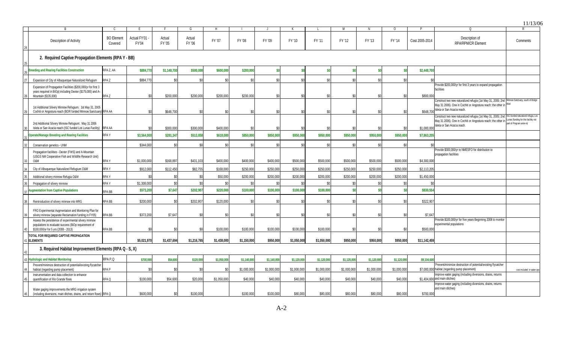11/13/06 24252627282930313234353637383940414243444546B I CIEIFIGIHII JIKILIMIN I OIPI QII R Description of Activity BO Element Actual FY'01 - Rescription of Activity Y01 Actual Actual FY '07 FY '08 FY '09 FY '10 FY '11 FY '12 FY '13 FY '14 Cost 2005-2014 Description of Pescription of Comments<br>4 FY '05 FY '06 FY '07 FY '08 FY '09 FY '10 FY '11 FY '12 FY '13 FY '14 Cost 2005-2014 RPA/RPM **Breeding and Rearing Facilities Construction** RPA Z, AA **\$884,770 \$1,148,700 \$500,000 \$600,000 \$200,000 \$0 \$0 \$0 \$0 \$0 \$0 \$2,448,700** Expansion of City of Albuquerque Naturalized Refugium RPA Z \$884,770 \$0 \$0 \$0 \$0 \$0 \$0 \$0 \$0 \$0 \$0 \$0 Expansion of Propagation Facilities (\$200,000/yr for first 3 years required in BiOp) including Dexter (\$175,000) and A-Mountain (\$135,000) RPA Z | \$0| \$200,000| \$200,000| \$0| \$0| \$0| \$0| \$0| \$0| \$0| \$0| \$800,000 Provide \$200,000/yr for first 3 years to expand propagation facilities1st Additional Silvery Minnow Refugium: 1st May 31, 2005 Cochiti or Angostura reach (BOR funded Minnow Sanctuary) RPA AA \$0 \$0 \$0 \$648,700 \$0 \$0 \$0 \$0 \$0 \$0 \$0 \$0 \$0 \$0 \$0 \$648,700 Construct two new naturalized refugia (1st May 31, 2005; 2nd Minnow Sanctuary, south of Bridge May 31 2006). One in Cochiti or Angostura reach; the other in <sup>Blvd</sup> Isleta or San Acacia reach.2nd Additional Silvery Minnow Refugium: May 31 2006 Isleta or San Acacia reach (ISC funded Los Lunas Facility) RPA AA \$0 \$0 \$0 \$0 \$00,000 \$400,000 \$400,000 \$0 \$0 \$0 \$0 \$0 \$0 \$0 \$1,000,00 Construct two new naturalized refugia (1st May 31, 2005; 2nd ISC-funded naturalized refugia, Los May 31 2006). One in Cochiti or Angostura reach; the other in Lunas (funding for this facilitity not Isleta or San Acacia reach. part of Program write-in) **Operate/Manage Breeding and Rearing Facilities** RPA Y **\$3,564,000 \$281,347 \$513,858 \$618,000 \$850,000 \$850,000 \$950,000 \$950,000 \$950,000 \$950,000 \$950,000 \$7,863,205** Conservation genetics - UNM \$344,000 \$0 \$0 \$0 \$0 \$0 \$0 \$0 \$0 \$0 \$0 \$0 Propagation facilities - Dexter (FWS) and A-Mountain (USGS NM Cooperative Fish and Wildlife Research Unit) O&M RPA YY | \$1,000,000| \$168,897| \$431,103| \$400,000| \$400,000| \$400,000| \$500,000| \$500,000| \$500,000| \$500,000| \$4,300,000 Provide \$300,000/yr to NMESFO for distribution to propagation facilities City of Albuquerque Naturalized Refugium O&M RPA Y | \$912,000 \$112,450 \$168,000 \$168,000 \$250,000 \$250,000 \$250,000 \$250,000 \$250,000 \$250,000 \$250,000 \$250,000 \$250,000 \$250,000 \$250,000 \$250,000 \$250,000 \$250,000 \$250,00 Additional silvery minnow Refugia O&M \$0 \$0 \$0 \$0 \$0,000 \$200,000 \$200,000 \$200,000 \$200,000 \$1,450,000 \$1,450,000 \$00,000 \$1,450,000 \$1,450,000 \$1,450,000 \$1,450,000 \$1,450,000 \$1,450,000 \$1,450,000 Propagation of silvery minnow RPA Y \$1,308,000 \$0 \$0 \$0 \$0 \$0 \$0 \$0 \$0 \$0 \$0 \$0 **Augmentation from Captive Populations** RPA BB <sub>B</sub> | \$573,200| \$7,647| \$202,907| \$220,000| \$100,000| \$100,000| \$100,000| \$100,000| \$0| \$0| \$0| \$0| \$830,554 Reintroduction of silvery minnow into MRG RPA BB | \$200,000 \$0| \$202,907 \$120,000| \$0| \$0| \$0| \$0| \$0| \$0| \$0| \$322,907 FRO Experimental Augmentation and Monitoring Plan for silvery minnow (separate Reclamation funding in FY05) RPA BB | \$373,200 \$7,647 \$0 \$0 \$0 \$0 \$0 \$0 \$0 \$0 \$0 \$0 \$0 \$7,647 Assess the persistence of experimental silvery minnow populations to evaluate success (BiOp requirement of \$100,000/yr for 5 yrs (2008 - 2013) \$0 \$0 \$0 \$0 \$0 \$0 \$0 \$0 \$0 \$0 \$0 \$0 \$500,000 \$100,000 \$100,000 \$100,000 \$100,000 \$100,000 \$0 \$0 \$0 \$500,000 Provide \$100,000/yr for five years Beginning 2008 to monitor experimental populations **TOTAL FOR REQUIRED CAPTIVE PROPAGATION ELEMENTS**S5,021,970| \$1,437,694| \$1,236,765| \$1,438,000| \$1,150,000| \$950,000| \$1,050,000| \$1,050,000| \$950,000| \$950,000| \$950,000| \$950,000| \$1,142,459 \$1,050,000| \$950,000| \$950,000| \$1,142,459 **Hydrologic and Habitat Monitoring** RPA P,Q **\$700,000 \$54,600 \$120,000 \$1,050,000 \$1,140,000 \$1,140,000 \$1,120,000 \$1,120,000 \$1,120,000 \$1,120,000 \$1,120,000 \$9,104,600** Prevent/minimize destruction of potential/existing flycatcher habitat (regarding pump placement) RPA P \$0 \$0 \$0 \$0 \$1,000,000 \$1,000,000 \$1,000,000 \$1,000,000 \$1,000,000 \$1,000,000 \$1,000,000 \$7,000,000 Prevent/minimize destruction of potential/existing flycatcher habitat (regarding pump placement) cost included in water ops Instrumentation and data collection to enhance quantification of Rio Grande flows RPA Q \$100,000 \$54,600 \$20,000 \$1,050,000 \$40,000 \$40,000 \$40,000 \$40,000 \$40,000 \$40,000 \$40,000 \$1,404,600 Improve water gaging (including diversions, drains, returns  $$1,404,600$  and main ditches) Water gaging improvements the MRG irrigation system (including diversions, main ditches, drains, and return flows) RPA Q | \$600,000 \$00,000 \$100,000 \$100,000 \$100,000 \$100,000 \$100,000 \$80,000 \$80,000 \$80,000 \$80,000 \$80,000 \$80,000 \$700,00 mprove water gaging (including diversions, drains, returns and main ditches) **3. Required Habitat Improvement Elements (RPA Q - S, X) 2. Required Captive Propagation Elements (RPA Y - BB)**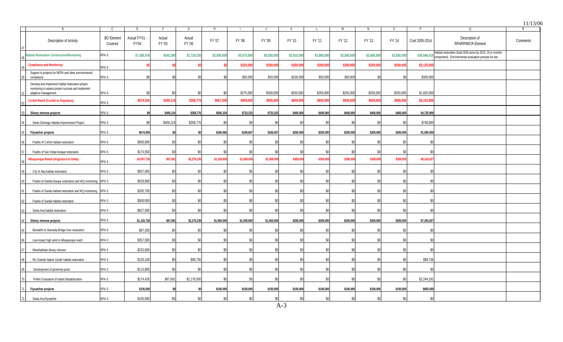|    |                                                                                                                                 |                              |                              |                  |                  |                 |              |             |             |              |             |             |             |                |                                                                                                                                   | 11/13/06 |
|----|---------------------------------------------------------------------------------------------------------------------------------|------------------------------|------------------------------|------------------|------------------|-----------------|--------------|-------------|-------------|--------------|-------------|-------------|-------------|----------------|-----------------------------------------------------------------------------------------------------------------------------------|----------|
|    | <b>B</b>                                                                                                                        | C.                           |                              | -F               | G                | H               |              | $\cdot$ .   | К           | L.           | M           | N           | $\circ$     |                | Q                                                                                                                                 | R        |
|    | Description of Activity                                                                                                         | <b>BO</b> Element<br>Covered | Actual FY'01<br><b>FY'04</b> | Actual<br>FY '05 | Actual<br>FY '06 | FY '07          | FY '08       | FY '09      | FY '10      | FY '11       | FY '12      | FY '13      | FY '14      | Cost 2005-2014 | Description of<br><b>RPA/RPM/CR Element</b>                                                                                       | Comments |
|    | abitat Restoration Construction/Monitoring                                                                                      | RPA <sub>S</sub>             | \$7,438,976                  | \$545,38         | \$2,726,030      | \$3,600,000     | \$5,075,00   | \$5,050,000 | \$3,910,000 | \$3,860,00   | \$3,860,000 | \$3,660,000 | \$3,660,000 |                | Habitat restoration (total 1600 acres by 2013; 10 yr monitor<br>\$35,946,410 component). Environmental evaluation process for two |          |
|    | <b>Compliance and Monitoring</b>                                                                                                | RPA <sub>S</sub>             |                              |                  |                  |                 | \$325,000    | \$350,000   | \$350,000   | \$300,000    | \$300,000   | \$250,000   | \$250,000   | \$2,125,000    |                                                                                                                                   |          |
|    | Support to projects for NEPA and other environmental<br>compliance                                                              | RPA <sub>S</sub>             | \$0                          |                  | \$0              | \$              | \$50,000     | \$50,000    | \$100,000   | \$50,000     | \$50,000    | \$0         | $\$0$       | \$300,000      |                                                                                                                                   |          |
|    | Develop and implement habitat restoration project<br>monitoring to assess project success and implement<br>adaptive management. | RPA <sub>S</sub>             | \$ſ                          |                  |                  | \$ <sub>6</sub> | \$275.000    | \$300,000   | \$250.000   | \$250,000    | \$250.000   | \$250.000   | \$250.000   | \$1.825.000    |                                                                                                                                   |          |
|    | <b>Cochiti Reach (Cochiti to Angostura)</b>                                                                                     | RPA <sub>S</sub>             | \$674.550                    | \$400.124        | \$358,776        | \$667.00        | \$900,00     | \$900,000   | \$600,000   | \$600,00     | \$600,000   | \$600.00    | \$600,00    | \$6,225,900    |                                                                                                                                   |          |
|    | Silvery minnow projects                                                                                                         | RPA <sub>S</sub>             | \$0                          | \$400,124        | \$358,776        | \$500,334       | \$733,333    | \$733,333   | \$400,000   | \$400,000    | \$400,000   | \$400,000   | \$400,000   | \$4,725,900    |                                                                                                                                   |          |
|    | Santo Domingo Habitat Improvement Project                                                                                       | RPA S                        | \$                           | \$400,124        | \$358,776        | $\mathbf{S}$    | $\mathbf{S}$ | \$0         | \$0         | $\mathbf{S}$ | \$0         | \$0         | \$0         | \$758,900      |                                                                                                                                   |          |
|    | <b>Flycatcher projects</b>                                                                                                      | RPA S                        | \$674,550                    |                  |                  | \$166,666       | \$166,667    | \$166,667   | \$200,000   | \$200,000    | \$200,000   | \$200,000   | \$200,000   | \$1,500,000    |                                                                                                                                   |          |
|    | Pueblo of Cochiti habitat restoration                                                                                           | RPA <sub>S</sub>             | \$500.000                    | <b>SO</b>        | \$0              | \$ <sub>6</sub> | \$0          | \$0         | \$0         | \$0          | \$0         | \$0         | \$0         | \$0            |                                                                                                                                   |          |
|    | Pueblo of San Felipe bosque restoration                                                                                         | RPA <sub>S</sub>             | \$174,550                    | \$ſ              | \$0              |                 |              | \$0         | \$0         |              | \$0         | -SC         |             | $$^{5$         |                                                                                                                                   |          |
|    | <b>Ibuquerque Reach (Angostura to Isleta)</b>                                                                                   | RPA S                        | \$4,007,726                  | \$67,691         | \$2,276,236      | \$1,100,00      | \$1,600,000  | \$1,600,000 | \$300,000   | \$300,00     | \$300,000   | \$300,000   | \$300,00    | \$8,143,927    |                                                                                                                                   |          |
|    | City of Abq habitat restoration                                                                                                 | RPA S                        | \$507,000                    | \$0              | \$0              | \$ı             | \$0          | \$0         | \$0         | .SO          | \$0         | \$0         | .SC         | \$0            |                                                                                                                                   |          |
|    | Pueblo of Sandia bosque restoration and WQ monitoring RPA S                                                                     |                              | \$529,800                    | ß۵               |                  |                 |              | \$0         | \$0         | \$ſ          | \$0         | .SC         | \$0         | <b>S</b>       |                                                                                                                                   |          |
|    | Pueblo of Sandia habitat restoration and WQ monitoring RPA S                                                                    |                              | \$335,700                    | \$0              | \$0              | \$ſ             | \$0          | \$0         | \$0         | -90          | \$0         | \$0         | \$0         | \$0            |                                                                                                                                   |          |
|    | Pueblo of Sandia habitat restoration                                                                                            | RPA <sub>S</sub>             | \$500,000                    | .ፍሰ              | \$0              | \$ſ             | \$0          | \$0         | \$0         | \$0          | \$0         | \$0         | \$ſ         | \$0            |                                                                                                                                   |          |
|    | Santa Ana habitat restoration                                                                                                   | RPA <sub>S</sub>             | \$927,500                    | \$0              | \$0              | <b>S</b>        | \$0          | \$0         | \$0         | \$0          | \$0         | \$0         | \$0         | \$0            |                                                                                                                                   |          |
|    | Silvery minnow projects                                                                                                         | RPA S                        | \$1,102,726                  | \$67,691         | \$2,276,236      | \$1,000,000     | \$1,500,000  | \$1,450,000 | \$200,000   | \$200,000    | \$200,000   | \$200,000   | \$200,000   | \$7,293,927    |                                                                                                                                   |          |
|    | Bernalillo to Alameda Bridge river restoration                                                                                  | RPA <sub>S</sub>             | \$87,300                     |                  |                  |                 |              | $$^{(1)}$$  | \$0         |              | \$ſ         | \$ſ         | S.          |                |                                                                                                                                   |          |
|    | Low impact high yield in Albuquerque reach                                                                                      | RPA <sub>S</sub>             | \$357,500                    | <b>SO</b>        | \$0              | SC.             | -SO          | \$0         | \$0         | -90          | \$0         | \$0         | \$0         | -\$0           |                                                                                                                                   |          |
|    | Mesohabitats silvery minnow                                                                                                     | RPA S                        | \$232.600                    | \$0              | \$Λ              | \$ſ             | \$0          | $\$0$       | \$0         | .SO          | \$0         | \$0         | \$0         | \$0            |                                                                                                                                   |          |
|    | Rio Grande Nature Center habitat restoration                                                                                    | RPA S                        | \$135,100                    | \$0              | \$99,736         | \$0             | \$0          | \$0         | \$0         |              | \$0         | \$0         | \$0         | \$99,736       |                                                                                                                                   |          |
|    | Development of perennial pools                                                                                                  | RPA S                        | \$115,800                    | ۹ſ               | \$0              | \$ſ             | \$0          | \$0         | \$0         | \$0          | \$0         | \$0         | \$0         | \$0            |                                                                                                                                   |          |
|    | Prelim Evaluation of Island Destabilization                                                                                     | RPA S                        | \$174,426                    | \$67,69'         | \$2,176,500      | ୍କା             |              | ۹ſ          | \$0         | \$ı          | \$0         | -SC         | ۹           | \$2,244,191    |                                                                                                                                   |          |
|    | <b>Flycatcher projects</b>                                                                                                      | RPA S                        | \$105,000                    | \$O              |                  | \$100,000       | \$100,000    | \$150,000   | \$100,000   | \$100,000    | \$100,000   | \$100,000   | \$100,000   | \$850,000      |                                                                                                                                   |          |
| 72 | Santa Ana flycatcher                                                                                                            | RPA <sub>S</sub>             | \$105,000                    | <b>\$0</b>       | \$0              | \$ſ             | $\mathbf{S}$ | \$0         | \$0         | $$^{5$       | \$0         | \$0         | \$0         | \$0            |                                                                                                                                   |          |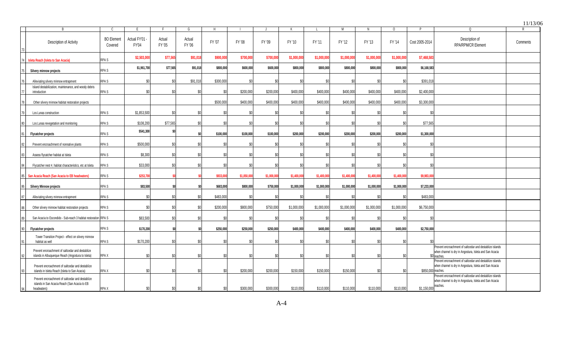|    |                                                                                                    |                              |                              |                  |                  |           |            |            |             |             |             |               |             |                    |                                                                                                                                 | 11/13/06 |
|----|----------------------------------------------------------------------------------------------------|------------------------------|------------------------------|------------------|------------------|-----------|------------|------------|-------------|-------------|-------------|---------------|-------------|--------------------|---------------------------------------------------------------------------------------------------------------------------------|----------|
|    | B.                                                                                                 | C.                           | F.                           | F                | G                | H         |            |            | К           |             | M           | N             | $\Omega$    | D                  | $\Omega$                                                                                                                        |          |
|    | Description of Activity                                                                            | <b>BO</b> Element<br>Covered | Actual FY'01<br><b>FY'04</b> | Actual<br>FY '05 | Actual<br>FY '06 | FY '07    | FY '08     | FY '09     | FY '10      | FY '11      | FY '12      | FY '13        | FY '14      | Cost 2005-2014     | Description of<br>RPA/RPM/CR Element                                                                                            | Comments |
|    | Isleta Reach (Isleta to San Acacia)                                                                | RPA S                        | \$2,503,00                   | \$77,56          | \$91,018         | \$900,000 | \$700,000  | \$700,000  | \$1,000,000 | \$1,000,000 | \$1,000,000 | \$1,000,00    | \$1,000,000 | \$7,468,583        |                                                                                                                                 |          |
|    | Silvery minnow projects                                                                            | RPA S                        | \$1,961,700                  | \$77,565         | \$91,018         | \$800,000 | \$600,000  | \$600,000  | \$800,000   | \$800,000   | \$800,000   | \$800,000     | \$800,000   | \$6,168,583        |                                                                                                                                 |          |
|    | Alleviating silvery minnow entrapment                                                              | RPA S                        | \$0                          | \$ſ              | \$91.018         | \$300.000 | \$C        | \$0        | \$0         | \$ſ         | \$0         | .SC           | <b>.SO</b>  | \$391.018          |                                                                                                                                 |          |
|    | Island destabilization, maintenance, and woody debris<br>introduction                              | RPA S                        | \$0                          | \$O              | . ፍስ             | ۹ï        | \$200,000  | \$200,000  | \$400,000   | \$400,000   | \$400,000   | \$400,000     | \$400,000   | \$2,400,000        |                                                                                                                                 |          |
|    | Other silvery minnow habitat restoration projects                                                  |                              |                              |                  |                  | \$500,000 | \$400,000  | \$400,000  | \$400,000   | \$400,000   | \$400,000   | \$400,000     | \$400,000   | \$3,300,000        |                                                                                                                                 |          |
|    | Los Lunas construction                                                                             | RPA S                        | \$1,853,500                  | \$ſ              | \$0              |           | \$0        | \$0        | \$0         |             | \$0         | -\$0          |             | $$^{6}$            |                                                                                                                                 |          |
|    | Los Lunas revegetation and monitoring                                                              | RPA S                        | \$108,200                    | \$77,565         | \$0              |           | \$C        | \$0        | \$0         |             | \$0         | -\$0          |             | \$77,565           |                                                                                                                                 |          |
|    | <b>Flycatcher projects</b>                                                                         | RPA S                        | \$541,300                    |                  | \$0              | \$100,000 | \$100,000  | \$100,000  | \$200,000   | \$200,000   | \$200.000   | \$200,000     | \$200,000   | \$1,300,000        |                                                                                                                                 |          |
|    | Prevent encroachment of nonnative plants                                                           | RPA S                        | \$500,000                    |                  |                  |           |            | \$0        | \$0         |             | \$O         |               |             |                    |                                                                                                                                 |          |
|    | Assess flycatcher habitat at Isleta                                                                | RPA S                        | \$8,300                      | \$ſ              | \$0              |           | \$ſ        | \$0        | \$0         | \$ſ         | \$0         | \$í           |             |                    |                                                                                                                                 |          |
|    | Flycatcher nest #, habitat characteristics, etc at Isleta                                          | RPA S                        | \$33,000                     | ¢۵               | ۹ſ               |           | ¢٢         | \$0        | \$0         |             | ςn          |               |             |                    |                                                                                                                                 |          |
|    | San Acacia Reach (San Acacia to EB headwaters)                                                     | RPA S                        | \$253.70                     |                  |                  | \$933.00  | \$1,050,00 | \$1,000.00 | \$1,400,000 | \$1,400.00  | \$1,400.00  | \$1,400,00    | \$1,400.00  | \$9,983,00         |                                                                                                                                 |          |
|    | <b>Silvery Minnow projects</b>                                                                     | RPA S                        | \$83,500                     |                  |                  | \$683,000 | \$800,000  | \$750,000  | \$1,000,000 | \$1,000,000 | \$1,000,000 | \$1,000,000   | \$1,000,000 | \$7,233,000        |                                                                                                                                 |          |
|    | Alleviating silvery minnow entrapment                                                              | RPA S                        | \$0                          | \$O              | \$0              | \$483,000 | \$C        | \$0        | \$0         | \$0         | \$0         | -SC           | \$በ         | \$483,000          |                                                                                                                                 |          |
|    | Other silvery minnow habitat restoration projects                                                  | RPA S                        | \$ <sub>6</sub>              |                  | \$۵              | \$200,000 | \$800,000  | \$750,000  | \$1,000,000 | \$1,000,000 | \$1,000,000 | \$1,000,000   | \$1,000,000 | \$6,750,000        |                                                                                                                                 |          |
|    | San Acacia to Escondido - Sub-reach 3 habitat restoration RPA S                                    |                              | \$83,500                     | \$0              | \$0              | \$í       | \$0        | \$0        | \$0         | \$0         | \$0         | $\mathcal{S}$ |             | \$                 |                                                                                                                                 |          |
|    | <b>Flycatcher projects</b>                                                                         | RPA S                        | \$170,200                    |                  |                  | \$250,000 | \$250,000  | \$250,000  | \$400,000   | \$400,000   | \$400,000   | \$400,000     | \$400,000   | \$2,750,000        |                                                                                                                                 |          |
|    | Tower Transition Project - effect on silvery minnow<br>habitat as well                             | RPA S                        | \$170,200                    | S.               | \$۵              |           | \$ſ        | \$0        | \$0         |             | \$0         | .SI           |             |                    |                                                                                                                                 |          |
|    | Prevent encroachment of saltcedar and destablize                                                   |                              |                              |                  |                  |           |            |            |             |             |             |               |             |                    | Prevent encroachment of saltcedar and destablize islands<br>when channel is dry in Angostura, Isleta and San Acacia             |          |
|    | islands in Albuquerque Reach (Angostura to Isleta)                                                 | RPA X                        | \$0                          | \$ſ              |                  |           |            | \$0        | \$0         |             | \$0         | .SI           |             |                    | $$0$ reache<br>Prevent encroachment of saltcedar and destablize islands                                                         |          |
|    | Prevent encroachment of saltcedar and destablize<br>islands in Isleta Reach (Isleta to San Acacia) | RPA X                        | \$0                          | \$0              | \$0              |           | \$200,000  | \$200,000  | \$150,000   | \$150,000   | \$150,000   | .SC           | \$0         | \$850,000 reaches. | when channel is dry in Angostura, Isleta and San Acacia                                                                         |          |
|    | Prevent encroachment of saltcedar and destablize<br>islands in San Acacia Reach (San Acacia to EB  |                              |                              |                  |                  |           |            |            |             |             |             |               |             |                    | Prevent encroachment of saltcedar and destablize islands<br>when channel is dry in Angostura, Isleta and San Acacia<br>reaches. |          |
| 94 | headwaters)                                                                                        | RPA X                        | \$ſ                          | \$0              | \$0              |           | \$300.000  | \$300,000  | \$110,000   | \$110,000   | \$110.000   | \$110,000     | \$110.000   | \$1,150,000        |                                                                                                                                 |          |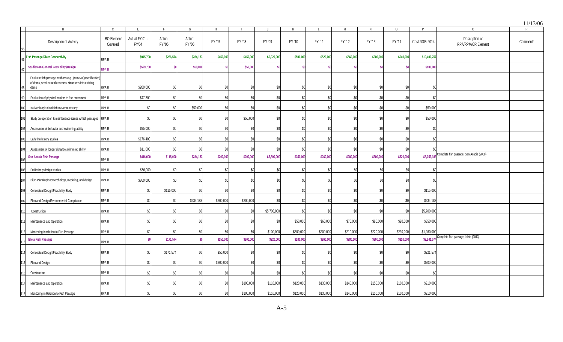|     |                                                                                                                                 |                                   |                                    |                        |                       |             |           |                 |             |           |             |             |                   | P              |                                                  | 11/13/06 |
|-----|---------------------------------------------------------------------------------------------------------------------------------|-----------------------------------|------------------------------------|------------------------|-----------------------|-------------|-----------|-----------------|-------------|-----------|-------------|-------------|-------------------|----------------|--------------------------------------------------|----------|
|     | $\overline{B}$<br>Description of Activity                                                                                       | C<br><b>BO</b> Element<br>Covered | E.<br>Actual FY'01<br><b>FY'04</b> | F.<br>Actual<br>FY '05 | G<br>Actual<br>FY '06 | H<br>FY '07 | FY '08    | FY '09          | К<br>FY '10 | FY '11    | M<br>FY '12 | N<br>FY '13 | $\circ$<br>FY '14 | Cost 2005-2014 | $\Omega$<br>Description of<br>RPA/RPM/CR Element | Comments |
|     | <b>Fish Passage/River Connectivity</b>                                                                                          | RPA R                             | \$945,700                          | \$286,574              | \$284,183             | \$450,000   | \$450,000 | \$6,020,000     | \$590,000   | \$520,000 | \$560,000   | \$600,000   | \$640,000         | \$10,400,757   |                                                  |          |
|     | <b>Studies on General Feasibility /Design</b>                                                                                   | RPA <sub>R</sub>                  | \$529,700                          | -90                    | \$50,000              |             | \$50,000  |                 |             | \$ſ       |             | S0          |                   | \$100,000      |                                                  |          |
| 98  | Evaluate fish passage methods e.g., (removal)(modification)<br>of dams, semi-natural channels, structures into existing<br>dams | RPA R                             | \$200,000                          | \$0                    | \$0                   | \$O         | \$0       | \$0             | \$0         | \$0       | \$0         | \$0         | \$0               | SC.            |                                                  |          |
|     | Evaluation of physical barriers to fish movement                                                                                | RPA R                             | \$47,300                           | \$0                    | ፍ                     | \$C         | \$0       | \$0             | $\$0$       | \$0       | \$ſ         | \$O         | \$0               | .sr            |                                                  |          |
| 100 | In-river longitudinal fish movement study                                                                                       | RPA R                             | \$0                                | \$0                    | \$50,000              | \$ſ         | .SO       | \$0             | \$0         | \$0       | \$í         | \$O         | \$0               | \$50,000       |                                                  |          |
|     | Study on operation & maintenance issues w/ fish passages RPA R                                                                  |                                   | \$0                                | \$0                    | \$0                   | \$0         | \$50,000  | \$0             | \$0         | \$0       | \$0         | \$0         | \$0               | \$50,000       |                                                  |          |
|     | Assessment of behavior and swimming ability                                                                                     | RPA R                             | \$95,000                           | \$0                    | \$0                   | \$0         | \$0       | \$0             | \$0         | \$0       | \$0         | \$0         | \$0               | \$C            |                                                  |          |
|     | Early life history studies                                                                                                      | RPA R                             | \$176,400                          | \$0                    | \$ſ                   | \$0         | \$0       | \$0             | \$0         | \$0       | \$0         | \$0         | \$0               | \$ſ            |                                                  |          |
|     | Assessment of longer distance swimming ability                                                                                  | RPA R                             | \$11,000                           | $\$0$                  | .SI                   | ۹ſ          | \$0       | \$ſ             | SO.         | \$0       | \$ſ         | $\$0$       | \$0               |                |                                                  |          |
|     | San Acacia Fish Passage                                                                                                         | RPA R                             | \$416,000                          | \$115,000              | \$234,183             | \$200,000   | \$200,000 | \$5,800,000     | \$350,000   | \$260,000 | \$280,000   | \$300,000   | \$320,000         | \$8,059,183    | Complete fish passage; San Acacia (2008)         |          |
| 06  | Preliminary design studies                                                                                                      | RPA R                             | \$56,000                           | \$0                    | -\$0                  | \$0         | \$0       | SC.             | \$0         | \$0       | \$0         | \$0         | \$0               | SO.            |                                                  |          |
|     | BiOp Planning/geomorphology, modeling, and design                                                                               | RPA R                             | \$360,000                          | \$0                    | \$ſ                   |             | .SC       | \$0             | \$0         | \$0       | -SO         | \$O         | \$0               | .SI            |                                                  |          |
|     | Conceptual Design/Feasibility Study                                                                                             | RPA R                             | \$0                                | \$115,000              | -\$0                  | $\$0$       | \$0       | \$0             | \$0         | \$0       | \$0         | \$0         | \$0               | \$115,000      |                                                  |          |
|     | Plan and Design/Environmental Compliance                                                                                        | RPA R                             | \$0                                | \$0                    | \$234,183             | \$200,000   | \$200,000 | \$ſ             | \$0         | \$0       | \$0         | \$n         | \$0               | \$634,183      |                                                  |          |
|     | Construction                                                                                                                    | RPA R                             | \$0                                | \$0                    | \$ſ                   | \$0         | \$0       | \$5,700,000     | \$0         | \$0       | \$0         | \$0         | \$0               | \$5,700,000    |                                                  |          |
|     | Maintenance and Operation                                                                                                       | RPA R                             | \$0                                | \$0                    | .SC                   | $\$0$       | \$0       | \$ <sub>0</sub> | \$50,000    | \$60,000  | \$70,000    | \$80,000    | \$90,000          | \$350,000      |                                                  |          |
|     | Monitoring in relation to Fish Passage                                                                                          | RPA R                             | $\$0$                              | ß۵                     | \$ſ                   |             | \$0       | \$100,000       | \$300,000   | \$200,000 | \$210,000   | \$220,000   | \$230,000         | \$1,260,000    |                                                  |          |
|     | <b>Isleta Fish Passage</b>                                                                                                      | RPA R                             |                                    | \$171,574              |                       | \$250,000   | \$200,000 | \$220,000       | \$240,000   | \$260,000 | \$280,000   | \$300,000   | \$320,000         | \$2,241,574    | Complete fish passage; Isleta (2013)             |          |
|     | Conceptual Design/Feasibility Study                                                                                             | RPA R                             | \$0                                | \$171,574              | .SC                   | \$50,000    | \$0       | \$0             | \$0         | \$0       | \$0         | \$0         | \$0               | \$221,574      |                                                  |          |
|     | Plan and Design                                                                                                                 | RPA R                             | \$0                                | \$0                    | \$                    | \$200,000   | \$0       | \$0             | \$0         | \$0       | \$0         | \$0         | \$0               | \$200,000      |                                                  |          |
|     | Construction                                                                                                                    | RPA R                             | \$0                                | \$0                    | \$ſ                   | \$0         | \$0       | \$0             | \$0         | \$0       | \$0         | \$0         | \$0               | \$ſ            |                                                  |          |
|     | Maintenance and Operation                                                                                                       | RPA R                             | \$0                                | \$0                    | \$ſ                   | \$0         | \$100,000 | \$110,000       | \$120,000   | \$130,000 | \$140,000   | \$150,000   | \$160,000         | \$910,000      |                                                  |          |
| 118 | Monitoring in Relation to Fish Passage                                                                                          | RPA R                             | \$0                                | \$0                    | \$ſ                   | \$0         | \$100,000 | \$110,000       | \$120,000   | \$130,000 | \$140,000   | \$150,000   | \$160,000         | \$910,000      |                                                  |          |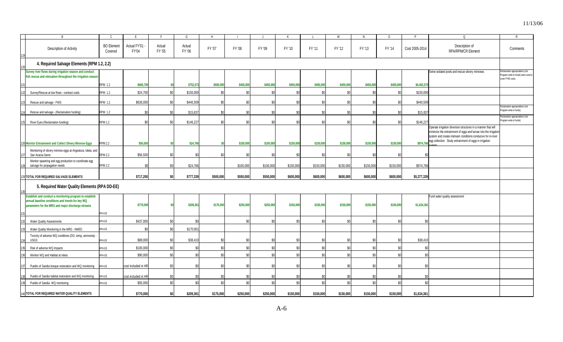|      |                                                                                                                                                                   |                              | F                     |                  | G                | н         |           |           |              |                | M         |           | $\Omega$        |                | $\Omega$                                                                                                                                                                                                                                                                    |                                                                                           |
|------|-------------------------------------------------------------------------------------------------------------------------------------------------------------------|------------------------------|-----------------------|------------------|------------------|-----------|-----------|-----------|--------------|----------------|-----------|-----------|-----------------|----------------|-----------------------------------------------------------------------------------------------------------------------------------------------------------------------------------------------------------------------------------------------------------------------------|-------------------------------------------------------------------------------------------|
|      | Description of Activity                                                                                                                                           | <b>BO</b> Element<br>Covered | Actual FY'01<br>FY'04 | Actual<br>FY '05 | Actual<br>FY '06 | FY '07    | FY '08    | FY '09    | FY '10       | FY '11         | FY '12    | FY '13    | FY '14          | Cost 2005-2014 | Description of<br>RPA/RPM/CR Element                                                                                                                                                                                                                                        | Comments                                                                                  |
|      | 4. Required Salvage Elements (RPM 1.2, 2.2)                                                                                                                       |                              |                       |                  |                  |           |           |           |              |                |           |           |                 |                |                                                                                                                                                                                                                                                                             |                                                                                           |
|      | Survey river flows during irrigation season and conduct<br>fish rescue and relocation throughout the irrigation season                                            |                              |                       |                  |                  |           |           |           |              |                |           |           |                 |                | Seine isolated pools and rescue silvery minnows.                                                                                                                                                                                                                            | eclamation appropriations (not<br>rogram write-in funds) were used to<br>cover FY05 costs |
|      |                                                                                                                                                                   | <b>RPM 1.2</b>               | \$660,70              |                  | \$752,573        | \$500,000 | \$450,000 | \$450,000 | \$450,000    | \$450,000      | \$450,000 | \$450,000 | \$450,000       | \$4,402,573    |                                                                                                                                                                                                                                                                             |                                                                                           |
|      | Survey/Rescue at low flows - contract costs                                                                                                                       | <b>RPM 1.2</b>               | \$24,700              | \$0              | \$150,000        | \$0       | \$C       |           | \$0          | \$             |           | \$0       | \$0             | \$150,000      |                                                                                                                                                                                                                                                                             |                                                                                           |
| 123  | Rescue and salvage - FWS                                                                                                                                          | <b>RPM 1.2</b>               | \$636,000             | \$0              | \$440,509        |           |           |           | \$0          | <sup>\$0</sup> |           |           | \$0             | \$440,509      |                                                                                                                                                                                                                                                                             |                                                                                           |
|      | Rescue and salvage - (Reclamation funding)                                                                                                                        | <b>RPM 1.2</b>               | \$0                   | \$0              | \$15,83          |           | \$        |           | \$0          | -\$0           |           | \$ſ       | \$0             | \$15,837       |                                                                                                                                                                                                                                                                             | eclamation appropriations (not<br>ogram write-in funds)                                   |
| 125  | River Eyes (Reclamation funding)                                                                                                                                  | <b>RPM 1.2</b>               | \$0                   | \$0              | \$146,227        |           | \$        |           | \$O          | -\$0           |           | .so       | $$^{0}$         | \$146,227      |                                                                                                                                                                                                                                                                             | teclamation appropriations (not<br>rogram write-in funds)                                 |
|      | 126 Monitor Entrainment and Collect Silvery Minnow Eggs                                                                                                           | <b>RPM 2.2</b>               | \$56,500              |                  | \$24,76          |           | \$100,000 | \$100,000 | \$150,000    | \$150,000      | \$150,000 | \$150,000 | \$150,000       |                | Operate irrigation diversion structures in a manner that will<br>minimize the entrainment of eggs and larvae into the irrigation<br>system and create instream conditions conducive for in-river<br><b>S974,766</b> egg collection. Study entrainment of eggs in irrigation |                                                                                           |
| 127  | Monitoring of silvery minnow eggs at Angostura, Isleta, and<br>San Acacia Dams                                                                                    | <b>RPM 2.2</b>               | \$56,500              | \$C              |                  |           | \$0       |           | $\mathsf{S}$ | \$0            |           | \$0       | $$^{0}$         |                |                                                                                                                                                                                                                                                                             |                                                                                           |
|      | Monitor spawning and egg production to coordinate egg<br>salvage for propagation needs                                                                            | <b>RPM 2.2</b>               | ۹ſ                    | \$0              | \$24,766         |           | \$100,000 | \$100,000 | \$150,000    | \$150,000      | \$150,000 | \$150,000 | \$150,000       | \$974,766      |                                                                                                                                                                                                                                                                             |                                                                                           |
|      | 129 TOTAL FOR REQUIRED SALVAGE ELEMENTS                                                                                                                           |                              | \$717,200             | \$O              | \$777,339        | \$500,000 | \$550,000 | \$550,000 | \$600,000    | \$600,000      | \$600,000 | \$600,000 | \$600,000       | \$5,377,339    |                                                                                                                                                                                                                                                                             |                                                                                           |
|      | 5. Required Water Quality Elements (RPA DD-EE)                                                                                                                    |                              |                       |                  |                  |           |           |           |              |                |           |           |                 |                |                                                                                                                                                                                                                                                                             |                                                                                           |
|      | Establish and conduct a monitoring program to establish<br>annual baseline conditions and trends for key WQ<br>parameters for the MRG and major discharge streams | RPA EE                       | \$770,000             |                  | \$209,361        | \$175,000 | \$250,000 | \$250,000 | \$150,000    | \$150,000      | \$150,000 | \$150,000 | \$150,000       | \$1,634,361    | Fund water quality assessment                                                                                                                                                                                                                                               |                                                                                           |
| 132  | <b>Water Quality Assessments</b>                                                                                                                                  | RPA EE                       | \$437,000             | \$0              |                  |           | \$        | .so       | \$0          | \$             | \$0       | \$0       | \$0             | \$0            |                                                                                                                                                                                                                                                                             |                                                                                           |
| 133  | Water Quality Monitoring in the MRG - NMED                                                                                                                        | RPA EE                       | \$ſ                   | \$0              | \$170,951        |           |           |           |              |                |           |           |                 |                |                                                                                                                                                                                                                                                                             |                                                                                           |
|      | Toxicity of adverse WQ conditions (DO, temp, ammonia) -<br><b>USGS</b>                                                                                            | RPA EE                       | \$88,000              | \$0              | \$38,410         |           | -\$0      | \$0       | \$0          | -SC            | \$0       | \$0       | \$0             | \$38,410       |                                                                                                                                                                                                                                                                             |                                                                                           |
| 135  | Risk of adverse WQ impacts                                                                                                                                        | RPA EE                       | \$100,000             | \$0              |                  |           | \$f       | \$0       | \$0          | \$C            | \$0       |           | \$0             | SC.            |                                                                                                                                                                                                                                                                             |                                                                                           |
| 136  | Monitor WQ and Habitat at Isleta                                                                                                                                  | RPA EE                       | \$90,000              | \$0              |                  | \$0       |           |           | \$0          | $\mathcal{L}$  | \$0       |           | \$ <sub>0</sub> |                |                                                                                                                                                                                                                                                                             |                                                                                           |
|      |                                                                                                                                                                   |                              |                       |                  |                  |           |           |           |              | -\$0           |           |           |                 |                |                                                                                                                                                                                                                                                                             |                                                                                           |
| 137  | Pueblo of Sandia bosque restoration and WQ monitoring                                                                                                             | RPA EE                       | cost included in HR   | \$0              |                  |           |           |           | \$0          |                |           |           |                 | SC.            |                                                                                                                                                                                                                                                                             |                                                                                           |
| 1381 | Pueblo of Sandia habitat restoration and WQ monitoring                                                                                                            | RPA EE                       | cost included in HR   | \$0              |                  |           | .SO       | ß۵        | \$0          | -\$0           | S0        |           |                 |                |                                                                                                                                                                                                                                                                             |                                                                                           |
| 39   | Pueblo of Sandia WQ monitoring                                                                                                                                    | RPA EE                       | \$55,000              | \$0              |                  | \$0       | \$0       | \$0       | \$0          | $\mathcal{L}$  | \$0       | \$0       | \$0             | \$0            |                                                                                                                                                                                                                                                                             |                                                                                           |
|      | 140 TOTAL FOR REQUIRED WATER QUALITY ELEMENTS                                                                                                                     |                              | \$770,000             | \$O              | \$209,361        | \$175,000 | \$250,000 | \$250,000 | \$150,000    | \$150,000      | \$150,000 | \$150,000 | \$150,000       | \$1,634,361    |                                                                                                                                                                                                                                                                             |                                                                                           |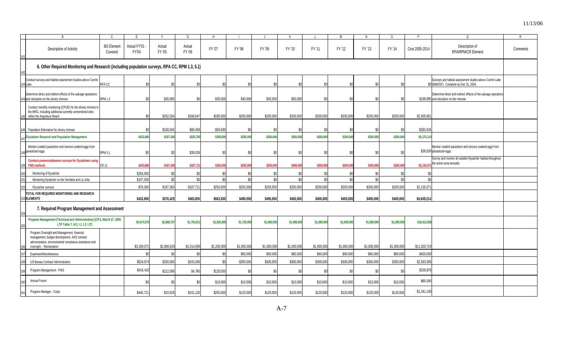|     | B                                                                                                                                                                                 | C.                           |                       |                  |                  | Н             |             |             |             |             | м               | N           | $\circ$     | P              | $\Omega$                                                                                                  | R        |
|-----|-----------------------------------------------------------------------------------------------------------------------------------------------------------------------------------|------------------------------|-----------------------|------------------|------------------|---------------|-------------|-------------|-------------|-------------|-----------------|-------------|-------------|----------------|-----------------------------------------------------------------------------------------------------------|----------|
|     |                                                                                                                                                                                   |                              |                       | -F               | G                |               |             |             | К           |             |                 |             |             |                |                                                                                                           |          |
|     | Description of Activity                                                                                                                                                           | <b>BO</b> Element<br>Covered | Actual FY'01<br>FY'04 | Actual<br>FY '05 | Actual<br>FY '06 | FY '07        | FY '08      | FY '09      | FY '10      | FY '11      | FY '12          | FY '13      | FY '14      | Cost 2005-2014 | Description of<br>RPA/RPM/CR Element                                                                      | Comments |
|     | 6. Other Required Monitoring and Research (including population surveys, RPA CC, RPM 1.3, 5.1)                                                                                    |                              |                       |                  |                  |               |             |             |             |             |                 |             |             |                |                                                                                                           |          |
|     | Conduct surveys and habitat assessment studies above Cochiti<br>143 Lake                                                                                                          | <b>RPACC</b>                 | \$Ր                   | \$0              | $$^{0}$          | \$0           | \$0         | \$í         | ٩n          | \$0         | \$ſ             | \$O         | \$ſ         |                | Surveys and habitat assessment studies above Cochiti Lake<br>\$0 (NMDGF). Complete by Dec 31, 2004.       |          |
|     | Determine direct and indirect effects of the salvage operations<br>14 and relocation on the silvery minnow                                                                        | <b>RPM 1.3</b>               | .sr                   | \$26,995         |                  | \$35,000      | \$40,000    | \$45,000    | \$50,000    | \$0         | $\mathcal{S}$   | \$0         | \$C         |                | Determine direct and indirect effects of the salvage operations<br>\$196,995 and relocation on the minnow |          |
|     | Conduct monthly monitoring (CPUE) for the silvery minnow in<br>the MRG, including additional currently unmonitored sites<br>within the Angostura Reach                            |                              | .SC                   | \$252,034        | \$168,647        | \$185,000     | \$200,000   | \$200,000   | \$200,000   | \$200,000   | \$200,000       | \$200,000   | \$200,000   | \$2,005.68     |                                                                                                           |          |
|     | Population Estimation for silvery minnow                                                                                                                                          |                              |                       | \$100,040        | \$89,458         | \$93,930      | \$C         |             | \$0         | \$0         |                 |             | \$C         | \$283,428      |                                                                                                           |          |
|     | - Flycatcher Research and Population Management                                                                                                                                   |                              | \$433,80              | \$197,360        | \$225,750        | \$250,000     | \$250,000   | \$250,000   | \$200,000   | \$200,000   | \$200,000       | \$200,000   | \$200,000   | \$2,173,110    |                                                                                                           |          |
|     | Monitor cowbird parasitism and remove cowbird eggs from<br>18 parasitized eggs.                                                                                                   | <b>RPM 5.1</b>               | \$0                   | \$0              | \$38,039         | \$0           | \$C         | \$          | \$0         | \$0         | \$0             | \$0         | $$^{0}$     |                | Monitor cowbird parasitism and remove cowbird eggs from<br>\$38,039 parasitized eggs.                     |          |
| 149 | Conduct presence/absence surveys for flycatchers using<br><b>FWS methods</b>                                                                                                      | <b>CR 11</b>                 | \$433.80              | \$197,36         | \$187,71         | \$250,00      | \$250,000   | \$250,00    | \$200.00    | \$200,00    | \$200.00        | \$200,000   | \$200,000   | \$2,135.07     | Survey and monitor all suitable flycatcher habitat throughout<br>he action area annually.                 |          |
|     | Monitoring of flycatcher                                                                                                                                                          |                              | \$250,000             | \$ſ              | .SO              | $\mathcal{S}$ | \$C         | \$          | $\$0$       | \$0         |                 | \$0         | \$C         |                |                                                                                                           |          |
|     | Monitoring flycatcher on the Sevilleta and La Jolla                                                                                                                               |                              | \$107,50              | \$0              | \$0              | \$0           | \$0         | \$0         | \$0         | \$0         | \$0             | \$0         | \$0         | \$0            |                                                                                                           |          |
|     | Flycatcher surveys                                                                                                                                                                |                              | \$76,30               | \$197,360        | \$187,711        | \$250,000     | \$250,000   | \$250.000   | \$200,000   | \$200,000   | \$200.000       | \$200.000   | \$200,000   | \$2,135,07     |                                                                                                           |          |
|     | TOTAL FOR REQUIRED MONITORING AND RESEARCH<br>3 <b>ELEMENTS</b>                                                                                                                   |                              | \$433,800             | \$576,429        | \$483,855        | \$563,930     | \$490,000   | \$495,000   | \$450,000   | \$400,000   | \$400,000       | \$400,000   | \$400,000   | \$4,659,214    |                                                                                                           |          |
|     | 7. Required Program Management and Assessment                                                                                                                                     |                              |                       |                  |                  |               |             |             |             |             |                 |             |             |                |                                                                                                           |          |
|     | Program Management (Technical and Administrative) (CR 5, March 27, 2005<br>LTP Table 7, H.3, I.1, I.2, I.3*)                                                                      |                              | \$5,674,576           | \$2,868,757      | \$1,754,811      | \$1,920,000   | \$1,730,000 | \$1,690,000 | \$1,690,000 | \$1,690,000 | \$1,690,000     | \$1,690,000 | \$1,690,000 | \$18,413,568   |                                                                                                           |          |
|     | Program Oversight and Management, financial<br>management, budget development, AAO contract<br>administration, environmental compliance assistance and<br>oversight - Reclamation |                              | \$3,169,072           | \$1,806,629      | \$1,014,090      | \$1,200,000   | \$1,000,000 | \$1,000,000 | \$1,000,000 | \$1,000,000 | \$1,000,000     | \$1,000,000 | \$1,000,000 | \$11,020,719   |                                                                                                           |          |
|     | Expenses/Miscellaneous                                                                                                                                                            |                              |                       |                  | \$ <sub>6</sub>  | $\Omega$      | \$60,000    | \$60,000    | \$60,000    | \$60,000    | \$60,000        | \$60,000    | \$60,000    | \$420,000      |                                                                                                           |          |
|     | <b>US Bureau Contract Administration</b>                                                                                                                                          |                              | \$524.87              | \$250.000        | \$243.306        | ٩ſ            | \$300,000   | \$300.000   | \$300,000   | \$300,000   | \$300,000       | \$300.000   | \$300,000   | \$2,593,306    |                                                                                                           |          |
|     | Program Management - FWS                                                                                                                                                          |                              | \$416,41              | \$212,099        | \$4,780          | \$120,000     | \$C         | \$í         | \$0         | \$0         | \$ <sub>6</sub> | \$0         | \$í         | \$336,879      |                                                                                                           |          |
|     | Annual Forum                                                                                                                                                                      |                              | \$0                   | \$0              | -\$0             | \$10,000      | \$10,000    | \$10,000    | \$10,000    | \$10,000    | \$10,000        | \$10,000    | \$10,000    | \$80,000       |                                                                                                           |          |
|     | Program Manager - Corps                                                                                                                                                           |                              | \$440,721             | \$10,029         | \$241,120        | \$250,000     | \$120,000   | \$120,000   | \$120,000   | \$120,000   | \$120,000       | \$120,000   | \$120,000   | \$1,341,149    |                                                                                                           |          |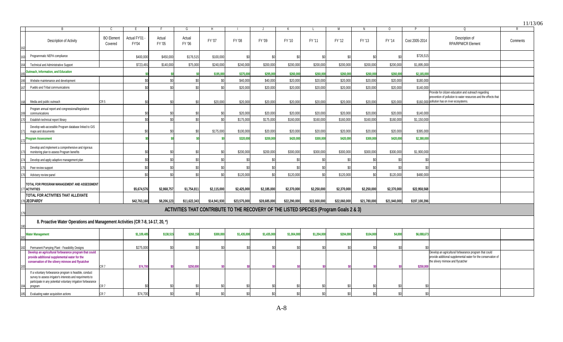|     |                                                                                                                                                                                                          |                              |                       |                  | G                                                                                      | н            |              |              |              |              | M            |              | $\circ$      |                | $\Omega$                                                                                                                                                                | $\mathsf{R}$ |
|-----|----------------------------------------------------------------------------------------------------------------------------------------------------------------------------------------------------------|------------------------------|-----------------------|------------------|----------------------------------------------------------------------------------------|--------------|--------------|--------------|--------------|--------------|--------------|--------------|--------------|----------------|-------------------------------------------------------------------------------------------------------------------------------------------------------------------------|--------------|
|     | Description of Activity                                                                                                                                                                                  | <b>BO</b> Element<br>Covered | Actual FY'01<br>FY'04 | Actual<br>FY '05 | Actual<br>FY '06                                                                       | FY '07       | FY '08       | FY '09       | FY '10       | FY '11       | FY '12       | FY '13       | FY '14       | Cost 2005-2014 | Description of<br>RPA/RPM/CR Element                                                                                                                                    | Comments     |
|     | Programmatic NEPA compliance                                                                                                                                                                             |                              | \$400,000             | \$450,000        | \$176,515                                                                              | \$100,000    | \$0          | s,           | \$0          | \$0          | SC.          | \$0          | \$0          | \$726,515      |                                                                                                                                                                         |              |
|     | Technical and Administrative Support                                                                                                                                                                     |                              | \$723,49'             | \$140,000        | \$75,000                                                                               | \$240,000    | \$240,000    | \$200,000    | \$200,000    | \$200,000    | \$200,000    | \$200,000    | \$200,000    | \$1,895,000    |                                                                                                                                                                         |              |
|     | Jutreach, Information, and Education                                                                                                                                                                     |                              |                       |                  |                                                                                        | \$195,00     | \$375,000    | \$295,000    | \$260,00     | \$260,000    | \$260,000    | \$260,000    | \$260,000    | \$2,165,000    |                                                                                                                                                                         |              |
|     | Website maintenance and development                                                                                                                                                                      |                              | \$ſ                   | ፍሰ               | \$0                                                                                    |              | \$40,000     | \$40,000     | \$20,000     | \$20,000     | \$20,000     | \$20,000     | \$20,000     | \$180,000      |                                                                                                                                                                         |              |
|     | Pueblo and Tribal communications                                                                                                                                                                         |                              | \$0                   |                  | \$ <sub>6</sub>                                                                        |              | \$20,000     | \$20.000     | \$20,000     | \$20.000     | \$20,000     | \$20,000     | \$20,000     | \$140,000      |                                                                                                                                                                         |              |
|     |                                                                                                                                                                                                          |                              | \$0                   |                  | \$                                                                                     | \$20,000     | \$20,000     | \$20,000     | \$20,000     | \$20,000     | \$20,000     | \$20,000     | \$20,000     |                | Provide for citizen education and outreach regarding<br>prevention of pollution to water resources and the effects that<br>\$160,000 pollution has on river ecosystems. |              |
|     | CR <sub>5</sub><br>Media and public outreach                                                                                                                                                             |                              |                       |                  |                                                                                        |              |              |              |              |              |              |              |              |                |                                                                                                                                                                         |              |
|     | Program annual report and congressional/legislative<br>communications                                                                                                                                    |                              | \$0                   |                  |                                                                                        |              | \$20,000     | \$20,000     | \$20,000     | \$20,000     | \$20,000     | \$20,000     | \$20,000     | \$140,000      |                                                                                                                                                                         |              |
|     | Establish technical report library                                                                                                                                                                       |                              | ۹ſ                    | ፍሰ               | \$0                                                                                    |              | \$175,000    | \$175,000    | \$160,00     | \$160,000    | \$160,000    | \$160,000    | \$160,000    | \$1,150,000    |                                                                                                                                                                         |              |
|     | Develop web-accessible Program database linked to GIS<br>maps and documents                                                                                                                              |                              | \$ſ                   | ß۲               | -SC                                                                                    | \$175,000    | \$100,000    | \$20,000     | \$20,000     | \$20,000     | \$20,000     | \$20,000     | \$20,000     | \$395,000      |                                                                                                                                                                         |              |
|     | Program Assessment                                                                                                                                                                                       |                              |                       |                  |                                                                                        |              | \$320,000    | \$200,000    | \$420,000    | \$300,000    | \$420,000    | \$300,000    | \$420,000    | \$2,380,000    |                                                                                                                                                                         |              |
|     | Develop and implement a comprehensive and rigorous<br>monitoring plan to assess Program benefits                                                                                                         |                              | \$0                   | ۹Λ               | -\$0                                                                                   |              | \$200,000    | \$200,000    | \$300,000    | \$300,000    | \$300,000    | \$300,000    | \$300,000    | \$1,900,000    |                                                                                                                                                                         |              |
|     | Develop and apply adaptive management plan                                                                                                                                                               |                              | \$0                   | $\Re$            | \$ <sub>6</sub>                                                                        |              |              | \$0          | \$ſ          |              |              |              | .SC          |                |                                                                                                                                                                         |              |
|     | Peer review support                                                                                                                                                                                      |                              | \$0                   | \$0              | SC                                                                                     |              |              | \$           |              | \$0          |              | \$0          | \$C          |                |                                                                                                                                                                         |              |
|     | Advisory review panel                                                                                                                                                                                    |                              | \$ <sub>6</sub>       | \$0              | \$0                                                                                    |              | \$120,000    | \$0          | \$120,000    | \$0          | \$120,000    | \$0          | \$120,000    | \$480,000      |                                                                                                                                                                         |              |
|     | TOTAL FOR PROGRAM MANAGEMENT AND ASSESSMENT<br><b>ACTIVITIES</b>                                                                                                                                         |                              | \$5,674,576           | \$2,868,757      | \$1,754,811                                                                            | \$2,115,000  | \$2,425,000  | \$2,185,000  | \$2,370,000  | \$2,250,000  | \$2,370,000  | \$2,250,000  | \$2,370,000  | \$22,958,568   |                                                                                                                                                                         |              |
|     | TOTAL FOR ACTIVITIES THAT ALLEVIATE                                                                                                                                                                      |                              |                       |                  |                                                                                        |              |              |              |              |              |              |              |              |                |                                                                                                                                                                         |              |
|     | 8JEOPARDY                                                                                                                                                                                                |                              | \$42,763,160          | \$8,206,123      | \$11,622,343                                                                           | \$14,941,930 | \$23,575,000 | \$28,685,000 | \$22,290,000 | \$22,000,000 | \$22,060,000 | \$21,780,000 | \$21,940,000 | \$197,100,396  |                                                                                                                                                                         |              |
|     |                                                                                                                                                                                                          |                              |                       |                  | ACTIVITIES THAT CONTRIBUTE TO THE RECOVERY OF THE LISTED SPECIES (Program Goals 2 & 3) |              |              |              |              |              |              |              |              |                |                                                                                                                                                                         |              |
|     | 8. Proactive Water Operations and Management Activities (CR 7-8, 14-17, 20, *)                                                                                                                           |                              |                       |                  |                                                                                        |              |              |              |              |              |              |              |              |                |                                                                                                                                                                         |              |
|     | <b>Water Management</b>                                                                                                                                                                                  |                              | \$1,109,405           | \$138,515        | \$260,158                                                                              | \$300,000    | \$1,435,000  | \$1,435,000  | \$1,004,000  | \$1,204,000  | \$204,000    | \$104,000    | \$4,000      | \$6,088,673    |                                                                                                                                                                         |              |
|     | Permanent Pumping Plant - Feasibility Designs                                                                                                                                                            |                              | \$275,000             | \$ſ              | -SC                                                                                    |              |              |              |              | \$C          |              |              | SC.          |                |                                                                                                                                                                         |              |
|     | Develop an agricultural forbearance program that could<br>provide additional supplemental water for the<br>conservation of the silvery minnow and flycatcher<br>CR <sub>7</sub>                          |                              | \$74,700              |                  | \$250,000                                                                              |              |              |              |              |              |              |              |              | \$250,000      | Develop an agricultural forbearance program that could<br>provide additional supplemental water for the conservation of<br>the silvery minnow and flycatcher            |              |
|     | If a voluntary forbearance program is feasible, conduct<br>survey to assess irrigator's interests and requriments to<br>participate in any potential voluntary irrigation forbearance<br>CR 7<br>program |                              |                       |                  | S)                                                                                     |              |              |              |              |              |              |              |              |                |                                                                                                                                                                         |              |
| 185 | CR <sub>7</sub><br>Evaluating water acquisition actions                                                                                                                                                  |                              | \$74.700              | \$0              | \$0                                                                                    |              | \$0          |              | \$ſ          | \$0          | SC.          | \$0          | $\mathsf{S}$ | \$0            |                                                                                                                                                                         |              |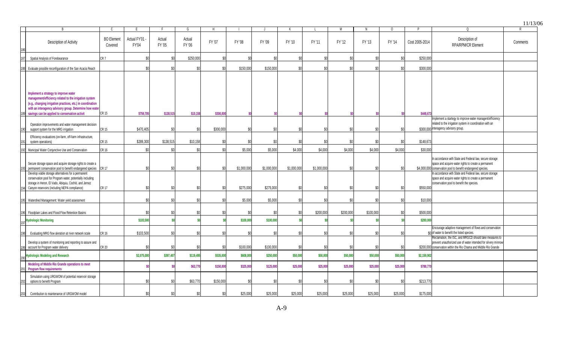|     |                                                                                                                                                                                                                                                                             |                              |                              |                  |                  |           |             |             |             |             |           |           |          |                |                                                                                                                                                                                               | 11/13    |
|-----|-----------------------------------------------------------------------------------------------------------------------------------------------------------------------------------------------------------------------------------------------------------------------------|------------------------------|------------------------------|------------------|------------------|-----------|-------------|-------------|-------------|-------------|-----------|-----------|----------|----------------|-----------------------------------------------------------------------------------------------------------------------------------------------------------------------------------------------|----------|
|     | R                                                                                                                                                                                                                                                                           |                              | F.                           |                  | G                | H         |             |             |             |             |           | N         | 0        |                |                                                                                                                                                                                               | R        |
|     | Description of Activity                                                                                                                                                                                                                                                     | <b>BO</b> Element<br>Covered | Actual FY'01<br><b>FY'04</b> | Actual<br>FY '05 | Actual<br>FY '06 | FY '07    | FY '08      | FY '09      | FY '10      | FY '11      | FY '12    | FY '13    | FY '14   | Cost 2005-2014 | Description of<br><b>RPA/RPM/CR Element</b>                                                                                                                                                   | Comments |
|     | Spatial Analysis of Forebearance                                                                                                                                                                                                                                            | CR 7                         | \$0                          |                  | \$250,000        | \$0       | \$í         |             | \$0         | \$0         |           | -\$0      |          | \$250,000      |                                                                                                                                                                                               |          |
|     | Evaluate possible reconfiguration of the San Acacia Reach                                                                                                                                                                                                                   |                              | \$0                          | .SO              |                  | \$0       | \$150,000   | \$150,000   | \$0         | \$0         | \$0       | \$0       |          | \$300,000      |                                                                                                                                                                                               |          |
|     | Implement a strategy to improve water<br>management/efficiency related to the irrigation system<br>(e.g., changing irrigation practices, etc.) in coordination<br>with an interagency advisory group. Determine how water<br>savings can be applied to conservation activit | <b>CR 15</b>                 | \$759,705                    | \$138,515        | \$10,158         | \$300,000 |             |             |             |             |           |           |          | \$448,673      |                                                                                                                                                                                               |          |
|     | Operation improvements and water management decision<br>support system for the MRG irrigation                                                                                                                                                                               | CR 15                        | \$470,405                    | .SO              | \$ſ              | \$300,000 | \$0         |             |             | \$0         |           | \$0       |          |                | mplement a startegy to improve water managent/efficiency<br>related to the irrigation system in coordination with an<br>\$300.000 interagency advisory group.                                 |          |
|     | Efficiency evaluations (on-farm, off-farm infrastructure,<br>system operations)                                                                                                                                                                                             | CR 15                        | \$289,300                    | \$138,515        | \$10,158         | \$0       |             |             |             |             |           | \$ſ       |          | \$148,673      |                                                                                                                                                                                               |          |
|     | Municipal Water Conjunctive Use and Conservation                                                                                                                                                                                                                            | <b>CR 16</b>                 | $\$0$                        | \$0              | \$ <sub>6</sub>  | \$0       | \$5,000     | \$5,000     | \$4,000     | \$4,000     | \$4,000   | \$4,000   | \$4,000  | \$30,000       |                                                                                                                                                                                               |          |
|     | Secure storage space and acquire storage rights to create a<br>permanent conservation pool to benefit endangered species                                                                                                                                                    | <b>CR 17</b>                 | \$0                          | \$0              | \$0              | \$0       | \$1,000,000 | \$1,000,000 | \$1,000,000 | \$1,000,000 | \$0       | \$0       |          |                | n accordance with State and Federal law, secure storage<br>space and acquire water rights to create a permanent<br>\$4,000,000 conservation pool to benefit endangered species.               |          |
|     | Develop viable storage alternatives for a permanent<br>conservation pool for Program water, potentially including<br>storage in Heron, El Vado, Abiquiu, Cochiti, and Jemez                                                                                                 | <b>CR 17</b>                 | \$ſ                          | .SO              | \$ſ              | \$0       | \$275,000   | \$275,000   | \$0         | \$0         | \$ſ       | \$0       |          | \$550,000      | n accordance with State and Federal law, secure storage<br>space and acquire water rights to create a permanent<br>conservation pool to benefit the species.                                  |          |
|     | Canyon reservoirs (including NEPA compliance)<br>Watershed Management: Water yield assessment                                                                                                                                                                               |                              | \$0                          | .SO              | \$۱              | ß۵        | \$5,000     | \$5,000     | \$0         | \$0         |           | \$0       |          | \$10,000       |                                                                                                                                                                                               |          |
|     | Floodplain Lakes and Flood Flow Retention Basins                                                                                                                                                                                                                            |                              | ¢٢                           | \$0              |                  |           |             |             | \$ſ         | \$200,000   | \$200,000 | \$100,000 |          | \$500,000      |                                                                                                                                                                                               |          |
|     | <b>Hydrologic Monitoring</b>                                                                                                                                                                                                                                                |                              | \$103,500                    |                  |                  | <b>SO</b> | \$100,000   | \$100,000   |             | \$0         |           |           |          | \$200,000      |                                                                                                                                                                                               |          |
|     | Evaluating MRG flow aleration at river network scale                                                                                                                                                                                                                        | <b>CR 16</b>                 | \$103,500                    | SO               | \$0              | \$0       | -\$0        | \$ſ         | \$0         | \$0         | SO.       | \$0       |          |                | Encourage adaptive management of flows and conservation<br>\$0 of water to benefit the listed species.                                                                                        |          |
|     | Develop a system of monitoring and reporting to assure and<br>account for Program water delivery                                                                                                                                                                            | <b>CR 20</b>                 | \$0                          | \$0              | \$0              | \$0       | \$100,000   | \$100,000   | \$0         | \$0         | \$0       | \$0       | \$0      |                | Reclamation, the ISC, and MRGCD should take measures to<br>prevent unauthorized use of water intended for silvery minnow<br>\$200,000 conservation within the Rio Chama and Middle Rio Grande |          |
|     | <b>Hydrologic Modeling and Research</b>                                                                                                                                                                                                                                     |                              | \$2,075,000                  | \$397,407        | \$119,495        | \$535,000 | \$608,000   | \$250,000   | \$50,000    | \$50,000    | \$50,000  | \$50,000  | \$50,000 | \$2,159,902    |                                                                                                                                                                                               |          |
|     | Modeling of Middle Rio Grande operations to meet<br><b>Program flow requirements</b>                                                                                                                                                                                        |                              |                              |                  | \$63,770         | \$150,000 | \$325,000   | \$125,000   | \$25,000    | \$25,000    | \$25,000  | \$25,000  | \$25,000 | \$788,770      |                                                                                                                                                                                               |          |
|     | Simulation using URGWOM of potential reservoir storage<br>options to benefit Program                                                                                                                                                                                        |                              | \$0                          |                  | \$63,770         | \$150,000 |             |             | ۹ſ          | $$^{(1)}$   |           | .Sr       | . የሀ     | \$213,770      |                                                                                                                                                                                               |          |
| 203 | Contribution to maintenance of URGWOM model                                                                                                                                                                                                                                 |                              | \$0                          | .so              | \$í              | \$0       | \$25,000    | \$25,000    | \$25,000    | \$25,000    | \$25,000  | \$25,000  | \$25,000 | \$175,000      |                                                                                                                                                                                               |          |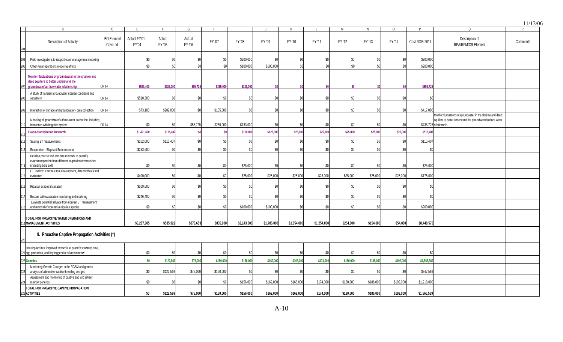|                |                                                                                                                                            |                              |                                |                  |                  |                 |             |             |             |             |           |           |           |                |                                                                                                                                                       | 11/13/06 |
|----------------|--------------------------------------------------------------------------------------------------------------------------------------------|------------------------------|--------------------------------|------------------|------------------|-----------------|-------------|-------------|-------------|-------------|-----------|-----------|-----------|----------------|-------------------------------------------------------------------------------------------------------------------------------------------------------|----------|
|                |                                                                                                                                            | C                            | E                              |                  | G                | Н               |             |             | К           |             | М         | N         | $\circ$   |                | $\Omega$                                                                                                                                              | R        |
|                | Description of Activity                                                                                                                    | <b>BO</b> Element<br>Covered | Actual FY'01 -<br><b>FY'04</b> | Actual<br>FY '05 | Actual<br>FY '06 | FY '07          | FY '08      | FY '09      | FY '10      | FY '11      | FY '12    | FY '13    | FY '14    | Cost 2005-2014 | Description of<br><b>RPA/RPM/CR Element</b>                                                                                                           | Comments |
|                | Field investigations to support water management modeling                                                                                  |                              | \$0                            |                  | \$O              | \$0             | \$200,000   | \$0         | .SO         | .SC         |           |           | \$0       | \$200,000      |                                                                                                                                                       |          |
|                | Other water operations modeling efforts                                                                                                    |                              | \$ <sub>6</sub>                |                  | \$ſ              | \$ <sub>6</sub> | \$100,000   | \$100,000   | \$0         | \$ſ         |           | \$ſ       | £ſ.       | \$200,000      |                                                                                                                                                       |          |
|                | Monitor fluctuations of groundwater in the shallow and<br>deep aquifers to better understand the<br>groundwater/surface water relationship | <b>CR 14</b>                 | \$583,400                      | \$282,000        | \$55,725         | \$385,000       | \$133,000   |             |             |             |           |           |           | \$855,725      |                                                                                                                                                       |          |
|                |                                                                                                                                            |                              |                                |                  |                  |                 |             |             |             |             |           |           |           |                |                                                                                                                                                       |          |
|                | A study of transient groundwater riparian conditions and<br>sensitivity                                                                    | <b>CR 14</b>                 | \$510,300                      | \$0              | \$0              | \$0             | \$ſ         | \$0         | \$0         | \$0         |           | ፍሰ        | \$ſ       | ፍ              |                                                                                                                                                       |          |
|                | Interaction of surface and groundwater - data collection                                                                                   | CR 14                        | \$73,100                       | \$282,000        | \$0              | \$135,000       | .so         | \$0         | \$0         | .SC         |           |           | SC.       | \$417,000      |                                                                                                                                                       |          |
|                | Modeling of groundwater/surface-water interaction, including<br>interaction with irrigation system.                                        | <b>CR 14</b>                 | \$í                            |                  | \$55,725         | \$250,000       | \$133,000   | \$0         | .SO         |             |           |           | ۹ı        |                | Monitor fluctuations of groundwater in the shallow and deep<br>aquifers to better understand the groundwater/surface water<br>\$438,725 relationship. |          |
|                | <b>Evapo-Transpiration Research</b>                                                                                                        |                              | \$1,491,600                    | \$115,407        |                  |                 | \$150,000   | \$125,000   | \$25,000    | \$25,000    | \$25,000  | \$25,000  | \$25,000  | \$515,40       |                                                                                                                                                       |          |
|                | Scaling ET measurements                                                                                                                    |                              | \$102,000                      | \$115,407        | \$0              | \$0             | \$C         | \$0         | \$0         | \$0         | \$ſ       | \$0       | \$0       | \$115,407      |                                                                                                                                                       |          |
|                | Evaporation - Elephant Butte reservoir                                                                                                     |                              | \$233,600                      |                  | ۹ſ               | \$0             | \$Ր         | \$0         | \$0         | \$0         |           |           | -SI       | .SO            |                                                                                                                                                       |          |
|                | Develop precise and accurate methods to quantify<br>evapotranspiration from different vegetation communities<br>(including bare soil).     |                              | \$                             | \$0              | \$0              | \$0             | \$25,000    | \$0         | \$0         | \$0         |           | \$በ       | SC.       | \$25,000       |                                                                                                                                                       |          |
|                | ET Toolbox: Continue tool development, data synthesis and<br>evaluation                                                                    |                              | \$400,000                      |                  |                  | \$C             | \$25,000    | \$25,000    | \$25,000    | \$25,000    | \$25,000  | \$25,000  | \$25,000  | \$175,000      |                                                                                                                                                       |          |
|                |                                                                                                                                            |                              |                                |                  |                  |                 |             |             |             |             |           |           |           |                |                                                                                                                                                       |          |
|                | Riparian evapotranspiration                                                                                                                |                              | \$509,600                      | \$በ              |                  | \$0             |             | \$0         | ፍሰ          | \$          |           |           | \$I       |                |                                                                                                                                                       |          |
|                | Bosque soil evaporation monitoring and modeling                                                                                            |                              | \$246,400                      |                  | \$0              | \$0             |             | \$0         | \$0         | \$0         |           | .SO       | \$0       | \$0            |                                                                                                                                                       |          |
|                | Evaluate potential salvage from riparian ET management<br>and removal of non-native riparian species.                                      |                              | $$^{0}$                        |                  | \$0              | \$0             | \$100,000   | \$100,000   | \$0         | \$0         |           | -SO       | SC.       | \$200,000      |                                                                                                                                                       |          |
|                | TOTAL FOR PROACTIVE WATER OPERATIONS AND<br><b>9 MANAGEMENT ACTIVITIES</b>                                                                 |                              | \$3.287,905                    | \$535,922        | \$379,653        | \$835,000       | \$2,143,000 | \$1,785,000 | \$1,054,000 | \$1,254,000 | \$254,000 | \$154,000 | \$54,000  | \$8,448,575    |                                                                                                                                                       |          |
|                | 9. Proactive Captive Propagation Activities (*)                                                                                            |                              |                                |                  |                  |                 |             |             |             |             |           |           |           |                |                                                                                                                                                       |          |
|                | Develop and test improved protocols to quantify spawning time,<br>221 egg production, and key triggers for silvery minnow                  |                              | \$0                            |                  | \$O              | SC.             |             | \$0         | -SO         | .SC         | ۹ſ        | .SO       | ۰Ŝ        | \$0            |                                                                                                                                                       |          |
|                | 222 Genetics                                                                                                                               |                              | \$í                            | \$122,56         | \$75,000         | \$150,000       | \$156,000   | \$162,000   | \$168,000   | \$174,000   | \$180,000 | \$186,000 | \$192,000 | \$1,565,569    |                                                                                                                                                       |          |
|                | Monitoring Genetic Changes in the RGSM and genetic<br>analysis of alternative captive breeding designs                                     |                              | \$0                            | \$122,569        | \$75,000         | \$150,000       | ፍሰ          | \$0         | \$0         | \$0         | ፍር        | \$በ       | \$0       | \$347,569      |                                                                                                                                                       |          |
|                | Assessment and monitoring of captive and wild silvery<br>minnow genetics                                                                   |                              | $\mathsf{S}$                   |                  | Sſ.              | SC.             | \$156,000   | \$162,000   | \$168,000   | \$174,000   | \$180,000 | \$186,000 | \$192,000 | \$1,218,000    |                                                                                                                                                       |          |
| $\overline{2}$ | TOTAL FOR PROACTIVE CAPTIVE PROPAGATION<br><b>5 ACTIVITIES</b>                                                                             |                              | \$0                            | \$122.569        | \$75,000         | \$150,000       | \$156,000   | \$162,000   | \$168,000   | \$174.000   | \$180,000 | \$186,000 | \$192,000 | \$1.565.569    |                                                                                                                                                       |          |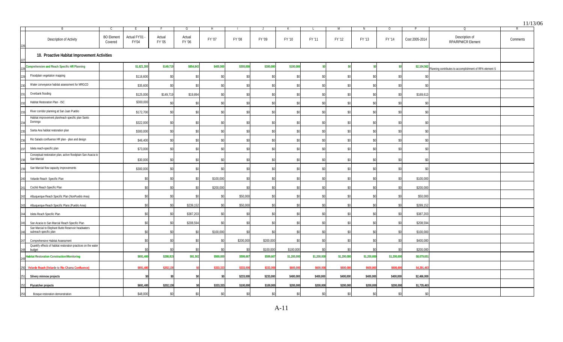|                                                                              |                              |                       |                  |                  |           |           |                 |             |             |                 |             |             |                |                                                                        | 11/1 <sup>2</sup> |
|------------------------------------------------------------------------------|------------------------------|-----------------------|------------------|------------------|-----------|-----------|-----------------|-------------|-------------|-----------------|-------------|-------------|----------------|------------------------------------------------------------------------|-------------------|
|                                                                              |                              |                       | $\mathbf{F}$     | G                |           |           |                 |             |             | M               |             | $\Omega$    | D              | $\Omega$                                                               | $\mathsf{P}$      |
| Description of Activity                                                      | <b>BO</b> Element<br>Covered | Actual FY'01<br>FY'04 | Actual<br>FY '05 | Actual<br>FY '06 | FY '07    | FY '08    | FY '09          | FY '10      | FY '11      | FY '12          | FY '13      | FY '14      | Cost 2005-2014 | Description of<br>RPA/RPM/CR Element                                   | Comments          |
| 10. Proactive Habitat Improvement Activities                                 |                              |                       |                  |                  |           |           |                 |             |             |                 |             |             |                |                                                                        |                   |
| Comprehensive and Reach Specific HR Planning                                 |                              | \$1,821,300           | \$149,719        | \$854,843        | \$400,000 | \$300,000 | \$300,000       | \$100,000   | \$0         |                 |             |             |                | \$2,104,562<br>Planning contributes to accomplishment of RPA element S |                   |
| Floodplain vegetation mapping                                                |                              | \$116,600             | \$0              | \$0              | \$0       | \$0       | \$0             | \$0         | \$0         | \$ <sub>0</sub> | \$O         | \$0         | \$             |                                                                        |                   |
| Water conveyance habitat assessment for MRGCD                                |                              | \$35,600              | \$0              | \$0              | \$0       | \$0       | \$0             | \$0         | \$0         | $$^{0}$         | \$C         | \$0         |                |                                                                        |                   |
| Overbank flooding                                                            |                              | \$125,000             | \$149,719        | \$19,894         | \$0       | \$0       | -\$0            | \$0         | \$0         | <b>S</b>        | \$C         | \$0         | \$169,613      |                                                                        |                   |
| Habitat Restoration Plan - ISC                                               |                              | \$300,000             | \$ <sub>0</sub>  | \$0              | \$0       | \$0       | \$0             | \$0         | \$0         | $$^{0}$         | \$0         | \$0         |                |                                                                        |                   |
| River corridor planning at San Juan Pueblo                                   |                              | \$172,700             | \$0              | \$0              | \$0       | \$0       | \$0             | \$0         | \$0         | <b>S</b>        | \$0         | \$0         | \$0            |                                                                        |                   |
| Habitat improvement plan/reach specific plan Santo<br>Domingo                |                              | \$322,000             | \$0              | \$0              | \$0       | \$0       | \$0             | \$0         | \$0         | SC.             |             | \$0         | \$C            |                                                                        |                   |
| Santa Ana habitat restoration plan                                           |                              | \$300,000             | \$0              | \$0              | \$0       | \$0       | \$0             | \$0         | \$0         | \$0             | \$0         | \$0         | \$C            |                                                                        |                   |
| Rio Salado confluence HR plan - plan and design                              |                              | \$46,400              | \$0              | \$0              | \$0       | \$0       | \$0             | \$0         | \$0         | \$0             | \$0         | \$0         | \$0            |                                                                        |                   |
| Isleta reach-specific plan                                                   |                              | \$73,000              | \$0              | \$0              | \$C       | \$0       | \$0             | \$0         | \$0         | \$0             | \$0         | \$0         | \$             |                                                                        |                   |
| Conceptual restoration plan, active floodplain San Acacia to<br>San Marcial  |                              | \$30,000              | \$0              | \$0              | \$0       | \$0       | \$0             | \$0         | \$0         | \$0             | \$0         | \$0         | \$C            |                                                                        |                   |
| San Marcial flow capacity improvements                                       |                              | \$300,000             | \$0              | \$0              | \$0       | \$0       | \$0             | \$0         | \$0         | \$              |             | \$0         | \$(            |                                                                        |                   |
| Velarde Reach Specific Plan                                                  |                              | \$C                   |                  | \$0              | \$100,000 | \$0       | \$ <sub>6</sub> | \$0         | \$0         | \$1             |             | \$0         | \$100,000      |                                                                        |                   |
| Cochiti Reach Specific Plan                                                  |                              | \$C                   |                  | \$0              | \$200,000 | \$0       | \$ <sub>6</sub> | \$0         | \$0         |                 |             | \$0         | \$200,000      |                                                                        |                   |
| Albuquerque Reach Specific Plan (NonPueblo Area)                             |                              | \$0                   | \$0              | \$0              | \$0       | \$50,000  | $$^{5$          | \$0         | \$0         |                 | \$ſ         | \$0         | \$50,000       |                                                                        |                   |
| Albuquerque Reach Specific Plans (Pueblo Area)                               |                              | \$0                   | \$0              | \$239,152        | -\$0      | \$50,000  | \$0             | \$0         | \$0         | \$ſ             | \$0         | \$0         | \$289,152      |                                                                        |                   |
| Isleta Reach Specific Plan                                                   |                              | \$0                   | \$0              | \$387,203        | \$0       | \$0       | \$0             | \$0         | \$0         | \$1             | \$0         | \$0         | \$387,203      |                                                                        |                   |
| San Acacia to San Marcial Reach Specific Plan                                |                              | \$0                   | \$0              | \$208,594        | \$0       | \$0       | \$ <sub>6</sub> | \$0         | \$0         | \$ı             | \$ſ         | \$0         | \$208,594      |                                                                        |                   |
| San Marcial to Elephant Butte Reservoir headwaters<br>subreach specific plan |                              | \$0                   | \$0              | \$0              | \$100,000 | \$0       | -SC             | \$0         | \$0         | ۹ı              |             | \$0         | \$100,000      |                                                                        |                   |
| Comprehensive Habitat Assessment                                             |                              | \$0                   | \$0              | \$0              | -\$0      | \$200,000 | \$200,000       | \$0         | \$0         | -\$0            | \$0         | $\$0$       | \$400,000      |                                                                        |                   |
| Quantify effects of habitat restoration practices on the water<br>budget     |                              |                       |                  |                  |           | $$^{0}$   | \$100,000       | \$100,000   | \$0         |                 |             | ፍሰ          | \$200,000      |                                                                        |                   |
| <b>Habitat Restoration Construction/Monitoring</b>                           |                              | \$691,400             | \$288,815        | \$91,502         | \$500,000 | \$599,667 | \$599,667       | \$1,200,000 | \$1,200,000 | \$1,200,000     | \$1,200,000 | \$1,200,000 | \$8,079,651    |                                                                        |                   |
| 250 Velarde Reach (Velarde to Rio Chama Confluence)                          |                              | \$691,40              | \$202,13         |                  | \$333,33  | \$333,00  | \$333,00        | \$600,00    | \$600,00    | \$600,00        | \$600,00    | \$600,00    | \$4,201,4      |                                                                        |                   |
| Silvery minnow projects                                                      |                              |                       | \$ſ              | \$0              |           | \$233,000 | \$233,000       | \$400,000   | \$400,000   | \$400,000       | \$400,000   | \$400,000   | \$2,466,000    |                                                                        |                   |
| Flycatcher projects<br>252                                                   |                              | \$691,400             | \$202,130        |                  | \$333,333 | \$100,000 | \$100,000       | \$200,000   | \$200,000   | \$200,000       | \$200,000   | \$200,000   | \$1,735,463    |                                                                        |                   |
| 253<br>Bosque restoration demonstration                                      |                              | \$48,000              | \$0              | \$0              | \$0       | \$0       | \$0             | \$0         | \$0         | \$ <sub>6</sub> | \$0         | \$0         | \$0            |                                                                        |                   |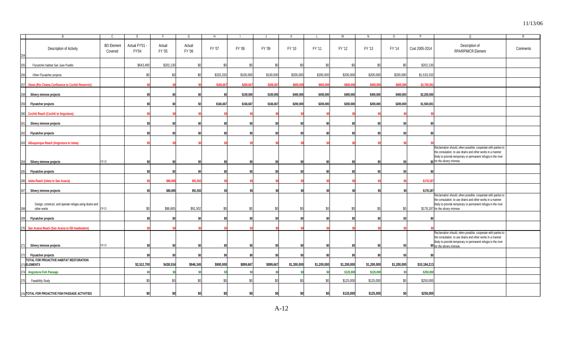|     | <b>R</b>                                                               | C.                           | F                     |                  | G                | H         |           |           |                 |             | M               | N               | $\circ$     | D              | $\Omega$                                                                                                                                                                                                                         | $\mathsf{R}$ |
|-----|------------------------------------------------------------------------|------------------------------|-----------------------|------------------|------------------|-----------|-----------|-----------|-----------------|-------------|-----------------|-----------------|-------------|----------------|----------------------------------------------------------------------------------------------------------------------------------------------------------------------------------------------------------------------------------|--------------|
|     | Description of Activity                                                | <b>BO</b> Element<br>Covered | Actual FY'01<br>FY'04 | Actual<br>FY '05 | Actual<br>FY '06 | FY '07    | FY '08    | FY '09    | FY '10          | FY '11      | FY '12          | FY '13          | FY '14      | Cost 2005-2014 | Description of<br>RPA/RPM/CR Element                                                                                                                                                                                             | Comments     |
|     | Flycatcher habitat San Juan Pueblo                                     |                              | \$643,400             | \$202,130        | \$0              | ۹ı        |           | \$0       | \$ <sub>6</sub> | \$0         | .\$ር            |                 | \$0         | \$202,130      |                                                                                                                                                                                                                                  |              |
|     | Other Flycatcher projects                                              |                              | \$0                   |                  | \$ſ              | \$333,333 | \$100,000 | \$100,000 | \$200,000       | \$200,000   | \$200,000       | \$200,000       | \$200,000   | \$1,533,333    |                                                                                                                                                                                                                                  |              |
| 25i | Otowi (Rio Chama Confluence to Cochiti Reservoir)                      |                              |                       |                  |                  | \$166,667 | \$266,66  | \$266,667 | \$600,00        | \$600,000   | \$600,00        | \$600,00        | \$600,000   | \$3,700,00     |                                                                                                                                                                                                                                  |              |
|     | Silvery minnow projects                                                |                              |                       |                  |                  | -SO       | \$100,000 | \$100,000 | \$400,000       | \$400,000   | \$400,000       | \$400,000       | \$400,000   | \$2,200,000    |                                                                                                                                                                                                                                  |              |
|     | <b>Flycatcher projects</b>                                             |                              |                       |                  |                  | \$166,667 | \$166,667 | \$166,667 | \$200,000       | \$200,000   | \$200,000       | \$200,000       | \$200,000   | \$1,500,001    |                                                                                                                                                                                                                                  |              |
| 260 | <b>Cochiti Reach (Cochiti to Angostura)</b>                            |                              |                       |                  |                  |           |           |           |                 |             |                 |                 |             |                |                                                                                                                                                                                                                                  |              |
|     | Silvery minnow projects                                                |                              |                       |                  |                  |           |           | \$ſ       |                 |             |                 |                 |             |                |                                                                                                                                                                                                                                  |              |
|     | Flycatcher projects                                                    |                              |                       |                  |                  |           |           | \$í       | \$0             |             |                 |                 |             | \$O            |                                                                                                                                                                                                                                  |              |
|     | Albuquerque Reach (Angostura to Isleta)                                |                              |                       |                  |                  |           |           |           |                 |             |                 |                 |             |                |                                                                                                                                                                                                                                  |              |
|     | Silvery minnow projects                                                | <b>CR 22</b>                 |                       |                  |                  |           |           | \$0       |                 |             |                 |                 |             |                | Reclamation should, when possible, cooperate with parties to<br>the consulation, to use drains and other works in a manner<br>likely to provide temporary or permanent refugia in the river<br>\$0 for the silvery minnow.       |              |
|     | Flycatcher projects                                                    |                              |                       |                  |                  |           |           | \$0       | \$O             |             | \$I             |                 |             |                |                                                                                                                                                                                                                                  |              |
| 266 | <b>Isleta Reach (Isleta to San Acacia)</b>                             |                              |                       | \$86.68          | \$91.50          |           |           |           |                 |             |                 |                 |             | \$178,18       |                                                                                                                                                                                                                                  |              |
|     | Silvery minnow projects                                                |                              |                       | \$86,685         | \$91,502         |           |           | \$0       | SO.             | \$0         |                 |                 | \$0         | \$178,187      |                                                                                                                                                                                                                                  |              |
|     | Design, construct, and operate refugia using drains and<br>other works | CR 22                        | .SO                   | \$86,685         | \$91,502         | \$ſ       |           | \$0       | \$0             | \$0         | \$ſ             |                 | \$0         |                | Reclamation should, when possible, cooperate with parties to<br>the consulation, to use drains and other works in a manner<br>likely to provide temporary or permanent refugia in the river<br>\$178,187 for the silvery minnow. |              |
|     | Flycatcher projects                                                    |                              |                       |                  |                  |           |           | \$0       |                 |             |                 |                 |             |                |                                                                                                                                                                                                                                  |              |
|     | San Acacia Reach (San Acacia to EB headwaters)                         |                              |                       |                  |                  |           |           |           |                 |             |                 |                 |             |                |                                                                                                                                                                                                                                  |              |
|     | Silvery minnow projects                                                | CR 22                        |                       |                  |                  |           |           | \$0       |                 |             |                 |                 |             |                | Reclamation should, when possible, cooperate with parties to<br>the consulation, to use drains and other works in a manner<br>likely to provide temporary or permanent refugia in the river<br>\$0 for the silvery minnow.       |              |
|     | <b>Flycatcher projects</b>                                             |                              |                       |                  |                  |           |           | \$0       |                 |             |                 |                 | \$0         |                |                                                                                                                                                                                                                                  |              |
|     | TOTAL FOR PROACTIVE HABITAT RESTORATION<br>ELEMENTS                    |                              | \$2,512,700           | \$438,534        | \$946,345        | \$900,000 | \$899,667 | \$899,667 | \$1,300,000     | \$1,200,000 | \$1,200,000     | \$1,200,000     | \$1,200,000 | \$10,184,213   |                                                                                                                                                                                                                                  |              |
|     | <b>Angostura Fish Passage</b>                                          |                              |                       |                  | -SO              |           |           | -SC       | -SO             |             | \$125,000       | \$125,000       |             | \$250,000      |                                                                                                                                                                                                                                  |              |
|     | <b>Feasibility Study</b>                                               |                              | \$0                   |                  | \$0              |           |           | \$0       | \$0             | \$0         | \$125,000       | \$125,000       | \$0         | \$250,000      |                                                                                                                                                                                                                                  |              |
|     | $\sim$ TOTAL COD BROACTIVE FIGURACCAOE AC                              |                              |                       |                  |                  |           |           | ô١        |                 |             | <b>CADE DOO</b> | <b>CADE ODD</b> | <b>col</b>  | 0.50000        |                                                                                                                                                                                                                                  |              |

**\$0 \$0 \$0 \$0 \$0 \$0 \$0 \$0 \$125,000 \$125,000 \$0 \$250,000**

276 **TOTAL FOR PROACTIVE FISH PASSAGE ACTIVITIES**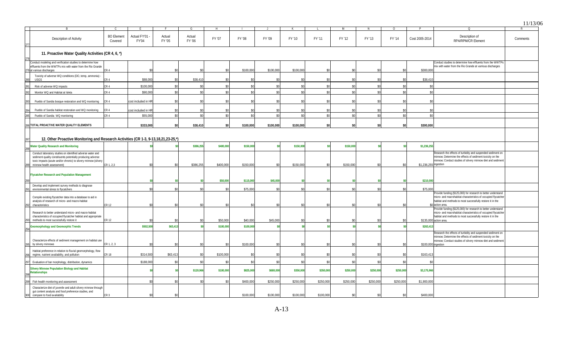|                                                                                                                                                                                                                           |                              |                       |                  |                  |                    |           |           |           |           |                 |           |                 |                       |                                                                                                                                                                                                                         | 11/13/06 |
|---------------------------------------------------------------------------------------------------------------------------------------------------------------------------------------------------------------------------|------------------------------|-----------------------|------------------|------------------|--------------------|-----------|-----------|-----------|-----------|-----------------|-----------|-----------------|-----------------------|-------------------------------------------------------------------------------------------------------------------------------------------------------------------------------------------------------------------------|----------|
|                                                                                                                                                                                                                           | C.                           | E                     | F.               | G                | H                  |           |           | K         |           | M               | N         | $\Omega$        |                       | $\Omega$                                                                                                                                                                                                                | R        |
| Description of Activity                                                                                                                                                                                                   | <b>BO</b> Element<br>Covered | Actual FY'01<br>FY'04 | Actual<br>FY '05 | Actual<br>FY '06 | FY '07             | FY '08    | FY '09    | FY '10    | FY '11    | FY '12          | FY '13    | FY '14          | Cost 2005-2014        | Description of<br><b>RPA/RPM/CR Element</b>                                                                                                                                                                             | Comments |
| 11. Proactive Water Quality Activities (CR 4, 6, *)                                                                                                                                                                       |                              |                       |                  |                  |                    |           |           |           |           |                 |           |                 |                       |                                                                                                                                                                                                                         |          |
| Conduct modeling and verification studies to determine how                                                                                                                                                                |                              |                       |                  |                  |                    |           |           |           |           |                 |           |                 |                       | Conduct studies to determine how effluents from the WWTP:                                                                                                                                                               |          |
| effluents from the WWTPs mix with water from the Rio Grande<br>279 at various discharges                                                                                                                                  | R 4                          |                       | .SC              |                  |                    | \$100,000 | \$100,000 | \$100,000 | .sr       |                 |           | \$0             | \$300,000             | mix with water from the Rio Grande at varrious discharges                                                                                                                                                               |          |
| Toxicity of adverse WQ conditions (DO, temp, ammonia) -                                                                                                                                                                   |                              |                       |                  |                  |                    |           |           |           |           |                 |           |                 |                       |                                                                                                                                                                                                                         |          |
| USGS                                                                                                                                                                                                                      | `R 4                         | \$88,000              | \$ſ              | \$38,41          |                    | \$0       | \$0       | \$0       |           |                 |           | \$0             | \$38,410              |                                                                                                                                                                                                                         |          |
| Risk of adverse WQ impacts                                                                                                                                                                                                | CR <sub>4</sub>              | \$100,000             |                  |                  |                    | \$0       | \$0       |           |           |                 |           | \$0             |                       |                                                                                                                                                                                                                         |          |
| Monitor WQ and Habitat at Isleta                                                                                                                                                                                          | R <sub>4</sub>               | \$90,000              | .SC              |                  | $\hat{\mathbf{x}}$ | \$0       | \$        | \$0       |           |                 | \$0       | \$0             | \$                    |                                                                                                                                                                                                                         |          |
|                                                                                                                                                                                                                           |                              |                       |                  |                  |                    |           |           |           |           |                 |           |                 |                       |                                                                                                                                                                                                                         |          |
| Pueblo of Sandia bosque restoration and WQ monitoring                                                                                                                                                                     | CR <sub>4</sub>              | cost included in HR   | .SC              |                  |                    | \$0       | \$        |           |           |                 |           | \$0             |                       |                                                                                                                                                                                                                         |          |
|                                                                                                                                                                                                                           |                              |                       |                  |                  |                    |           |           |           |           |                 |           |                 |                       |                                                                                                                                                                                                                         |          |
| Pueblo of Sandia habitat restoration and WQ monitoring                                                                                                                                                                    | CR 4                         | cost included in HF   |                  |                  |                    | \$0       | \$        |           |           |                 |           | \$0             |                       |                                                                                                                                                                                                                         |          |
| Pueblo of Sandia WQ monitoring                                                                                                                                                                                            | CR 4                         | \$55,000              | \$0              | ۹                | \$0                | \$0       | \$        | \$0       | \$ſ       | \$              | \$0       | \$0             | \$0                   |                                                                                                                                                                                                                         |          |
|                                                                                                                                                                                                                           |                              |                       |                  |                  |                    |           |           |           |           |                 |           |                 |                       |                                                                                                                                                                                                                         |          |
| 286 TOTAL PROACTIVE WATER QUALITY ELEMENTS                                                                                                                                                                                |                              | \$333,000             | \$0              | \$38,410         | \$O                | \$100,000 | \$100,000 | \$100,000 | \$0       |                 |           | \$0             | \$300,000             |                                                                                                                                                                                                                         |          |
|                                                                                                                                                                                                                           |                              |                       |                  |                  |                    |           |           |           |           |                 |           |                 |                       |                                                                                                                                                                                                                         |          |
| 12. Other Proactive Monitoring and Research Activities (CR 1-3, 9-13,18,21,23-25,*)                                                                                                                                       |                              |                       |                  |                  |                    |           |           |           |           |                 |           |                 |                       |                                                                                                                                                                                                                         |          |
| <b>Water Quality Research and Monitoring</b>                                                                                                                                                                              |                              |                       |                  | \$386,255        | \$400,000          | \$150,000 |           | \$150,000 |           | \$150,000       |           |                 | \$1,236,255           |                                                                                                                                                                                                                         |          |
| Conduct laboratory studies on identified adverse water and<br>sediment quality constituents potentially producing adverse<br>toxic impacts (acute and/or chronic) to silvery minnow (silvery<br>minnow health assessment) | CR 1, 2,3                    |                       | .SC              | \$386,255        | \$400,000          | \$150,000 | \$        | \$150,000 | \$0       | \$150,000       |           | \$0             | \$1,236,255 ingestion | Research the effects of turbidity and suspended sediment on<br>minnow; Determine the effects of sediment toxicity on the<br>minnow; Conduct studies of silvery minnow diet and sediment                                 |          |
| <b>Flycatcher Research and Population Management</b>                                                                                                                                                                      |                              |                       |                  |                  |                    |           |           |           |           |                 |           |                 |                       |                                                                                                                                                                                                                         |          |
|                                                                                                                                                                                                                           |                              |                       |                  |                  | \$50,000           | \$115,000 | \$45,00   |           |           |                 |           |                 | \$210,00              |                                                                                                                                                                                                                         |          |
| Develop and implement survey methods to diagnose<br>environmental stress to flycatchers                                                                                                                                   |                              | ፍሰ                    | <sub>SC</sub>    |                  | \$0                | \$75,000  | \$0       | \$0       | .sr       | .ፍር             |           | \$0             | \$75,000              |                                                                                                                                                                                                                         |          |
| Compile existing flycatcher data into a database to aid in<br>analysis of research of micro- and macro-habitat<br>characteristics                                                                                         | CR 12                        |                       | <sub>SC</sub>    |                  | \$ſ                | \$0       | \$0       | \$0       | \$0       |                 |           | \$0             |                       | Provide funding (\$125,000) for research to better understand<br>micro- and macrohabitat characteristics of occupied flycatcher<br>habitat and methods to most successfully restore it in the<br>\$0 action area.       |          |
| Research to better understand micro- and macro-habitat<br>characteristics of occupied flycatcher habitat and appropriate<br>methods to most successfully restore it                                                       | CR 12                        |                       |                  |                  | \$50,000           | \$40,000  | \$45,000  |           |           |                 |           | \$0             |                       | Provide funding (\$125,000) for research to better understand<br>micro- and macrohabitat characteristics of occupied flycatcher<br>habitat and methods to most successfully restore it in the<br>\$135,000 action area. |          |
| <b>Geomorphology and Geomorphic Trends</b>                                                                                                                                                                                |                              | \$502,500             | \$63,413         |                  | \$100,000          | \$100,000 |           |           |           |                 |           | \$ <sub>5</sub> | \$263,413             |                                                                                                                                                                                                                         |          |
| Characterize effects of sediment management on habitat use<br>by silvery minnows                                                                                                                                          | CR 1, 2, 3                   |                       | <sub>SC</sub>    |                  | \$0                | \$100,000 | \$0       | \$0       | \$0       |                 |           | \$0             | \$100,000 ingestion   | Research the effects of turbidity and suspended sediment on<br>minnow; Determine the effects of sediment toxicity on the<br>minnow; Conduct studies of silvery minnow diet and sediment                                 |          |
| Habitat preference in relation to fluvial geomorphology, flow                                                                                                                                                             |                              |                       |                  |                  |                    |           |           |           |           |                 |           |                 |                       |                                                                                                                                                                                                                         |          |
| regime, nutrient availability, and pollution                                                                                                                                                                              | CR 18                        | \$314,500             | \$63,413         |                  | \$100,000          | \$0       |           |           |           |                 |           | \$0             | \$163.41              |                                                                                                                                                                                                                         |          |
| Evaluation of bar morphology, distribution, dynamics                                                                                                                                                                      |                              | \$188,000             | .SC              |                  | ٩ı                 | \$0       |           |           |           |                 |           | \$0             |                       |                                                                                                                                                                                                                         |          |
| <b>Silvery Minnow Population Biology and Habitat</b><br><b>Relationships</b>                                                                                                                                              |                              |                       |                  | \$120,966        | \$100,000          | \$825,000 | \$680,000 | \$350,000 | \$350,000 | \$250,000       | \$250,000 | \$250,000       | \$3,175,966           |                                                                                                                                                                                                                         |          |
| Fish health monitoring and assessment                                                                                                                                                                                     |                              | ፍሰ                    | \$0              |                  |                    | \$400,000 | \$250,000 | \$250,000 | \$250,000 | \$250,000       | \$250,000 | \$250,000       | \$1,900,000           |                                                                                                                                                                                                                         |          |
| Characterize diet of juvenile and adult silvery minnow through<br>gut content analysis and food preference studies, and<br>compare to food availability                                                                   | CR <sub>3</sub>              | \$0                   | \$0              |                  |                    | \$100,000 | \$100,000 | \$100,000 | \$100,000 | \$ <sub>6</sub> | \$0       | \$0             | \$400,000             |                                                                                                                                                                                                                         |          |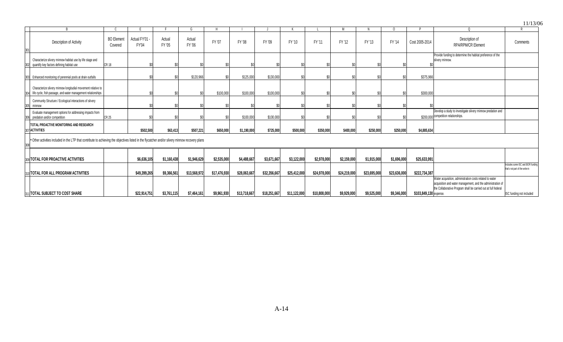|                                                                                                                                                  |                              |                       |                  |                  |              |              |              |              |              |              |              |              |                        |                                                                                                                                                                                           | 11/13/06                                                             |
|--------------------------------------------------------------------------------------------------------------------------------------------------|------------------------------|-----------------------|------------------|------------------|--------------|--------------|--------------|--------------|--------------|--------------|--------------|--------------|------------------------|-------------------------------------------------------------------------------------------------------------------------------------------------------------------------------------------|----------------------------------------------------------------------|
|                                                                                                                                                  |                              |                       |                  |                  |              |              |              |              |              |              |              | $\Omega$     |                        | 0                                                                                                                                                                                         |                                                                      |
| Description of Activity                                                                                                                          | <b>BO</b> Element<br>Covered | Actual FY'01<br>FY'04 | Actual<br>FY '05 | Actual<br>FY '06 | FY '07       | FY '08       | FY '09       | FY '10       | FY '11       | FY '12       | FY '13       | FY '14       | Cost 2005-2014         | Description of<br><b>RPA/RPM/CR Element</b>                                                                                                                                               | Comments                                                             |
| Characterize silvery minnow habitat use by life stage and<br>quantify key factors defining habitat use                                           | <b>CR18</b>                  |                       |                  |                  |              |              |              |              | \$0          |              |              |              |                        | Provide funding to determine the habitat preference of the<br>silvery minnow.                                                                                                             |                                                                      |
| 303 Enhanced monitoring of perennial pools at drain outfalls                                                                                     |                              |                       |                  | \$120,966        |              | \$125,000    | \$130,000    |              | \$0          |              |              |              | \$375,966              |                                                                                                                                                                                           |                                                                      |
| Characterize silvery minnow longitudial movement relative to<br>304 life cycle, fish passage, and water management relationships                 |                              |                       |                  |                  | \$100,000    | \$100,000    | \$100,000    |              | \$0          |              |              | \$0          | \$300,000              |                                                                                                                                                                                           |                                                                      |
| Community Structure / Ecological interactions of silvery<br>305 minnow                                                                           |                              |                       |                  |                  |              |              |              |              |              |              |              |              |                        |                                                                                                                                                                                           |                                                                      |
| Evaluate management options for addressing impacts from<br>predation and/or competition                                                          | CR 25                        |                       |                  |                  |              | \$100,000    | \$100,000    |              |              |              |              |              |                        | Develop a study to investigate silvery minnow predation and<br>\$200,000 competition relationships.                                                                                       |                                                                      |
| TOTAL PROACTIVE MONITORING AND RESEARCH<br>307 ACTIVITIES                                                                                        |                              | \$502,500             | \$63,413         | \$507.221        | \$650,000    | \$1,190,000  | \$725,000    | \$500,000    | \$350,000    | \$400,000    | \$250,000    | \$250,000    | \$4,885,634            |                                                                                                                                                                                           |                                                                      |
| * Other activities included in the LTP that contribute to achieving the objectives listed in the flycatcher and/or silvery minnow recovery plans |                              |                       |                  |                  |              |              |              |              |              |              |              |              |                        |                                                                                                                                                                                           |                                                                      |
| 309 TOTAL FOR PROACTIVE ACTIVITIES                                                                                                               |                              | \$6,636,105           | \$1,160,438      | \$1,946,629      | \$2,535,000  | \$4,488,667  | \$3,671,667  | \$3,122,000  | \$2,978,000  | \$2,159,000  | \$1,915,000  | \$1,696,000  | \$25,633,991           |                                                                                                                                                                                           |                                                                      |
| 310 TOTAL FOR ALL PROGRAM ACTIVITIES                                                                                                             |                              | \$49,399,265          | \$9,366,561      | \$13,568,972     | \$17,476,930 | \$28,063,667 | \$32,356,667 | \$25,412,000 | \$24,978,000 | \$24,219,000 | \$23,695,000 | \$23,636,000 | \$222,734,387          |                                                                                                                                                                                           | Includes some ISC and BOR funding<br>that's not part of the write-in |
| 311 TOTAL SUBJECT TO COST SHARE                                                                                                                  |                              | \$22,914,751          | \$3.761.115      | \$7,464,161      | \$9,961,930  | \$13,718,667 | \$18,251,667 | \$11,122,000 | \$10,808,000 | \$9,929,000  | \$9,525,000  | \$9,346,000  | \$103,849,130 expense. | Water acquisition, administration costs related to water<br>acquisition and water management, and the administration of<br>the Collaborative Program shall be carried out at full federal | ISC funding not included                                             |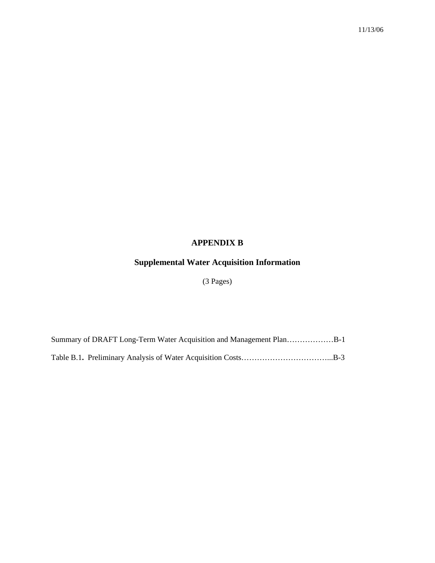# **APPENDIX B**

# **Supplemental Water Acquisition Information**

# (3 Pages)

Summary of DRAFT Long-Term Water Acquisition and Management Plan………………B-1 Table B.1**.** Preliminary Analysis of Water Acquisition Costs……………………………...B-3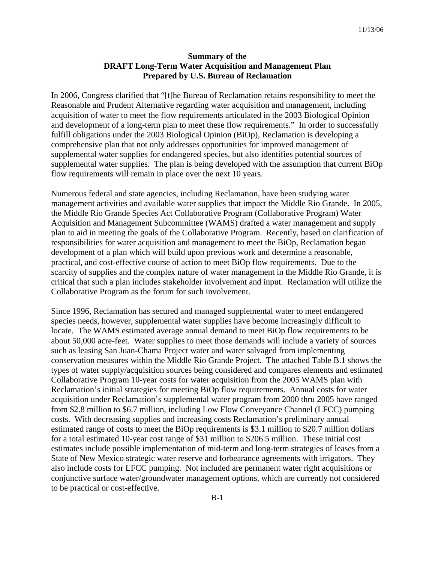#### **Summary of the DRAFT Long-Term Water Acquisition and Management Plan Prepared by U.S. Bureau of Reclamation**

In 2006, Congress clarified that "[t]he Bureau of Reclamation retains responsibility to meet the Reasonable and Prudent Alternative regarding water acquisition and management, including acquisition of water to meet the flow requirements articulated in the 2003 Biological Opinion and development of a long-term plan to meet these flow requirements." In order to successfully fulfill obligations under the 2003 Biological Opinion (BiOp), Reclamation is developing a comprehensive plan that not only addresses opportunities for improved management of supplemental water supplies for endangered species, but also identifies potential sources of supplemental water supplies. The plan is being developed with the assumption that current BiOp flow requirements will remain in place over the next 10 years.

Numerous federal and state agencies, including Reclamation, have been studying water management activities and available water supplies that impact the Middle Rio Grande. In 2005, the Middle Rio Grande Species Act Collaborative Program (Collaborative Program) Water Acquisition and Management Subcommittee (WAMS) drafted a water management and supply plan to aid in meeting the goals of the Collaborative Program. Recently, based on clarification of responsibilities for water acquisition and management to meet the BiOp, Reclamation began development of a plan which will build upon previous work and determine a reasonable, practical, and cost-effective course of action to meet BiOp flow requirements. Due to the scarcity of supplies and the complex nature of water management in the Middle Rio Grande, it is critical that such a plan includes stakeholder involvement and input. Reclamation will utilize the Collaborative Program as the forum for such involvement.

Since 1996, Reclamation has secured and managed supplemental water to meet endangered species needs, however, supplemental water supplies have become increasingly difficult to locate. The WAMS estimated average annual demand to meet BiOp flow requirements to be about 50,000 acre-feet. Water supplies to meet those demands will include a variety of sources such as leasing San Juan-Chama Project water and water salvaged from implementing conservation measures within the Middle Rio Grande Project. The attached Table B.1 shows the types of water supply/acquisition sources being considered and compares elements and estimated Collaborative Program 10-year costs for water acquisition from the 2005 WAMS plan with Reclamation's initial strategies for meeting BiOp flow requirements. Annual costs for water acquisition under Reclamation's supplemental water program from 2000 thru 2005 have ranged from \$2.8 million to \$6.7 million, including Low Flow Conveyance Channel (LFCC) pumping costs. With decreasing supplies and increasing costs Reclamation's preliminary annual estimated range of costs to meet the BiOp requirements is \$3.1 million to \$20.7 million dollars for a total estimated 10-year cost range of \$31 million to \$206.5 million. These initial cost estimates include possible implementation of mid-term and long-term strategies of leases from a State of New Mexico strategic water reserve and forbearance agreements with irrigators. They also include costs for LFCC pumping. Not included are permanent water right acquisitions or conjunctive surface water/groundwater management options, which are currently not considered to be practical or cost-effective.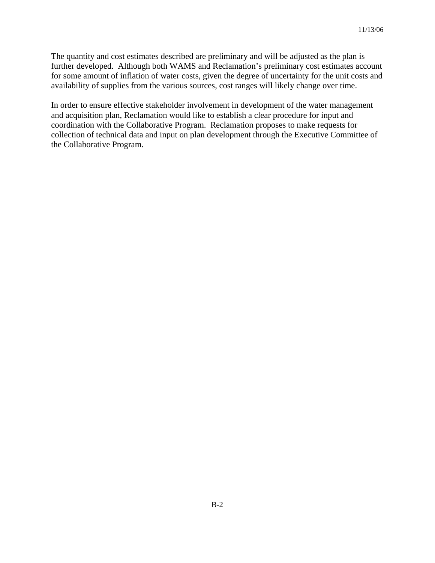The quantity and cost estimates described are preliminary and will be adjusted as the plan is further developed. Although both WAMS and Reclamation's preliminary cost estimates account for some amount of inflation of water costs, given the degree of uncertainty for the unit costs and availability of supplies from the various sources, cost ranges will likely change over time.

In order to ensure effective stakeholder involvement in development of the water management and acquisition plan, Reclamation would like to establish a clear procedure for input and coordination with the Collaborative Program. Reclamation proposes to make requests for collection of technical data and input on plan development through the Executive Committee of the Collaborative Program.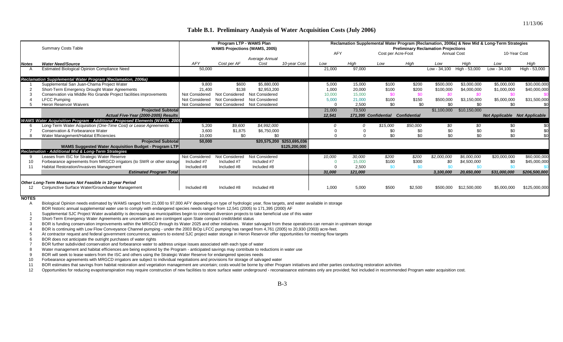#### **Table B.1. Preliminary Analysis of Water Acquisition Costs (July 2006)**

11/13/06

|              | <b>Summary Costs Table</b>                                                        |                | Program LTP - WAMS Plan<br><b>WAMS Projections (WAMS, 2005)</b> |                       |                            |            |         |                      |                     | <b>Preliminary Reclamation Projections</b> |               | Reclamation Supplemental Water Program (Reclamation, 2006a) & New Mid & Long-Term Strategies |               |
|--------------|-----------------------------------------------------------------------------------|----------------|-----------------------------------------------------------------|-----------------------|----------------------------|------------|---------|----------------------|---------------------|--------------------------------------------|---------------|----------------------------------------------------------------------------------------------|---------------|
|              |                                                                                   |                |                                                                 |                       |                            | <b>AFY</b> |         | Cost per Acre-Foot   |                     | <b>Annual Cost</b>                         |               | 10-Year Cost                                                                                 |               |
|              |                                                                                   |                |                                                                 | Average Annual        |                            |            |         |                      |                     |                                            |               |                                                                                              |               |
| <b>Notes</b> | <b>Water Need/Source</b>                                                          | AFY            | Cost per AF                                                     | Cost                  | 10-vear Cost               | Low        | Hiah    | Low                  | Hiah                | Low                                        | Hiah          | Low                                                                                          | High          |
|              | <b>Estimated Biological Opinion Compliance Need</b>                               | 50,000         |                                                                 |                       |                            | 21,000     | 97,000  |                      |                     | Low - 34.100                               | High - 53,000 | Low - 34.100                                                                                 | High - 53,000 |
|              |                                                                                   |                |                                                                 |                       |                            |            |         |                      |                     |                                            |               |                                                                                              |               |
|              | Reclamation Supplemental Water Program (Reclamation, 2006a)                       |                |                                                                 |                       |                            |            |         |                      |                     |                                            |               |                                                                                              |               |
|              | Supplemental San Juan-Chama Project Water                                         | 9,800          | \$600                                                           | \$5,880,000           |                            | 5,000      | 15,000  | \$100                | \$200               | \$500,000                                  | \$3,000,000   | \$5,000,000                                                                                  | \$30,000,000  |
|              | Short-Term Emergency Drought Water Agreements                                     | 21,400         | \$138                                                           | \$2,953,200           |                            | 1,000      | 20,000  | \$100                | \$200               | \$100,000                                  | \$4,000,000   | \$1,000,000                                                                                  | \$40,000,000  |
|              | Conservation via Middle Rio Grande Project facilities improvements                | Not Considered | Not Considered                                                  | <b>Not Considered</b> |                            | 10,000     | 15,000  | \$0                  | \$0                 | \$0                                        | SO.           | \$0                                                                                          |               |
|              | <b>LFCC Pumping</b>                                                               | Not Considered | Not Considered                                                  | Not Considered        |                            | 5,000      | 21,000  | \$100                | \$150               | \$500,000                                  | \$3,150,000   | \$5,000,000                                                                                  | \$31,500,000  |
|              | Heron Reservoir Waivers                                                           | Not Considered | Not Considered                                                  | Not Considered        |                            | $\Omega$   | 2,500   | \$0                  | \$0                 | \$0                                        | \$0           | \$0                                                                                          |               |
|              | <b>Projected Subtotal</b>                                                         |                |                                                                 |                       |                            | 21,000     | 73,500  |                      |                     | \$1,100,000                                | \$10,150,000  |                                                                                              |               |
|              | Actual Five-Year (2000-2005) Results                                              |                |                                                                 |                       |                            | 12,541     |         | 171,395 Confidential | <b>Confidential</b> |                                            |               | <b>Not Applicable Not Applicable</b>                                                         |               |
|              | <b>WAMS Water Acquisition Program - Additional Proposed Elements (WAMS, 2005)</b> |                |                                                                 |                       |                            |            |         |                      |                     |                                            |               |                                                                                              |               |
|              | Long-Term Water Acquisition (One-Time Cost) or Lease Agreements                   | 5,200          | \$9,600                                                         | \$4,992,000           |                            |            | 0       | \$15,000             | \$50,000            | \$0                                        | \$0           | \$0                                                                                          | \$0           |
|              | Conservation & Forbearance Water                                                  | 3,600          | \$1,875                                                         | \$6,750,000           |                            |            |         | \$0                  | \$0                 | \$0                                        | \$0           | \$0                                                                                          | \$0           |
|              | Water Management/Habitat Efficiencies                                             | 10,000         | \$0                                                             | \$0                   |                            |            |         | \$0                  | \$0                 | \$0                                        | \$0           | \$0                                                                                          |               |
|              | <b>Projected Subtotal</b>                                                         | 50,000         |                                                                 |                       | \$20,575,200 \$253,695,036 |            |         |                      |                     |                                            |               |                                                                                              |               |
|              | WAMS Suggested Water Acquisition Budget - Program LTP                             |                |                                                                 |                       | \$125,200,000              |            |         |                      |                     |                                            |               |                                                                                              |               |
|              | Reclamation - Additional Mid & Long-Term Strategies                               |                |                                                                 |                       |                            |            |         |                      |                     |                                            |               |                                                                                              |               |
|              | Leases from ISC for Strategic Water Reserve                                       | Not Considered | Not Considered                                                  | Not Considered        |                            | 10,000     | 30,000  | \$200                | \$200               | \$2,000,000                                | \$6,000,000   | \$20,000,000                                                                                 | \$60,000,000  |
| 10           | Forbearance agreements from MRGCD irrigators (to SWR or other storage             | Included #7    | Included #7                                                     | Included #7           |                            | $\Omega$   | 15.000  | \$100                | \$300               | \$0                                        | \$4,500,000   | \$0                                                                                          | \$45,000,000  |
| $\mathbf{1}$ | Habitat Restoration/Invasives Management                                          | Included #8    | Included #8                                                     | Included #8           |                            |            | 2.500   | \$0                  | \$0                 |                                            |               |                                                                                              |               |
|              | <b>Estimated Program Total</b>                                                    |                |                                                                 |                       |                            | 31,000     | 121.000 |                      |                     | 3,100,000                                  | 20,650,000    | \$31,000,000                                                                                 | \$206,500,000 |
|              |                                                                                   |                |                                                                 |                       |                            |            |         |                      |                     |                                            |               |                                                                                              |               |
|              | Other Long-Term Measures Not Feasible in 10-year Period                           |                |                                                                 |                       |                            |            |         |                      |                     |                                            |               |                                                                                              |               |
|              | Conjunctive Surface Water/Groundwater Management                                  | Included #8    | Included #8                                                     | Included #8           |                            | 1,000      | 5,000   | \$500                | \$2,500             | \$500,000                                  | \$12,500,000  | \$5,000,000                                                                                  | \$125,000,000 |

**NOTES**

A Biological Opinion needs estimated by WAMS ranged from 21,000 to 97,000 AFY depending on type of hydrologic year, flow targets, and water available in storage

BOR historic annual supplemental water use to comply with endangered species needs ranged from 12,541 (2005) to 171,395 (2000) AF

1 Supplemental SJC Project Water availability is decreasing as municipalities begin to construct diversion projects to take beneficial use of this water

2 Short-Term Emergency Water Agreements are uncertain and are contingent upon State compact credit/debit status

3 BOR is funding conservation improvements within the MRGCD through its Water 2025 and other initiatives. Water salvaged from these operations can remain in upstream storage

4 BOR is continuing with Low Flow Conveyance Channel pumping - under the 2003 BiOp LFCC pumping has ranged from 4,761 (2005) to 20,930 (2003) acre-feet.

5 At contractor request and federal government concurrence, waivers to extend SJC project water storage in Heron Reservoir offer opportunities for meeting flow targets

6 BOR does not anticipate the outright purchases of water rights

7 BOR further subdivided conservation and forbearance water to address unique issues associated with each type of water

8 Water management and habitat efficiences are being explored by the Program - anticipated savings may contribute to reductions in water use

9 BOR will seek to lease waters from the ISC and others using the Strategic Water Reserve for endangered species needs

10 Forbearance agreements with MRGCD irrigators are subject to individual negotiations and provisions for storage of salvaged water

11 BOR estimates that savings from habitat restoration and vegetation management are uncertain; costs would be borne by other Program initiatives and other parties conducting restoration activities

12 Opportunities for reducing evapotranspiration may require construction of new facilities to store surface water underground - reconaissance estimates only are provided; Not included in recommended Program water acquisit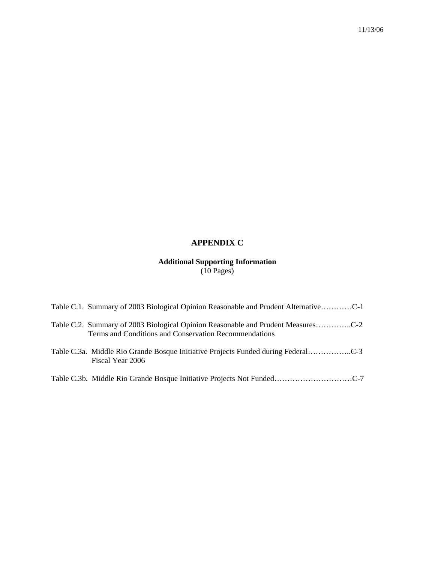# **APPENDIX C**

#### **Additional Supporting Information**  (10 Pages)

| Table C.1. Summary of 2003 Biological Opinion Reasonable and Prudent AlternativeC-1                                                       |
|-------------------------------------------------------------------------------------------------------------------------------------------|
| Table C.2. Summary of 2003 Biological Opinion Reasonable and Prudent MeasuresC-2<br>Terms and Conditions and Conservation Recommendations |
| Table C.3a. Middle Rio Grande Bosque Initiative Projects Funded during FederalC-3<br>Fiscal Year 2006                                     |
|                                                                                                                                           |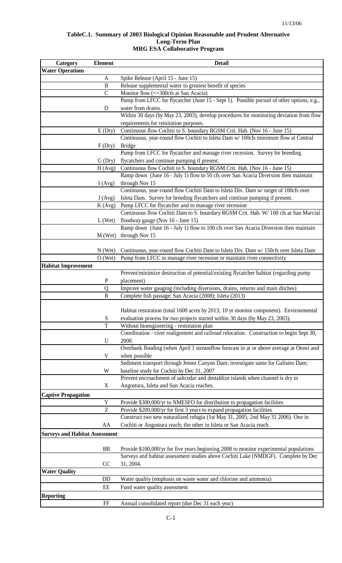#### **TableC.1. Summary of 2003 Biological Opinion Reasonable and Prudent Alternative Long-Term Plan MRG ESA Collaborative Program**

| <b>Category</b>                       | <b>Element</b> | <b>Detail</b>                                                                                                                             |
|---------------------------------------|----------------|-------------------------------------------------------------------------------------------------------------------------------------------|
| <b>Water Operations</b>               |                |                                                                                                                                           |
|                                       | A              | Spike Release (April 15 - June 15)                                                                                                        |
|                                       | $\mathbf{B}$   | Release supplemental water to greatest benefit of species                                                                                 |
|                                       | $\overline{C}$ | Monitor flow (<= 300cfs at San Acacia)                                                                                                    |
|                                       |                | Pump from LFCC for flycatcher (June 15 - Sept 1). Possible pursuit of other options, e.g.,                                                |
|                                       | D              | water from drains.                                                                                                                        |
|                                       |                | Within 30 days (by May 23, 2003), develop procedures for monitoring deviation from flow                                                   |
|                                       |                | requirements for reinitation purposes.                                                                                                    |
|                                       | E(Dry)         | Continuous flow Cochiti to S. boundary RGSM Crit. Hab. (Nov 16 - June 15)                                                                 |
|                                       |                | Continuous, year-round flow Cochiti to Isleta Dam w/ 100cfs minimum flow at Central                                                       |
|                                       | F(Dry)         | <b>Bridge</b>                                                                                                                             |
|                                       |                | Pump from LFCC for flycatcher and manage river recession. Survey for breeding                                                             |
|                                       | G (Dry)        | flycatchers and continue pumping if present.                                                                                              |
|                                       | H(Avg)         | Continuous flow Cochiti to S. boundary RGSM Crit. Hab. (Nov 16 - June 15)                                                                 |
|                                       |                | Ramp down (June 16 - July 1) flow to 50 cfs over San Acacia Diversion then maintain                                                       |
|                                       | I(Avg)         | through Nov 15                                                                                                                            |
|                                       |                | Continuous, year-round flow Cochiti Dam to Isleta Div. Dam w/ target of 100cfs over                                                       |
|                                       | J(Avg)         | Isleta Dam. Survey for breeding flycatchers and continue pumping if present.                                                              |
|                                       | K (Avg)        | Pump LFCC for flycatcher and to manage river recession                                                                                    |
|                                       |                | Continuous flow Cochiti Dam to S. boundary RGSM Crit. Hab. W/ 100 cfs at San Marcial                                                      |
|                                       | $L$ (Wet)      | floodway gauge (Nov 16 - June 15)                                                                                                         |
|                                       |                | Ramp down (June 16 - July 1) flow to 100 cfs over San Acacia Diversion then maintain                                                      |
|                                       | $M$ (Wet)      | through Nov 15                                                                                                                            |
|                                       |                |                                                                                                                                           |
|                                       | $N$ (Wet)      | Continuous, year-round flow Cochiti Dam to Isleta Div. Dam w/ 150cfs over Isleta Dam                                                      |
|                                       | $O$ (Wet)      | Pump from LFCC to manage river recession or maintain river connectivity                                                                   |
| <b>Habitat Improvement</b>            |                |                                                                                                                                           |
|                                       |                | Prevent/minimize destruction of potential/existing flycatcher habitat (regarding pump                                                     |
|                                       | ${\bf P}$      | placement)                                                                                                                                |
|                                       | Q              | Improve water gauging (including diversions, drains, returns and main ditches)<br>Complete fish passage; San Acacia (2008); Isleta (2013) |
|                                       | $\mathbf R$    |                                                                                                                                           |
|                                       |                | Habitat restoration (total 1600 acres by 2013; 10 yr monitor component). Environmental                                                    |
|                                       | S              | evaluation process for two projects started within 30 days (by May 23, 2003).                                                             |
|                                       | T              | Without bioengineering - restoration plan                                                                                                 |
|                                       |                | Coordination - river realignment and railroad relocation. Construction to begin Sept 30,                                                  |
|                                       | U              | 2008.                                                                                                                                     |
|                                       |                | Overbank flooding (when April 1 streamflow forecast in at or above average at Otowi and                                                   |
|                                       | V              | when possible                                                                                                                             |
|                                       |                | Sediment transport through Jemez Canyon Dam; investigate same for Galisteo Dam;                                                           |
|                                       | W              | baseline study for Cochiti by Dec 31, 2007                                                                                                |
|                                       |                | Prevent encroachment of saltcedar and destablize islands when channel is dry in                                                           |
|                                       | X              | Angostura, Isleta and San Acacia reaches.                                                                                                 |
| <b>Captive Propagation</b>            |                |                                                                                                                                           |
|                                       | $\mathbf Y$    | Provide \$300,000/yr to NMESFO for distribution to propagation facilities                                                                 |
|                                       | $\mathbf{Z}$   | Provide \$200,000/yr for first 3 years to expand propagation facilities                                                                   |
|                                       |                | Construct two new naturalized refugia (1st May 31, 2005; 2nd May 31 2006). One in                                                         |
|                                       | AA             | Cochiti or Angostura reach; the other in Isleta or San Acacia reach.                                                                      |
| <b>Surveys and Habitat Assessment</b> |                |                                                                                                                                           |
|                                       |                |                                                                                                                                           |
|                                       | <b>BB</b>      | Provide \$100,000/yr for five years beginning 2008 to monitor experimental populations                                                    |
|                                       |                | Surveys and habitat assessment studies above Cochiti Lake (NMDGF). Complete by Dec                                                        |
|                                       | CC             | 31, 2004.                                                                                                                                 |
| <b>Water Quality</b>                  |                |                                                                                                                                           |
|                                       | DD             | Water quality (emphasis on waste water and chlorine and ammonia)                                                                          |
|                                       | EE             | Fund water quality assessment                                                                                                             |
| <b>Reporting</b>                      |                |                                                                                                                                           |
|                                       | $\rm FF$       | Annual consolidated report (due Dec 31 each year)                                                                                         |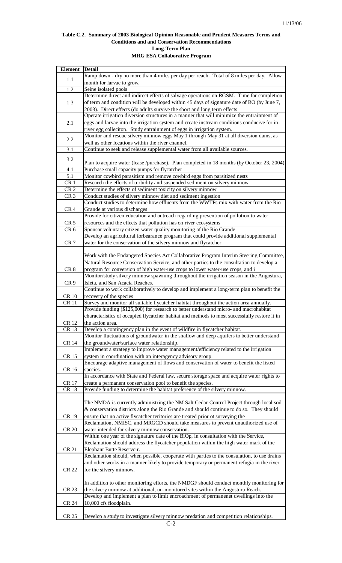#### **Table C.2. Summary of 2003 Biological Opinion Reasonable and Prudent Measures Terms and Conditions and and Conservation Recommendations Long-Term Plan MRG ESA Collaborative Program**

| Element Detail  |                                                                                               |
|-----------------|-----------------------------------------------------------------------------------------------|
| 1.1             | Ramp down - dry no more than 4 miles per day per reach. Total of 8 miles per day. Allow       |
|                 | month for larvae to grow.                                                                     |
| 1.2             | Seine isolated pools                                                                          |
|                 | Determine direct and indirect effects of salvage operations on RGSM. Time for completion      |
| 1.3             | of term and condition will be developed within 45 days of signature date of BO (by June 7,    |
|                 | 2003). Direct effects (do adults survive the short and long term effects                      |
|                 | Operate irrigation diversion structures in a manner that will minimize the entrainment of     |
| 2.1             | eggs and larvae into the irrigation system and create instream conditions conducive for in-   |
|                 | river egg colleciton. Study entrainment of eggs in irrigation system.                         |
|                 |                                                                                               |
| 2.2             | Monitor and rescue silvery minnow eggs May 1 through May 31 at all diversion dams, as         |
|                 | well as other locations within the river channel.                                             |
| $3.1\,$         | Continue to seek and release supplemental water from all available sources.                   |
| 3.2             |                                                                                               |
|                 | Plan to acquire water (lease /purchase). Plan completed in 18 months (by October 23, 2004)    |
| 4.1             | Purchase small capacity pumps for flycatcher                                                  |
| 5.1             | Monitor cowbird parasitism and remove cowbird eggs from parsitized nests                      |
| CR <sub>1</sub> | Research the effects of turbidity and suspended sediment on silvery minnow                    |
| CR <sub>2</sub> | Determine the effects of sediment toxicity on silvery minnow                                  |
| CR <sub>3</sub> | Conduct studies of silvery minnow diet and sediment ingestion                                 |
|                 | Conduct studies to determine how effluents from the WWTPs mix with water from the Rio         |
| CR <sub>4</sub> | Grande at various discharges                                                                  |
|                 | Provide for citizen education and outreach regarding prevention of pollution to water         |
| CR <sub>5</sub> | resources and the effects that pollution has on river ecosystems                              |
| CR <sub>6</sub> | Sponsor voluntary citizen water quality monitoring of the Rio Grande                          |
|                 | Develop an agricultural forbearance program that could provide additional supplemental        |
| CR <sub>7</sub> | water for the conservation of the silvery minnow and flycatcher                               |
|                 |                                                                                               |
|                 |                                                                                               |
|                 | Work with the Endangered Species Act Collaborative Program Interim Steering Committee,        |
|                 | Natural Resource Conservation Service, and other parties to the consultation to develop a     |
| CR <sub>8</sub> | program for conversion of high water-use crops to lower water-use crops, and i                |
|                 | Monitor/study silvery minnow spawning throughout the irrigation season in the Angostura,      |
| CR <sub>9</sub> | Isleta, and San Acacia Reaches.                                                               |
|                 | Continue to work collaboratively to develop and implement a long-term plan to benefit the     |
| <b>CR 10</b>    | recovery of the species                                                                       |
| <b>CR11</b>     | Survey and monitor all suitable flycatcher habitat throughout the action area annually.       |
|                 | Provide funding (\$125,000) for research to better understand micro- and macrohabitat         |
|                 | characteristics of occupied flycatcher habitat and methods to most successfully restore it in |
| <b>CR12</b>     | the action area.                                                                              |
| <b>CR13</b>     | Develop a contingency plan in the event of wildfire in flycatcher habitat.                    |
|                 | Monitor fluctuations of groundwater in the shallow and deep aquifers to better understand     |
| <b>CR 14</b>    | the groundwater/surface water relationship.                                                   |
|                 | Implement a strategy to improve water management/efficiency related to the irrigation         |
| <b>CR15</b>     | system in coordination with an interagency advisory group.                                    |
|                 | Encourage adaptive management of flows and conservation of water to benefit the listed        |
| CR 16           | species.                                                                                      |
|                 | In accordance with State and Federal law, secure storage space and acquire water rights to    |
| <b>CR17</b>     | create a permanent conservation pool to benefit the species.                                  |
| <b>CR18</b>     | Provide funding to determine the habitat preference of the silvery minnow.                    |
|                 |                                                                                               |
|                 | The NMDA is currently administring the NM Salt Cedar Control Project through local soil       |
|                 |                                                                                               |
|                 | & conservation districts along the Rio Grande and should continue to do so. They should       |
| CR 19           | ensure that no active flycatcher teritories are treated prior ot surveying the                |
|                 | Reclamation, NMISC, and MRGCD should take measures to prevent unauthorized use of             |
| <b>CR 20</b>    | water intended for silvery minnow conservation.                                               |
|                 | Within one year of the signature date of the BiOp, in consultation with the Service,          |
|                 | Reclamation should address the flycatcher population within the high water mark of the        |
| <b>CR 21</b>    | Elephant Butte Reservoir.                                                                     |
|                 | Reclamation should, when possible, cooperate with parties to the consulation, to use drains   |
|                 | and other works in a manner likely to provide temporary or permanent refugia in the river     |
| <b>CR 22</b>    | for the silvery minnow.                                                                       |
|                 |                                                                                               |
|                 | In addition to other monitoring efforts, the NMDGF should conduct monthly monitoring for      |
| <b>CR 23</b>    | the silvery minnow at additional, un-monitored sites within the Angostura Reach.              |
|                 | Develop and implement a plan to limit encroachment of permanenet dwellings into the           |
| CR 24           | 10,000 cfs floodplain.                                                                        |
|                 |                                                                                               |
| <b>CR 25</b>    | Develop a study to investigate silvery minnow predation and competition relationships.        |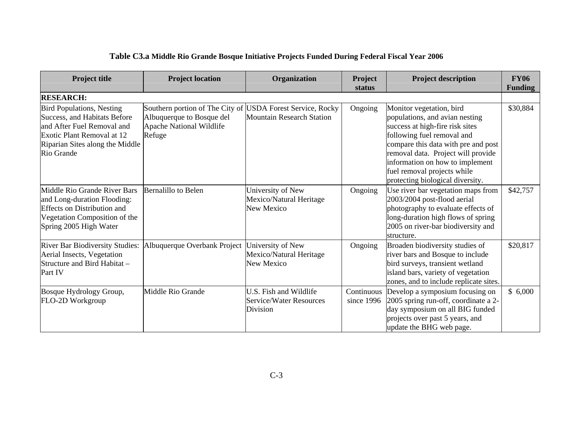| <b>Project title</b>                                                                                                                                                          | <b>Project location</b>                                                                                                              | Organization                                                         | Project<br>status        | <b>Project description</b>                                                                                                                                                                                                                                                                                     | <b>FY06</b><br><b>Funding</b> |
|-------------------------------------------------------------------------------------------------------------------------------------------------------------------------------|--------------------------------------------------------------------------------------------------------------------------------------|----------------------------------------------------------------------|--------------------------|----------------------------------------------------------------------------------------------------------------------------------------------------------------------------------------------------------------------------------------------------------------------------------------------------------------|-------------------------------|
| <b>RESEARCH:</b>                                                                                                                                                              |                                                                                                                                      |                                                                      |                          |                                                                                                                                                                                                                                                                                                                |                               |
| <b>Bird Populations, Nesting</b><br>Success, and Habitats Before<br>and After Fuel Removal and<br>Exotic Plant Removal at 12<br>Riparian Sites along the Middle<br>Rio Grande | Southern portion of The City of USDA Forest Service, Rocky<br>Albuquerque to Bosque del<br><b>Apache National Wildlife</b><br>Refuge | <b>Mountain Research Station</b>                                     | Ongoing                  | Monitor vegetation, bird<br>populations, and avian nesting<br>success at high-fire risk sites<br>following fuel removal and<br>compare this data with pre and post<br>removal data. Project will provide<br>information on how to implement<br>fuel removal projects while<br>protecting biological diversity. | \$30,884                      |
| Middle Rio Grande River Bars<br>and Long-duration Flooding:<br><b>Effects on Distribution and</b><br>Vegetation Composition of the<br>Spring 2005 High Water                  | <b>Bernalillo to Belen</b>                                                                                                           | University of New<br>Mexico/Natural Heritage<br>New Mexico           | Ongoing                  | Use river bar vegetation maps from<br>2003/2004 post-flood aerial<br>photography to evaluate effects of<br>long-duration high flows of spring<br>2005 on river-bar biodiversity and<br>structure.                                                                                                              | \$42,757                      |
| <b>River Bar Biodiversity Studies:</b><br>Aerial Insects, Vegetation<br>Structure and Bird Habitat –<br>Part IV                                                               | Albuquerque Overbank Project                                                                                                         | University of New<br>Mexico/Natural Heritage<br><b>New Mexico</b>    | Ongoing                  | Broaden biodiversity studies of<br>river bars and Bosque to include<br>bird surveys, transient wetland<br>island bars, variety of vegetation<br>zones, and to include replicate sites.                                                                                                                         | \$20,817                      |
| Bosque Hydrology Group,<br>FLO-2D Workgroup                                                                                                                                   | Middle Rio Grande                                                                                                                    | U.S. Fish and Wildlife<br><b>Service/Water Resources</b><br>Division | Continuous<br>since 1996 | Develop a symposium focusing on<br>2005 spring run-off, coordinate a 2-<br>day symposium on all BIG funded<br>projects over past 5 years, and<br>update the BHG web page.                                                                                                                                      | \$6,000                       |

# **Table C3.a Middle Rio Grande Bosque Initiative Projects Funded During Federal Fiscal Year 2006**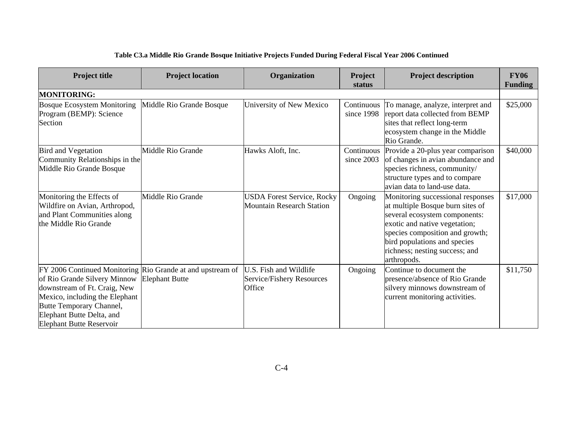| <b>Project title</b>                                                                                                                                                                                                                                     | <b>Project location</b>  | Organization                                                         | Project<br>status        | <b>Project description</b>                                                                                                                                                                                                                                  | <b>FY06</b><br><b>Funding</b> |
|----------------------------------------------------------------------------------------------------------------------------------------------------------------------------------------------------------------------------------------------------------|--------------------------|----------------------------------------------------------------------|--------------------------|-------------------------------------------------------------------------------------------------------------------------------------------------------------------------------------------------------------------------------------------------------------|-------------------------------|
| <b>MONITORING:</b>                                                                                                                                                                                                                                       |                          |                                                                      |                          |                                                                                                                                                                                                                                                             |                               |
| Bosque Ecosystem Monitoring<br>Program (BEMP): Science<br>Section                                                                                                                                                                                        | Middle Rio Grande Bosque | University of New Mexico                                             | since 1998               | Continuous To manage, analyze, interpret and<br>report data collected from BEMP<br>sites that reflect long-term<br>ecosystem change in the Middle<br>Rio Grande.                                                                                            | \$25,000                      |
| <b>Bird and Vegetation</b><br>Community Relationships in the<br>Middle Rio Grande Bosque                                                                                                                                                                 | Middle Rio Grande        | Hawks Aloft, Inc.                                                    | Continuous<br>since 2003 | Provide a 20-plus year comparison<br>of changes in avian abundance and<br>species richness, community/<br>structure types and to compare<br>avian data to land-use data.                                                                                    | \$40,000                      |
| Monitoring the Effects of<br>Wildfire on Avian, Arthropod,<br>and Plant Communities along<br>the Middle Rio Grande                                                                                                                                       | Middle Rio Grande        | <b>USDA Forest Service, Rocky</b><br>Mountain Research Station       | Ongoing                  | Monitoring successional responses<br>at multiple Bosque burn sites of<br>several ecosystem components:<br>exotic and native vegetation;<br>species composition and growth;<br>bird populations and species<br>richness; nesting success; and<br>arthropods. | \$17,000                      |
| FY 2006 Continued Monitoring Rio Grande at and upstream of<br>of Rio Grande Silvery Minnow<br>downstream of Ft. Craig, New<br>Mexico, including the Elephant<br>Butte Temporary Channel,<br>Elephant Butte Delta, and<br><b>Elephant Butte Reservoir</b> | <b>Elephant Butte</b>    | U.S. Fish and Wildlife<br>Service/Fishery Resources<br><b>Office</b> | Ongoing                  | Continue to document the<br>presence/absence of Rio Grande<br>silvery minnows downstream of<br>current monitoring activities.                                                                                                                               | \$11,750                      |

#### **Table C3.a Middle Rio Grande Bosque Initiative Projects Funded During Federal Fiscal Year 2006 Continued**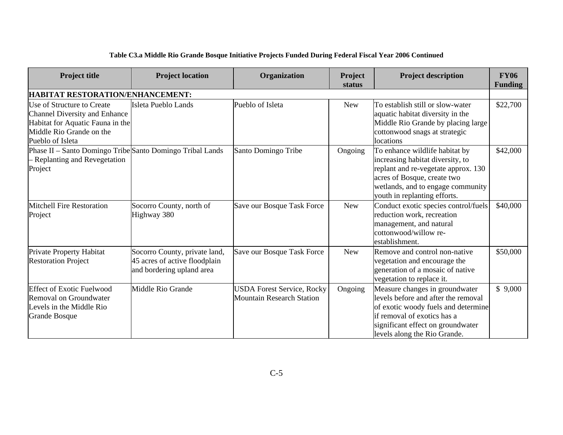| <b>Project title</b>                                                                                                                                   | <b>Project location</b>                                                                     | Organization                                                          | Project<br>status | <b>Project description</b>                                                                                                                                                                                       | <b>FY06</b><br><b>Funding</b> |
|--------------------------------------------------------------------------------------------------------------------------------------------------------|---------------------------------------------------------------------------------------------|-----------------------------------------------------------------------|-------------------|------------------------------------------------------------------------------------------------------------------------------------------------------------------------------------------------------------------|-------------------------------|
| HABITAT RESTORATION/ENHANCEMENT:                                                                                                                       |                                                                                             |                                                                       |                   |                                                                                                                                                                                                                  |                               |
| Use of Structure to Create<br><b>Channel Diversity and Enhance</b><br>Habitat for Aquatic Fauna in the<br>Middle Rio Grande on the<br>Pueblo of Isleta | Isleta Pueblo Lands                                                                         | Pueblo of Isleta                                                      | <b>New</b>        | To establish still or slow-water<br>aquatic habitat diversity in the<br>Middle Rio Grande by placing large<br>cottonwood snags at strategic<br>locations                                                         | \$22,700                      |
| Phase II – Santo Domingo Tribe Santo Domingo Tribal Lands<br>- Replanting and Revegetation<br>Project                                                  |                                                                                             | Santo Domingo Tribe                                                   | Ongoing           | To enhance wildlife habitat by<br>increasing habitat diversity, to<br>replant and re-vegetate approx. 130<br>acres of Bosque, create two<br>wetlands, and to engage community<br>youth in replanting efforts.    | \$42,000                      |
| Mitchell Fire Restoration<br>Project                                                                                                                   | Socorro County, north of<br>Highway 380                                                     | Save our Bosque Task Force                                            | <b>New</b>        | Conduct exotic species control/fuels<br>reduction work, recreation<br>management, and natural<br>cottonwood/willow re-<br>establishment.                                                                         | \$40,000                      |
| Private Property Habitat<br><b>Restoration Project</b>                                                                                                 | Socorro County, private land,<br>45 acres of active floodplain<br>and bordering upland area | Save our Bosque Task Force                                            | <b>New</b>        | Remove and control non-native<br>vegetation and encourage the<br>generation of a mosaic of native<br>vegetation to replace it.                                                                                   | \$50,000                      |
| <b>Effect of Exotic Fuelwood</b><br>Removal on Groundwater<br>Levels in the Middle Rio<br><b>Grande Bosque</b>                                         | Middle Rio Grande                                                                           | <b>USDA Forest Service, Rocky</b><br><b>Mountain Research Station</b> | Ongoing           | Measure changes in groundwater<br>levels before and after the removal<br>of exotic woody fuels and determine<br>if removal of exotics has a<br>significant effect on groundwater<br>levels along the Rio Grande. | \$9,000                       |

# **Table C3.a Middle Rio Grande Bosque Initiative Projects Funded During Federal Fiscal Year 2006 Continued**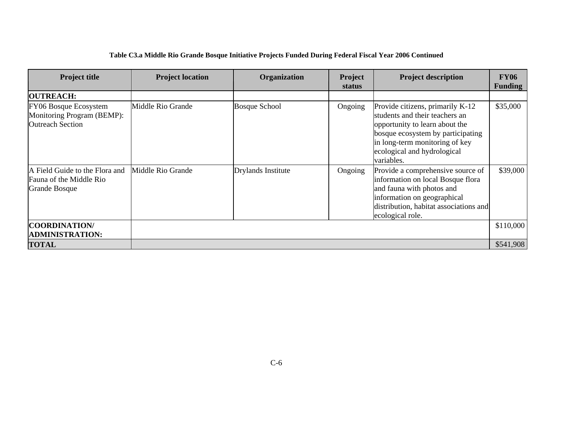| <b>Project title</b>                                                              | <b>Project location</b> | Organization         | Project<br>status | <b>Project description</b>                                                                                                                                                                                               | <b>FY06</b><br><b>Funding</b> |
|-----------------------------------------------------------------------------------|-------------------------|----------------------|-------------------|--------------------------------------------------------------------------------------------------------------------------------------------------------------------------------------------------------------------------|-------------------------------|
| <b>OUTREACH:</b>                                                                  |                         |                      |                   |                                                                                                                                                                                                                          |                               |
| FY06 Bosque Ecosystem<br>Monitoring Program (BEMP):<br><b>Outreach Section</b>    | Middle Rio Grande       | <b>Bosque School</b> | Ongoing           | Provide citizens, primarily K-12<br>students and their teachers an<br>opportunity to learn about the<br>bosque ecosystem by participating<br>in long-term monitoring of key<br>ecological and hydrological<br>variables. | \$35,000                      |
| A Field Guide to the Flora and<br>Fauna of the Middle Rio<br><b>Grande Bosque</b> | Middle Rio Grande       | Drylands Institute   | Ongoing           | Provide a comprehensive source of<br>information on local Bosque flora<br>and fauna with photos and<br>information on geographical<br>distribution, habitat associations and<br>ecological role.                         | \$39,000                      |
| <b>COORDINATION</b><br><b>ADMINISTRATION:</b>                                     |                         |                      |                   |                                                                                                                                                                                                                          | \$110,000                     |
| <b>TOTAL</b>                                                                      |                         |                      |                   |                                                                                                                                                                                                                          | \$541,908                     |

#### **Table C3.a Middle Rio Grande Bosque Initiative Projects Funded During Federal Fiscal Year 2006 Continued**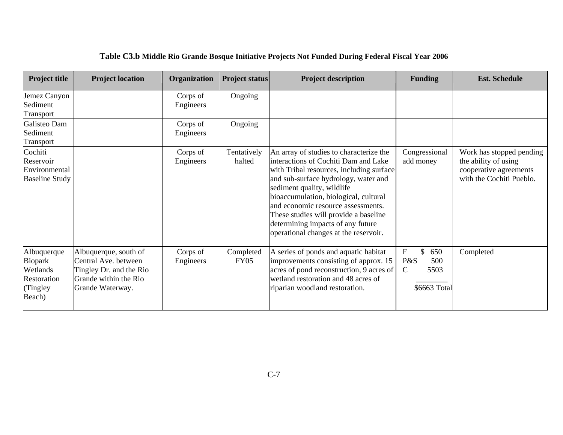| <b>Project title</b>                                                    | <b>Project location</b>                                                                                               | Organization          | <b>Project status</b> | <b>Project description</b>                                                                                                                                                                                                                                                                                                                                                                              | <b>Funding</b>                                                                              | <b>Est. Schedule</b>                                                                                   |
|-------------------------------------------------------------------------|-----------------------------------------------------------------------------------------------------------------------|-----------------------|-----------------------|---------------------------------------------------------------------------------------------------------------------------------------------------------------------------------------------------------------------------------------------------------------------------------------------------------------------------------------------------------------------------------------------------------|---------------------------------------------------------------------------------------------|--------------------------------------------------------------------------------------------------------|
| Jemez Canyon<br>Sediment<br>Transport                                   |                                                                                                                       | Corps of<br>Engineers | Ongoing               |                                                                                                                                                                                                                                                                                                                                                                                                         |                                                                                             |                                                                                                        |
| Galisteo Dam<br>Sediment<br>Transport                                   |                                                                                                                       | Corps of<br>Engineers | Ongoing               |                                                                                                                                                                                                                                                                                                                                                                                                         |                                                                                             |                                                                                                        |
| Cochiti<br>Reservoir<br>Environmental<br><b>Baseline Study</b>          |                                                                                                                       | Corps of<br>Engineers | Tentatively<br>halted | An array of studies to characterize the<br>interactions of Cochiti Dam and Lake<br>with Tribal resources, including surface<br>and sub-surface hydrology, water and<br>sediment quality, wildlife<br>bioaccumulation, biological, cultural<br>and economic resource assessments.<br>These studies will provide a baseline<br>determining impacts of any future<br>operational changes at the reservoir. | Congressional<br>add money                                                                  | Work has stopped pending<br>the ability of using<br>cooperative agreements<br>with the Cochiti Pueblo. |
| Albuquerque<br>Biopark<br>Wetlands<br>Restoration<br>(Tingley<br>Beach) | Albuquerque, south of<br>Central Ave. between<br>Tingley Dr. and the Rio<br>Grande within the Rio<br>Grande Waterway. | Corps of<br>Engineers | Completed<br>FY05     | A series of ponds and aquatic habitat<br>improvements consisting of approx. 15<br>acres of pond reconstruction, 9 acres of<br>wetland restoration and 48 acres of<br>riparian woodland restoration.                                                                                                                                                                                                     | $\boldsymbol{\mathrm{F}}$<br>\$<br>650<br>P&S<br>500<br>$\mathbf C$<br>5503<br>\$6663 Total | Completed                                                                                              |

# **Table C3.b Middle Rio Grande Bosque Initiative Projects Not Funded During Federal Fiscal Year 2006**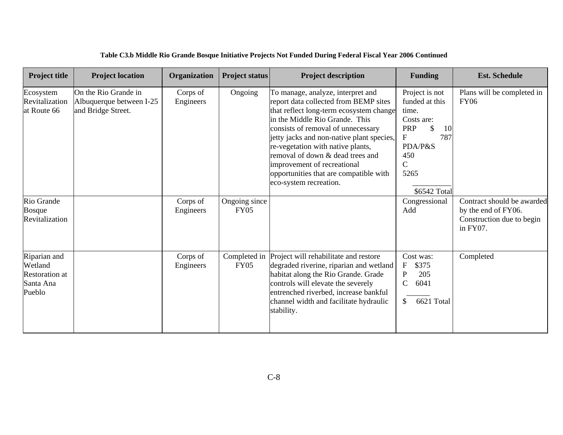| <b>Project title</b>                                                    | <b>Project location</b>                                                | Organization          | <b>Project status</b>        | <b>Project description</b>                                                                                                                                                                                                                                                                                                                                                                                             | <b>Funding</b>                                                                                                                       | <b>Est. Schedule</b>                                                                       |
|-------------------------------------------------------------------------|------------------------------------------------------------------------|-----------------------|------------------------------|------------------------------------------------------------------------------------------------------------------------------------------------------------------------------------------------------------------------------------------------------------------------------------------------------------------------------------------------------------------------------------------------------------------------|--------------------------------------------------------------------------------------------------------------------------------------|--------------------------------------------------------------------------------------------|
| Ecosystem<br>Revitalization<br>at Route 66                              | On the Rio Grande in<br>Albuquerque between I-25<br>and Bridge Street. | Corps of<br>Engineers | Ongoing                      | To manage, analyze, interpret and<br>report data collected from BEMP sites<br>that reflect long-term ecosystem change<br>in the Middle Rio Grande. This<br>consists of removal of unnecessary<br>jetty jacks and non-native plant species,<br>re-vegetation with native plants,<br>removal of down & dead trees and<br>improvement of recreational<br>opportunities that are compatible with<br>eco-system recreation. | Project is not<br>funded at this<br>time.<br>Costs are:<br>PRP<br>S<br>10<br>F<br>787<br>PDA/P&S<br>450<br>C<br>5265<br>\$6542 Total | Plans will be completed in<br><b>FY06</b>                                                  |
| Rio Grande<br><b>Bosque</b><br>Revitalization                           |                                                                        | Corps of<br>Engineers | Ongoing since<br><b>FY05</b> |                                                                                                                                                                                                                                                                                                                                                                                                                        | Congressional<br>Add                                                                                                                 | Contract should be awarded<br>by the end of FY06.<br>Construction due to begin<br>in FY07. |
| Riparian and<br>Wetland<br><b>Restoration at</b><br>Santa Ana<br>Pueblo |                                                                        | Corps of<br>Engineers | Completed in<br><b>FY05</b>  | Project will rehabilitate and restore<br>degraded riverine, riparian and wetland<br>habitat along the Rio Grande. Grade<br>controls will elevate the severely<br>entrenched riverbed, increase bankful<br>channel width and facilitate hydraulic<br>stability.                                                                                                                                                         | Cost was:<br>\$375<br>$\mathbf F$<br>$\overline{P}$<br>205<br>6041<br>$\mathsf{C}$<br>6621 Total<br>\$                               | Completed                                                                                  |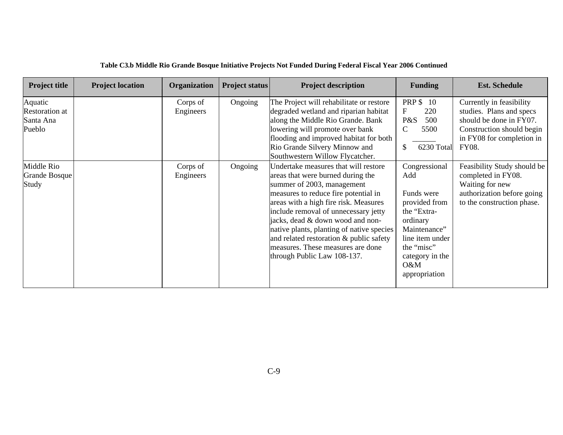| <b>Project title</b>                                    | <b>Project location</b> | Organization          | <b>Project status</b> | <b>Project description</b>                                                                                                                                                                                                                                                                                                                                                                                                       | <b>Funding</b>                                                                                                                                                             | <b>Est. Schedule</b>                                                                                                                               |
|---------------------------------------------------------|-------------------------|-----------------------|-----------------------|----------------------------------------------------------------------------------------------------------------------------------------------------------------------------------------------------------------------------------------------------------------------------------------------------------------------------------------------------------------------------------------------------------------------------------|----------------------------------------------------------------------------------------------------------------------------------------------------------------------------|----------------------------------------------------------------------------------------------------------------------------------------------------|
| Aquatic<br><b>Restoration</b> at<br>Santa Ana<br>Pueblo |                         | Corps of<br>Engineers | Ongoing               | The Project will rehabilitate or restore<br>degraded wetland and riparian habitat<br>along the Middle Rio Grande. Bank<br>lowering will promote over bank<br>flooding and improved habitat for both<br>Rio Grande Silvery Minnow and<br>Southwestern Willow Flycatcher.                                                                                                                                                          | <b>PRP \$ 10</b><br>$\mathbf F$<br>220<br>P&S<br>500<br>$\mathsf{C}$<br>5500<br>6230 Total<br>$\mathbb{S}$                                                                 | Currently in feasibility<br>studies. Plans and specs<br>should be done in FY07.<br>Construction should begin<br>in FY08 for completion in<br>FY08. |
| Middle Rio<br><b>Grande Bosque</b><br>Study             |                         | Corps of<br>Engineers | Ongoing               | Undertake measures that will restore<br>areas that were burned during the<br>summer of 2003, management<br>measures to reduce fire potential in<br>areas with a high fire risk. Measures<br>include removal of unnecessary jetty<br>jacks, dead & down wood and non-<br>native plants, planting of native species<br>and related restoration & public safety<br>measures. These measures are done<br>through Public Law 108-137. | Congressional<br>Add<br>Funds were<br>provided from<br>the "Extra-<br>ordinary<br>Maintenance"<br>line item under<br>the "misc"<br>category in the<br>O&M<br>appropriation | Feasibility Study should be<br>completed in FY08.<br>Waiting for new<br>authorization before going<br>to the construction phase.                   |

#### **Table C3.b Middle Rio Grande Bosque Initiative Projects Not Funded During Federal Fiscal Year 2006 Continued**